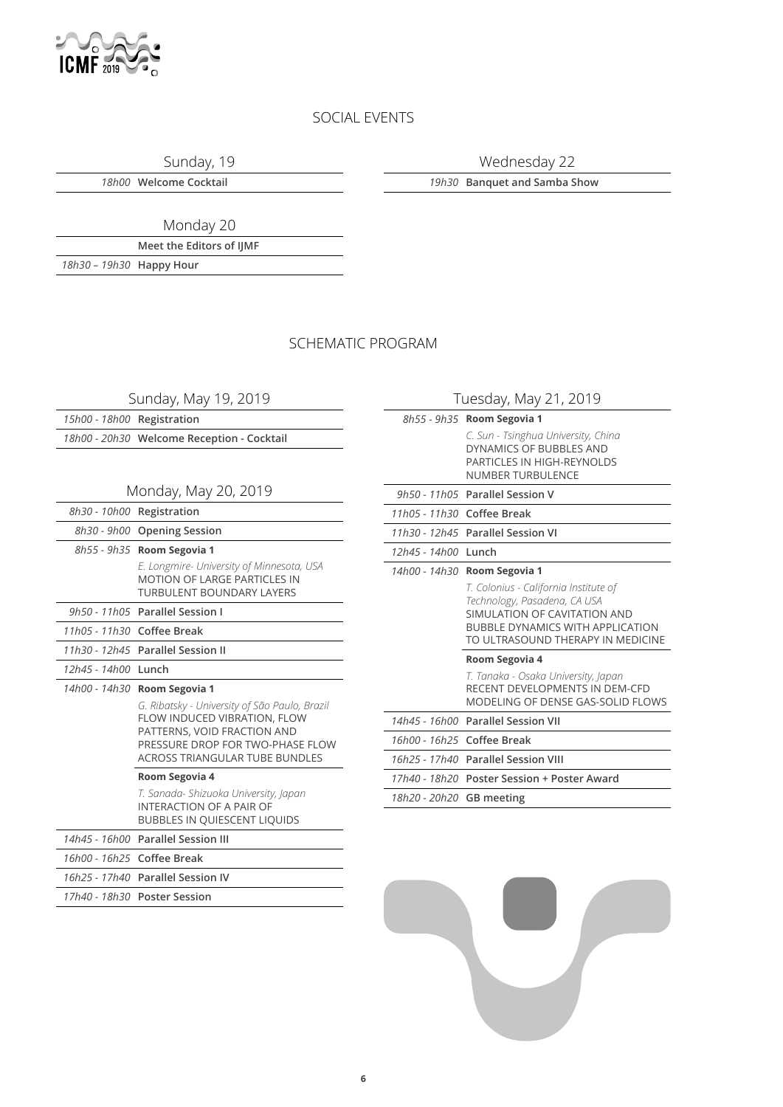

### SOCIAL EVENTS

Sunday, 19

Wednesday 22

*18h00* **Welcome Cocktail**

*19h30* **Banquet and Samba Show**

Monday 20

**Meet the Editors of IJMF** *18h30 – 19h30* **Happy Hour**

SCHEMATIC PROGRAM

Sunday, May 19, 2019

*15h00 - 18h00* **Registration**

*18h00 - 20h30* **Welcome Reception - Cocktail**

### Monday, May 20, 2019

*8h30 - 10h00* **Registration**

*8h30 - 9h00* **Opening Session**

*8h55 - 9h35* **Room Segovia 1**

*E. Longmire- University of Minnesota, USA* MOTION OF LARGE PARTICLES IN TURBULENT BOUNDARY LAYERS

*9h50 - 11h05* **Parallel Session I**

*11h05 - 11h30* **Coffee Break**

*11h30 - 12h45* **Parallel Session II**

*12h45 - 14h00* **Lunch**

#### *14h00 - 14h30* **Room Segovia 1**

*G. Ribatsky - University of São Paulo, Brazil* FLOW INDUCED VIBRATION, FLOW PATTERNS, VOID FRACTION AND PRESSURE DROP FOR TWO-PHASE FLOW ACROSS TRIANGULAR TUBE BUNDLES

### **Room Segovia 4**

*T. Sanada- Shizuoka University, Japan* INTERACTION OF A PAIR OF BUBBLES IN QUIESCENT LIQUIDS

### *14h45 - 16h00* **Parallel Session III**

*16h00 - 16h25* **Coffee Break** *16h25 - 17h40* **Parallel Session IV**

*17h40 - 18h30* **Poster Session**

| Tuesday, May 21, 2019           |                                                                                                                                                                                        |  |
|---------------------------------|----------------------------------------------------------------------------------------------------------------------------------------------------------------------------------------|--|
|                                 | 8h55 - 9h35 Room Segovia 1                                                                                                                                                             |  |
|                                 | C. Sun - Tsinghua University, China<br>DYNAMICS OF BUBBLES AND<br>PARTICLES IN HIGH-REYNOLDS<br><b>NUMBER TURBULENCE</b>                                                               |  |
|                                 | 9h50 - 11h05 Parallel Session V                                                                                                                                                        |  |
| 11h05 - 11h30 Coffee Break      |                                                                                                                                                                                        |  |
|                                 | 11h30 - 12h45 Parallel Session VI                                                                                                                                                      |  |
| 12h45 - 14h00 Lunch             |                                                                                                                                                                                        |  |
| 14h00 - 14h30<br>Room Segovia 1 |                                                                                                                                                                                        |  |
|                                 | T. Colonius - California Institute of<br>Technology, Pasadena, CA USA<br>SIMUI ATION OF CAVITATION AND<br><b>BUBBLE DYNAMICS WITH APPLICATION</b><br>TO ULTRASOUND THERAPY IN MEDICINE |  |
|                                 | Room Segovia 4                                                                                                                                                                         |  |
|                                 | T. Tanaka - Osaka University, Japan<br>RECENT DEVELOPMENTS IN DEM-CED<br>MODELING OF DENSE GAS-SOLID FLOWS                                                                             |  |
|                                 | 14h45 - 16h00 Parallel Session VII                                                                                                                                                     |  |
| 16h00 - 16h25 Coffee Break      |                                                                                                                                                                                        |  |
|                                 | 16h25 - 17h40 Parallel Session VIII                                                                                                                                                    |  |
|                                 | 17h40 - 18h20 Poster Session + Poster Award                                                                                                                                            |  |

*18h20 - 20h20* **GB meeting**

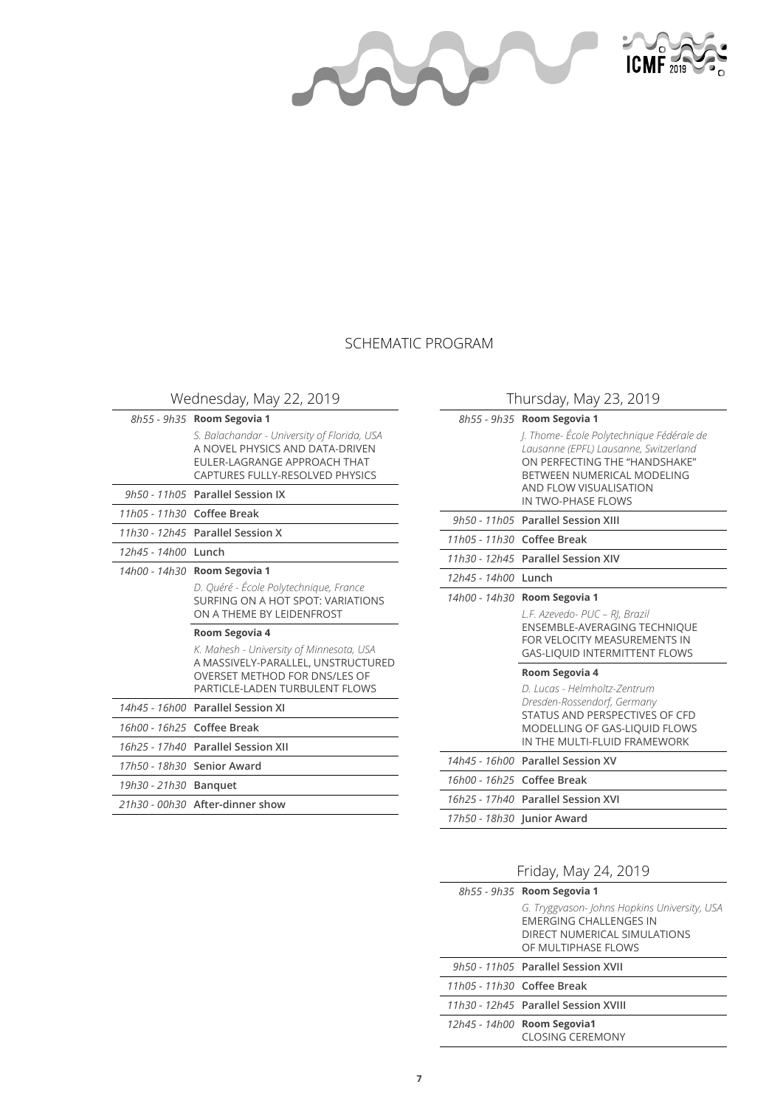AN



### SCHEMATIC PROGRAM

Wednesday, May 22, 2019

|                     | 8h55 - 9h35 Room Segovia 1                                                                                                                               |
|---------------------|----------------------------------------------------------------------------------------------------------------------------------------------------------|
|                     | S. Balachandar - University of Florida, USA<br>A NOVEL PHYSICS AND DATA-DRIVEN<br>FULER-LAGRANGE APPROACH THAT<br>CAPTURES FULLY-RESOLVED PHYSICS        |
|                     | 9h50 - 11h05 Parallel Session IX                                                                                                                         |
|                     | 11h05 - 11h30 Coffee Break                                                                                                                               |
|                     | 11h30 - 12h45 Parallel Session X                                                                                                                         |
| 12h45 - 14h00 Lunch |                                                                                                                                                          |
| 14h00 - 14h30       | Room Segovia 1                                                                                                                                           |
|                     | D. Quéré - École Polytechnique, France<br>SURFING ON A HOT SPOT: VARIATIONS<br>ON A THEME BY LEIDENFROST                                                 |
|                     | Room Segovia 4                                                                                                                                           |
|                     | K. Mahesh - University of Minnesota, USA<br>A MASSIVELY-PARALLEL, UNSTRUCTURED<br><b>OVERSET METHOD FOR DNS/LES OF</b><br>PARTICLE-LADEN TURBULENT FLOWS |
|                     | 14h45 - 16h00 Parallel Session XI                                                                                                                        |
|                     | 16h00 - 16h25 Coffee Break                                                                                                                               |
|                     | 16h25 - 17h40 Parallel Session XII                                                                                                                       |
|                     | 17h50 - 18h30 Senior Award                                                                                                                               |
| 19h30 - 21h30       | <b>Banquet</b>                                                                                                                                           |
|                     |                                                                                                                                                          |
|                     | 21h30 - 00h30 After-dinner show                                                                                                                          |

### Thursday, May 23, 2019

| 8h55 - 9h35 <b>Room Segovia 1</b> |                                                                                                                                                                                                  |
|-----------------------------------|--------------------------------------------------------------------------------------------------------------------------------------------------------------------------------------------------|
|                                   | J. Thome-École Polytechnique Fédérale de<br>Lausanne (EPFL) Lausanne, Switzerland<br>ON PERFECTING THE "HANDSHAKE"<br>BETWEEN NUMERICAL MODELING<br>AND FLOW VISUALISATION<br>IN TWO-PHASE FLOWS |
|                                   | 9h50 - 11h05 Parallel Session XIII                                                                                                                                                               |
| 11h05 - 11h30 Coffee Break        |                                                                                                                                                                                                  |
|                                   | 11h30 - 12h45 Parallel Session XIV                                                                                                                                                               |
| 12h45 - 14h00                     | Lunch                                                                                                                                                                                            |
| 14h00 - 14h30<br>Room Segovia 1   |                                                                                                                                                                                                  |
|                                   | L.F. Azevedo- PUC - RJ, Brazil                                                                                                                                                                   |
|                                   | <b>ENSEMBLE-AVERAGING TECHNIQUE</b><br>FOR VELOCITY MEASUREMENTS IN<br><b>GAS-LIQUID INTERMITTENT FLOWS</b>                                                                                      |
|                                   | Room Segovia 4                                                                                                                                                                                   |
|                                   | D. Lucas - Helmholtz-Zentrum<br>Dresden-Rossendorf, Germany<br>STATUS AND PERSPECTIVES OF CFD<br><b>MODELLING OF GAS-LIQUID FLOWS</b><br>IN THE MULTI-FLUID FRAMEWORK                            |
|                                   | 14h45 - 16h00 Parallel Session XV                                                                                                                                                                |
| 16h00 - 16h25 Coffee Break        |                                                                                                                                                                                                  |
|                                   | 16h25 - 17h40 Parallel Session XVI                                                                                                                                                               |

## Friday, May 24, 2019

|                              | 8h55 - 9h35 Room Segovia 1                                                                                                            |  |
|------------------------------|---------------------------------------------------------------------------------------------------------------------------------------|--|
|                              | G. Tryggvason- Johns Hopkins University, USA<br><b>FMERGING CHALL ENGES IN</b><br>DIRECT NUMERICAL SIMULATIONS<br>OF MULTIPHASE FLOWS |  |
|                              | 9h50 - 11h05 Parallel Session XVII                                                                                                    |  |
| $11h05 - 11h30$ Coffee Break |                                                                                                                                       |  |
|                              | 11h30 - 12h45 Parallel Session XVIII                                                                                                  |  |
|                              | 12h45 - 14h00 Room Segovia1<br><b>CLOSING CEREMONY</b>                                                                                |  |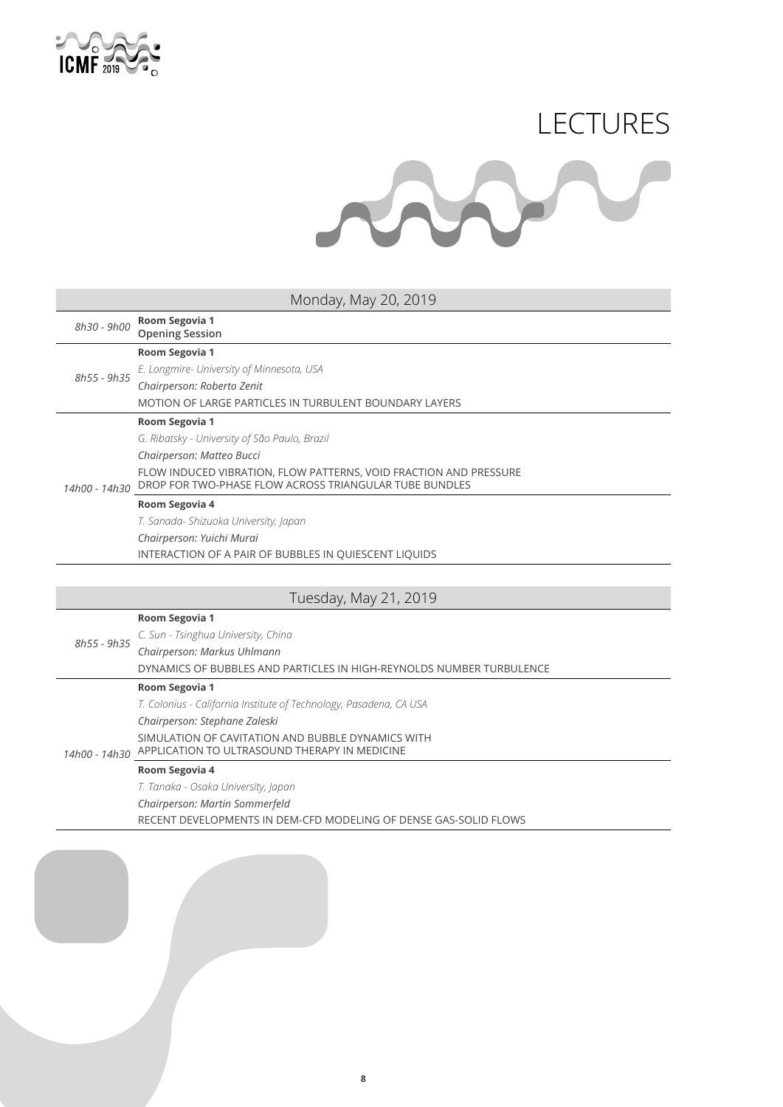

# LECTURES

### Monday, May 20, 2019

| 8h30 - 9h00   | Room Segovia 1<br><b>Opening Session</b>                                                                                    |
|---------------|-----------------------------------------------------------------------------------------------------------------------------|
|               | Room Segovia 1                                                                                                              |
| 8h55 - 9h35   | E. Longmire- University of Minnesota, USA                                                                                   |
|               | Chairperson: Roberto Zenit                                                                                                  |
|               | MOTION OF LARGE PARTICLES IN TURBULENT BOUNDARY LAYERS                                                                      |
|               | Room Segovia 1                                                                                                              |
|               | G. Ribatsky - University of São Paulo, Brazil                                                                               |
|               | Chairperson: Matteo Bucci                                                                                                   |
| 14h00 - 14h30 | FLOW INDUCED VIBRATION, FLOW PATTERNS, VOID FRACTION AND PRESSURE<br>DROP FOR TWO-PHASE FLOW ACROSS TRIANGULAR TUBE BUNDLES |
|               | Room Segovia 4                                                                                                              |
|               | T. Sanada- Shizuoka University, Japan                                                                                       |
|               | Chairperson: Yuichi Murai                                                                                                   |

INTERACTION OF A PAIR OF BUBBLES IN QUIESCENT LIQUIDS

### Tuesday, May 21, 2019

|             | Room Segovia 1                                                       |
|-------------|----------------------------------------------------------------------|
| 8h55 - 9h35 | C. Sun - Tsinghua University, China                                  |
|             | Chairperson: Markus Uhlmann                                          |
|             | DYNAMICS OF BUBBLES AND PARTICLES IN HIGH-REYNOLDS NUMBER TURBULENCE |
|             | Room Segovia 1                                                       |
|             | T. Colonius - California Institute of Technology, Pasadena, CA USA   |
|             | Chairperson: Stephane Zaleski                                        |
|             | SIMULATION OF CAVITATION AND BUBBLE DYNAMICS WITH                    |
|             | 14h00 - 14h30 APPLICATION TO ULTRASOUND THERAPY IN MEDICINE          |
|             | Room Segovia 4                                                       |
|             | T. Tanaka - Osaka University, Japan                                  |
|             | Chairperson: Martin Sommerfeld                                       |
|             | RECENT DEVELOPMENTS IN DEM-CFD MODELING OF DENSE GAS-SOLID FLOWS     |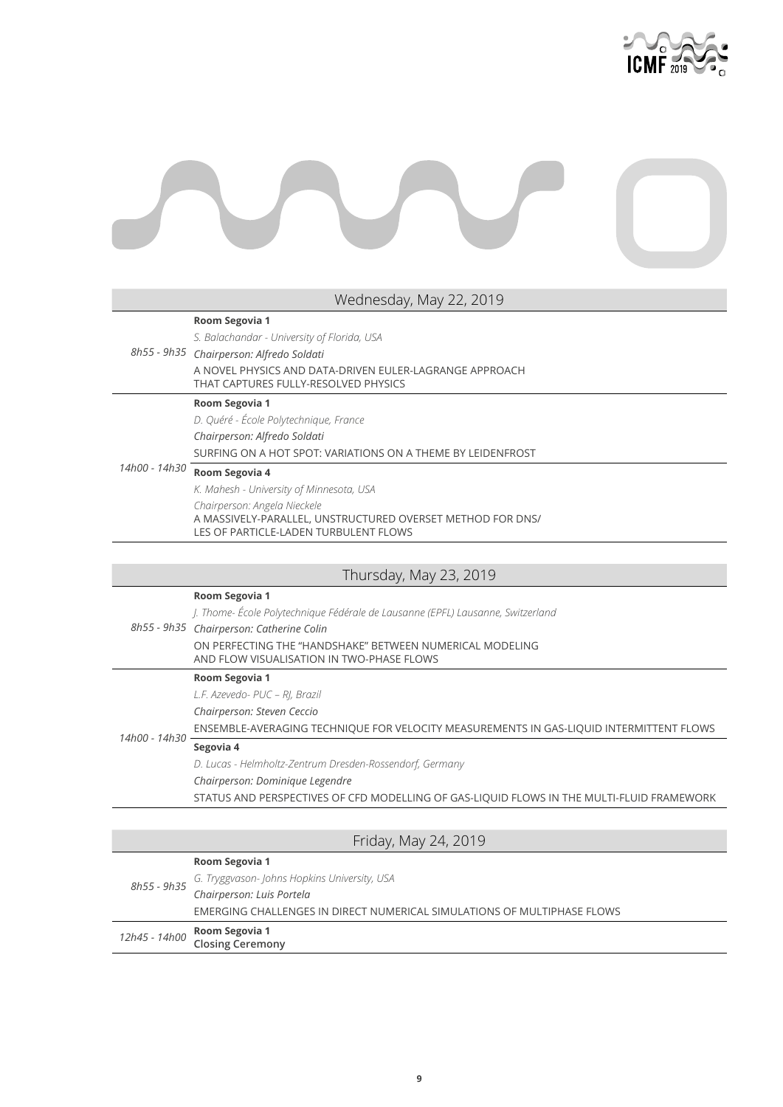

#### **Room Segovia 1**

*S. Balachandar - University of Florida, USA*

### *8h55 - 9h35 Chairperson: Alfredo Soldati* A NOVEL PHYSICS AND DATA-DRIVEN EULER-LAGRANGE APPROACH THAT CAPTURES FULLY-RESOLVED PHYSICS

#### **Room Segovia 1**

*D. Quéré - École Polytechnique, France*

*Chairperson: Alfredo Soldati*

SURFING ON A HOT SPOT: VARIATIONS ON A THEME BY LEIDENFROST

### *14h00 - 14h30* **Room Segovia 4**

*K. Mahesh - University of Minnesota, USA Chairperson: Angela Nieckele* A MASSIVELY-PARALLEL, UNSTRUCTURED OVERSET METHOD FOR DNS/ LES OF PARTICLE-LADEN TURBULENT FLOWS

### Thursday, May 23, 2019

|               | Room Segovia 1                                                                                        |
|---------------|-------------------------------------------------------------------------------------------------------|
|               | J. Thome- École Polytechnique Fédérale de Lausanne (EPFL) Lausanne, Switzerland                       |
|               | 8h55 - 9h35 Chairperson: Catherine Colin                                                              |
|               | ON PERFECTING THE "HANDSHAKE" BETWEEN NUMERICAL MODELING<br>AND FLOW VISUALISATION IN TWO-PHASE FLOWS |
|               | Room Segovia 1                                                                                        |
|               | L.F. Azevedo- PUC – RI, Brazil                                                                        |
|               | Chairperson: Steven Ceccio                                                                            |
| 14h00 - 14h30 | ENSEMBLE-AVERAGING TECHNIQUE FOR VELOCITY MEASUREMENTS IN GAS-LIQUID INTERMITTENT FLOWS               |
|               | Segovia 4                                                                                             |
|               | D. Lucas - Helmholtz-Zentrum Dresden-Rossendorf, Germany                                              |
|               | Chairperson: Dominique Legendre                                                                       |
|               | STATUS AND PERSPECTIVES OF CFD MODELLING OF GAS-LIQUID FLOWS IN THE MULTI-FLUID FRAMEWORK             |

|             | Friday, May 24, 2019                                                             |
|-------------|----------------------------------------------------------------------------------|
|             | Room Segovia 1                                                                   |
| 8h55 - 9h35 |                                                                                  |
|             | G. Tryggvason- Johns Hopkins University, USA<br><b>Chairperson: Luis Portela</b> |
|             | EMERGING CHALLENGES IN DIRECT NUMERICAL SIMULATIONS OF MULTIPHASE FLOWS          |
|             | 12h45 - 14h00 Room Segovia 1<br>Closing Ceremony                                 |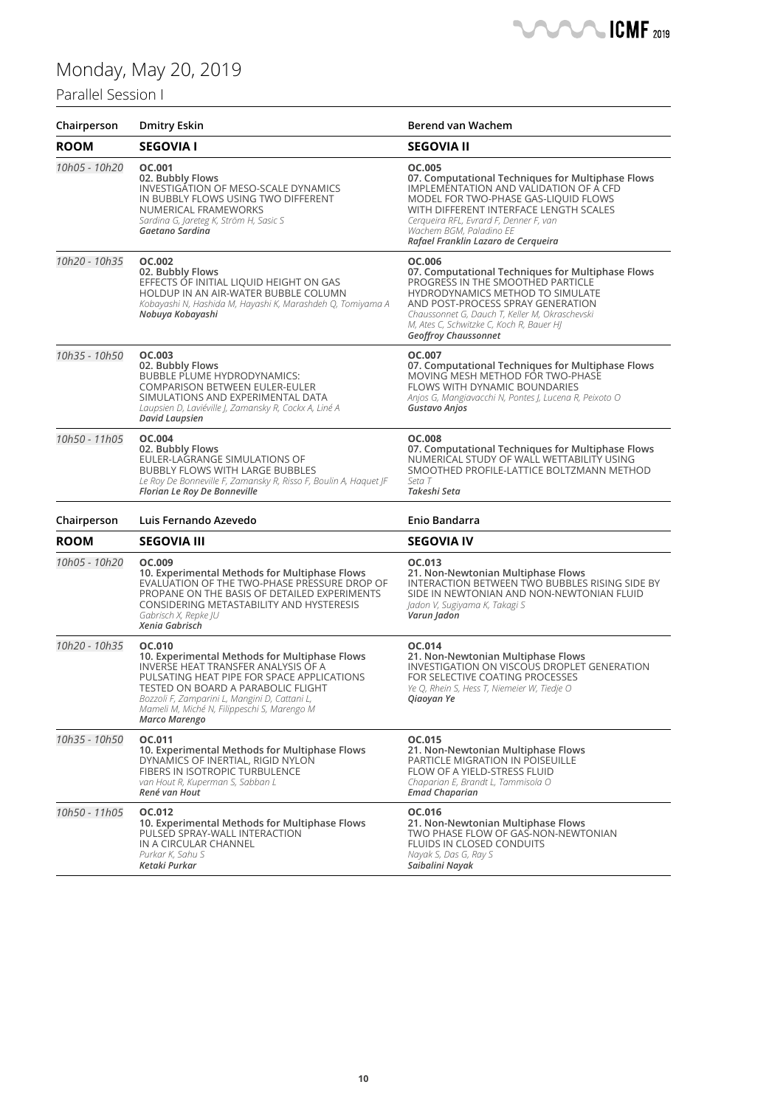### Parallel Session I

| Chairperson   | <b>Dmitry Eskin</b>                                                                                                                                                                                                                                                                                        | Berend van Wachem                                                                                                                                                                                                                                                                                      |
|---------------|------------------------------------------------------------------------------------------------------------------------------------------------------------------------------------------------------------------------------------------------------------------------------------------------------------|--------------------------------------------------------------------------------------------------------------------------------------------------------------------------------------------------------------------------------------------------------------------------------------------------------|
| <b>ROOM</b>   | <b>SEGOVIA I</b>                                                                                                                                                                                                                                                                                           | <b>SEGOVIA II</b>                                                                                                                                                                                                                                                                                      |
| 10h05 - 10h20 | OC.001<br>02. Bubbly Flows<br>INVESTIGATION OF MESO-SCALE DYNAMICS<br>IN BUBBLY FLOWS USING TWO DIFFERENT<br>NUMERICAL FRAMEWORKS<br>Sardina G, Jareteg K, Ström H, Sasic S<br>Gaetano Sardina                                                                                                             | OC.005<br>07. Computational Techniques for Multiphase Flows<br>IMPLEMENTATION AND VALIDATION OF A CFD<br>MODEL FOR TWO-PHASE GAS-LIQUID FLOWS<br>WITH DIFFERENT INTERFACE LENGTH SCALES<br>Cerqueira RFL, Evrard F, Denner F, van<br>Wachem BGM, Paladino EE<br>Rafael Franklin Lazaro de Cerqueira    |
| 10h20 - 10h35 | OC.002<br>02. Bubbly Flows<br>EFFECTS OF INITIAL LIQUID HEIGHT ON GAS<br>HOLDUP IN AN AIR-WATER BUBBLE COLUMN<br>Kobayashi N, Hashida M, Hayashi K, Marashdeh Q, Tomiyama A<br>Nobuya Kobayashi                                                                                                            | OC.006<br>07. Computational Techniques for Multiphase Flows<br>PROGRESS IN THE SMOOTHED PARTICLE<br>HYDRODYNAMICS METHOD TO SIMULATE<br>AND POST-PROCESS SPRAY GENERATION<br>Chaussonnet G, Dauch T, Keller M, Okraschevski<br>M, Ates C, Schwitzke C, Koch R, Bauer HJ<br><b>Geoffroy Chaussonnet</b> |
| 10h35 - 10h50 | OC.003<br>02. Bubbly Flows<br><b>BUBBLE PLUME HYDRODYNAMICS:</b><br><b>COMPARISON BETWEEN EULER-EULER</b><br>SIMULATIONS AND EXPERIMENTAL DATA<br>Laupsien D, Laviéville J, Zamansky R, Cockx A, Liné A<br>David Laupsien                                                                                  | OC.007<br>07. Computational Techniques for Multiphase Flows<br>MOVING MESH METHOD FOR TWO-PHASE<br>FLOWS WITH DYNAMIC BOUNDARIES<br>Anjos G, Mangiavacchi N, Pontes J, Lucena R, Peixoto O<br>Gustavo Anjos                                                                                            |
| 10h50 - 11h05 | OC.004<br>02. Bubbly Flows<br>EULER-LAGRANGE SIMULATIONS OF<br><b>BUBBLY FLOWS WITH LARGE BUBBLES</b><br>Le Roy De Bonneville F, Zamansky R, Risso F, Boulin A, Haquet JF<br>Florian Le Roy De Bonneville                                                                                                  | <b>OC.008</b><br>07. Computational Techniques for Multiphase Flows<br>NUMERICAL STUDY OF WALL WETTABILITY USING<br>SMOOTHED PROFILE-LATTICE BOLTZMANN METHOD<br>Seta T<br>Takeshi Seta                                                                                                                 |
| Chairperson   | Luis Fernando Azevedo                                                                                                                                                                                                                                                                                      | Enio Bandarra                                                                                                                                                                                                                                                                                          |
| <b>ROOM</b>   | <b>SEGOVIA III</b>                                                                                                                                                                                                                                                                                         | <b>SEGOVIA IV</b>                                                                                                                                                                                                                                                                                      |
| 10h05 - 10h20 | OC.009<br>10. Experimental Methods for Multiphase Flows<br>EVALUATION OF THE TWO-PHASE PRESSURE DROP OF<br>PROPANE ON THE BASIS OF DETAILED EXPERIMENTS<br>CONSIDERING METASTABILITY AND HYSTERESIS<br>Gabrisch X, Repke JU<br>Xenia Gabrisch                                                              | OC.013<br>21. Non-Newtonian Multiphase Flows<br>INTERACTION BETWEEN TWO BUBBLES RISING SIDE BY<br>SIDE IN NEWTONIAN AND NON-NEWTONIAN FLUID<br>Jadon V, Sugiyama K, Takagi S<br>Varun Jadon                                                                                                            |
| 10h20 - 10h35 | OC.010<br>10. Experimental Methods for Multiphase Flows<br><b>INVERSE HEAT TRANSFER ANALYSIS OF A</b><br>PULSATING HEAT PIPE FOR SPACE APPLICATIONS<br>TESTED ON BOARD A PARABOLIC FLIGHT<br>Bozzoli F, Zamparini L, Mangini D, Cattani L,<br>Mameli M, Miché N, Filippeschi S, Marengo M<br>Marco Marengo | OC.014<br>21. Non-Newtonian Multiphase Flows<br>INVESTIGATION ON VISCOUS DROPLET GENERATION<br>FOR SELECTIVE COATING PROCESSES<br>Ye Q, Rhein S, Hess T, Niemeier W, Tiedje O<br>Qiaoyan Ye                                                                                                            |
| 10h35 - 10h50 | OC.011<br>10. Experimental Methods for Multiphase Flows<br>DYNAMICS OF INERTIAL, RIGID NYLON<br>FIBERS IN ISOTROPIC TURBULENCE<br>van Hout R, Kuperman S, Sabban L<br>René van Hout                                                                                                                        | OC.015<br>21. Non-Newtonian Multiphase Flows<br><b>PARTICLE MIGRATION IN POISEUILLE</b><br>FLOW OF A YIELD-STRESS FLUID<br>Chaparian E, Brandt L, Tammisola O<br><b>Emad Chaparian</b>                                                                                                                 |
| 10h50 - 11h05 | OC.012<br>10. Experimental Methods for Multiphase Flows<br>PULSED SPRAY-WALL INTERACTION<br>IN A CIRCULAR CHANNEL<br>Purkar K, Sahu S<br>Ketaki Purkar                                                                                                                                                     | OC.016<br>21. Non-Newtonian Multiphase Flows<br>TWO PHASE FLOW OF GAS-NON-NEWTONIAN<br>FLUIDS IN CLOSED CONDUITS<br>Nayak S, Das G, Ray S<br>Saibalini Navak                                                                                                                                           |

**CMF** 2019

 $\sqrt{2}$ ┕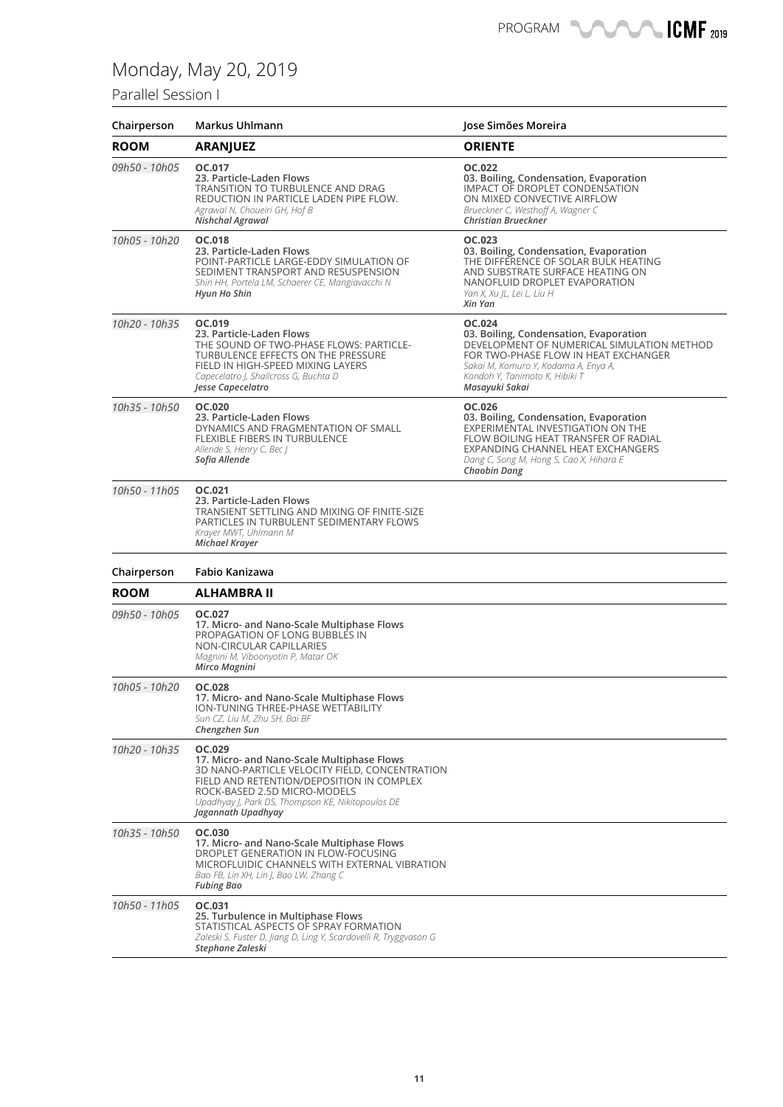## Parallel Session I

| Chairperson   | Markus Uhlmann                                                                                                                                                                                                                                                 | Jose Simões Moreira                                                                                                                                                                                                                  |
|---------------|----------------------------------------------------------------------------------------------------------------------------------------------------------------------------------------------------------------------------------------------------------------|--------------------------------------------------------------------------------------------------------------------------------------------------------------------------------------------------------------------------------------|
| <b>ROOM</b>   | <b>ARANJUEZ</b>                                                                                                                                                                                                                                                | <b>ORIENTE</b>                                                                                                                                                                                                                       |
| 09h50 - 10h05 | OC.017<br>23. Particle-Laden Flows<br>TRANSITION TO TURBULENCE AND DRAG<br>REDUCTION IN PARTICLE LADEN PIPE FLOW.<br>Agrawal N, Choueiri GH, Hof B<br>Nishchal Agrawal                                                                                         | OC.022<br>03. Boiling, Condensation, Evaporation<br>IMPACT OF DROPLET CONDENSATION<br>ON MIXED CONVECTIVE AIRFLOW<br>Brueckner C, Westhoff A, Wagner C<br>Christian Brueckner                                                        |
| 10h05 - 10h20 | OC.018<br>23. Particle-Laden Flows<br>POINT-PARTICLE LARGE-EDDY SIMULATION OF<br>SEDIMENT TRANSPORT AND RESUSPENSION<br>Shin HH, Portela LM, Schaerer CE, Mangiavacchi N<br><b>Hyun Ho Shin</b>                                                                | OC.023<br>03. Boiling, Condensation, Evaporation<br>THE DIFFERENCE OF SOLAR BULK HEATING<br>AND SUBSTRATE SURFACE HEATING ON<br>NANOFLUID DROPLET EVAPORATION<br>Yan X, Xu JL, Lei L, Liu H<br>Xin Yan                               |
| 10h20 - 10h35 | OC.019<br>23. Particle-Laden Flows<br>THE SOUND OF TWO-PHASE FLOWS: PARTICLE-<br>TURBULENCE EFFECTS ON THE PRESSURE<br>FIELD IN HIGH-SPEED MIXING LAYERS<br>Capecelatro J, Shallcross G, Buchta D<br>Jesse Capecelatro                                         | OC.024<br>03. Boiling, Condensation, Evaporation<br>DEVELOPMENT OF NUMERICAL SIMULATION METHOD<br>FOR TWO-PHASE FLOW IN HEAT EXCHANGER<br>Sakai M, Komuro Y, Kodama A, Enya A,<br>Kondoh Y, Tanimoto K, Hibiki T<br>Masayuki Sakai   |
| 10h35 - 10h50 | OC.020<br>23. Particle-Laden Flows<br>DYNAMICS AND FRAGMENTATION OF SMALL<br>FLEXIBLE FIBERS IN TURBULENCE<br>Allende S, Henry C, Bec J<br>Sofia Allende                                                                                                       | OC.026<br>03. Boiling, Condensation, Evaporation<br>EXPERIMENTAL INVESTIGATION ON THE<br>FLOW BOILING HEAT TRANSFER OF RADIAL<br>EXPANDING CHANNEL HEAT EXCHANGERS<br>Dang C, Song M, Hong S, Cao X, Hihara E<br><b>Chaobin Dang</b> |
| 10h50 - 11h05 | OC.021<br>23. Particle-Laden Flows<br>TRANSIENT SETTLING AND MIXING OF FINITE-SIZE<br>PARTICLES IN TURBULENT SEDIMENTARY FLOWS<br>Krayer MWT, Uhlmann M<br><b>Michael Krayer</b>                                                                               |                                                                                                                                                                                                                                      |
| Chairperson   | Fabio Kanizawa                                                                                                                                                                                                                                                 |                                                                                                                                                                                                                                      |
| <b>ROOM</b>   | <b>ALHAMBRA II</b>                                                                                                                                                                                                                                             |                                                                                                                                                                                                                                      |
| 09h50 - 10h05 | OC.027<br>17. Micro- and Nano-Scale Multiphase Flows<br>PROPAGATION OF LONG BUBBLES IN<br>NON-CIRCULAR CAPILLARIES<br>Magnini M, Viboonyotin P, Matar OK<br>Mirco Magnini                                                                                      |                                                                                                                                                                                                                                      |
| 10h05 - 10h20 | <b>OC.028</b><br>17. Micro- and Nano-Scale Multiphase Flows<br><b>ION-TUNING THREE-PHASE WETTABILITY</b><br>Sun CZ, Liu M, Zhu SH, Bai BF<br>Chengzhen Sun                                                                                                     |                                                                                                                                                                                                                                      |
| 10h20 - 10h35 | OC.029<br>17. Micro- and Nano-Scale Multiphase Flows<br>3D NANO-PARTICLE VELOCITY FIELD, CONCENTRATION<br>FIELD AND RETENTION/DEPOSITION IN COMPLEX<br>ROCK-BASED 2.5D MICRO-MODELS<br>Upadhyay J, Park DS, Thompson KE, Nikitopoulos DE<br>Jagannath Upadhyay |                                                                                                                                                                                                                                      |
| 10h35 - 10h50 | OC.030<br>17. Micro- and Nano-Scale Multiphase Flows<br>DROPLET GENERATION IN FLOW-FOCUSING<br>MICROFLUIDIC CHANNELS WITH EXTERNAL VIBRATION<br>Bao FB, Lin XH, Lin J, Bao LW, Zhang C<br><b>Fubing Bao</b>                                                    |                                                                                                                                                                                                                                      |
| 10h50 - 11h05 | OC.031<br>25. Turbulence in Multiphase Flows<br>STATISTICAL ASPECTS OF SPRAY FORMATION<br>Zaleski S, Fuster D, Jiang D, Ling Y, Scardovelli R, Tryggvason G<br>Stephane Zaleski                                                                                |                                                                                                                                                                                                                                      |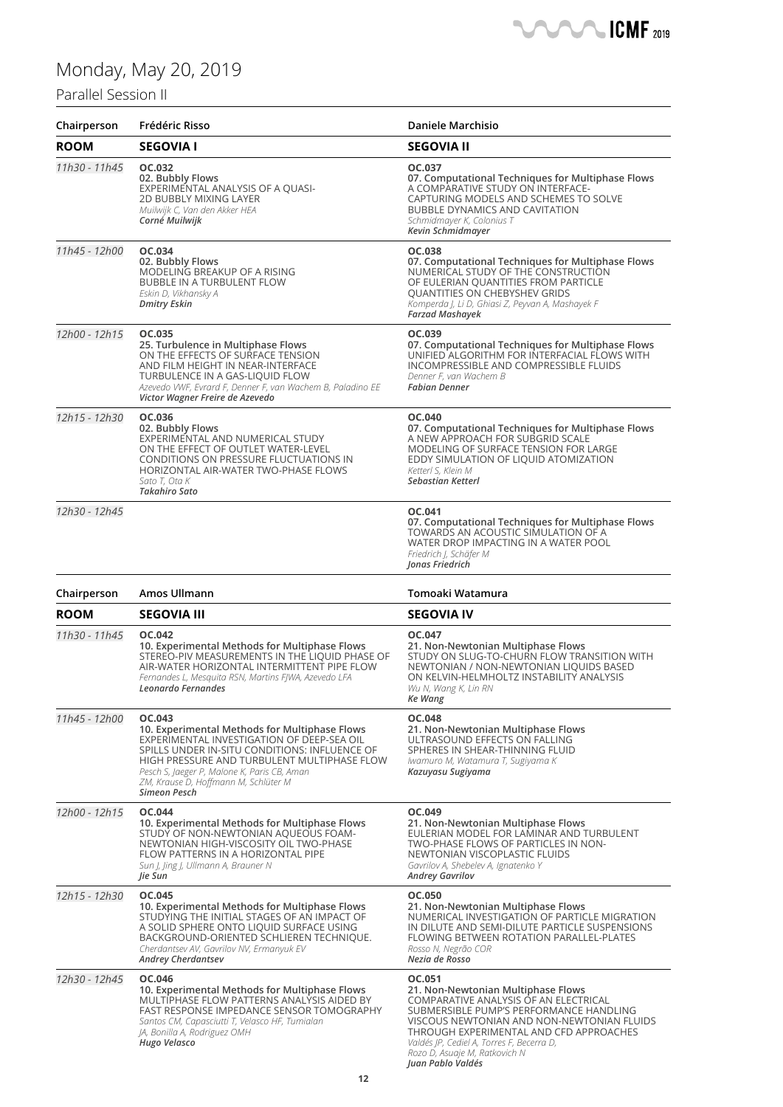## Monday, M

### Parallel Sessio

|                     |                                                                                                                                                                                                                                                                                                                     | <b>SASA SASA ICMF</b> 2019                                                                                                                                                                                                                                |
|---------------------|---------------------------------------------------------------------------------------------------------------------------------------------------------------------------------------------------------------------------------------------------------------------------------------------------------------------|-----------------------------------------------------------------------------------------------------------------------------------------------------------------------------------------------------------------------------------------------------------|
|                     | Monday, May 20, 2019                                                                                                                                                                                                                                                                                                |                                                                                                                                                                                                                                                           |
| Parallel Session II |                                                                                                                                                                                                                                                                                                                     |                                                                                                                                                                                                                                                           |
| Chairperson         | Frédéric Risso                                                                                                                                                                                                                                                                                                      | <b>Daniele Marchisio</b>                                                                                                                                                                                                                                  |
| <b>ROOM</b>         | <b>SEGOVIA I</b>                                                                                                                                                                                                                                                                                                    | <b>SEGOVIA II</b>                                                                                                                                                                                                                                         |
| 11h30 - 11h45       | OC.032<br>02. Bubbly Flows<br>EXPERIMENTAL ANALYSIS OF A QUASI-<br>2D BUBBLY MIXING LAYER<br>Muilwijk C, Van den Akker HEA<br>Corné Muilwijk                                                                                                                                                                        | OC.037<br>07. Computational Techniques for Multiphase Flows<br>A COMPARATIVE STUDY ON INTERFACE-<br>CAPTURING MODELS AND SCHEMES TO SOLVE<br><b>BUBBLE DYNAMICS AND CAVITATION</b><br>Schmidmayer K, Colonius T<br>Kevin Schmidmayer                      |
| 11h45 - 12h00       | OC.034<br>02. Bubbly Flows<br>MODELING BREAKUP OF A RISING<br>BUBBLE IN A TURBULENT FLOW<br>Eskin D, Vikhansky A<br>Dmitry Eskin                                                                                                                                                                                    | OC.038<br>07. Computational Techniques for Multiphase Flows<br>NUMERICAL STUDY OF THE CONSTRUCTION<br>OF EULERIAN QUANTITIES FROM PARTICLE<br>QUANTITIES ON CHEBYSHEV GRIDS<br>Komperda J, Li D, Ghiasi Z, Peyvan A, Mashayek F<br><b>Farzad Mashayek</b> |
| 12h00 - 12h15       | OC.035<br>25. Turbulence in Multiphase Flows<br>ON THE EFFECTS OF SURFACE TENSION<br>AND FILM HEIGHT IN NEAR-INTERFACE<br>TURBULENCE IN A GAS-LIQUID FLOW<br>Azevedo VWF, Evrard F, Denner F, van Wachem B, Paladino EE<br>Victor Wagner Freire de Azevedo                                                          | OC.039<br>07. Computational Techniques for Multiphase Flows<br>UNIFIED ALGORITHM FOR INTERFACIAL FLOWS WITH<br>INCOMPRESSIBLE AND COMPRESSIBLE FLUIDS<br>Denner F, van Wachem B<br><b>Fabian Denner</b>                                                   |
| 12h15 - 12h30       | OC.036<br>02. Bubbly Flows<br>EXPERIMENTAL AND NUMERICAL STUDY<br>ON THE EFFECT OF OUTLET WATER-LEVEL<br>CONDITIONS ON PRESSURE FLUCTUATIONS IN<br>HORIZONTAL AIR-WATER TWO-PHASE FLOWS<br>Sato T, Ota K<br>Takahiro Sato                                                                                           | OC.040<br>07. Computational Techniques for Multiphase Flows<br>A NEW APPROACH FOR SUBGRID SCALE<br>MODELING OF SURFACE TENSION FOR LARGE<br>EDDY SIMULATION OF LIQUID ATOMIZATION<br>Ketterl S, Klein M<br><b>Sebastian Ketterl</b>                       |
| 12h30 - 12h45       |                                                                                                                                                                                                                                                                                                                     | OC.041<br>07. Computational Techniques for Multiphase Flows<br>TOWARDS AN ACOUSTIC SIMULATION OF A<br>WATER DROP IMPACTING IN A WATER POOL<br>Friedrich J, Schäfer M<br>Jonas Friedrich                                                                   |
| Chairperson         | Amos Ullmann                                                                                                                                                                                                                                                                                                        | Tomoaki Watamura                                                                                                                                                                                                                                          |
| <b>ROOM</b>         | <b>SEGOVIA III</b>                                                                                                                                                                                                                                                                                                  | <b>SEGOVIA IV</b>                                                                                                                                                                                                                                         |
| 11h30 - 11h45       | OC.042<br>10. Experimental Methods for Multiphase Flows<br>STEREO-PIV MEASUREMENTS IN THE LIQUID PHASE OF<br>AIR-WATER HORIZONTAL INTERMITTENT PIPE FLOW<br>Fernandes L, Mesquita RSN, Martins FJWA, Azevedo LFA<br>Leonardo Fernandes                                                                              | OC.047<br>21. Non-Newtonian Multiphase Flows<br>STUDY ON SLUG-TO-CHURN FLOW TRANSITION WITH<br>NEWTONIAN / NON-NEWTONIAN LIQUIDS BASED<br>ON KELVIN-HELMHOLTZ INSTABILITY ANALYSIS<br>Wu N, Wang K, Lin RN<br>Ke Wang                                     |
| 11h45 - 12h00       | OC.043<br>10. Experimental Methods for Multiphase Flows<br>EXPERIMENTAL INVESTIGATION OF DEEP-SEA OIL<br>SPILLS UNDER IN-SITU CONDITIONS: INFLUENCE OF<br>HIGH PRESSURE AND TURBULENT MULTIPHASE FLOW<br>Pesch S, Jaeger P, Malone K, Paris CB, Aman<br>ZM, Krause D, Hoffmann M, Schlüter M<br><b>Simeon Pesch</b> | OC.048<br>21. Non-Newtonian Multiphase Flows<br>ULTRASOUND EFFECTS ON FALLING<br>SPHERES IN SHEAR-THINNING FLUID<br>Iwamuro M, Watamura T, Sugiyama K<br>Kazuyasu Sugiyama                                                                                |
| 12h00 - 12h15       | <b>OC.044</b><br>10. Experimental Methods for Multiphase Flows<br>STUDY OF NON-NEWTONIAN AQUEOUS FOAM-<br>NEWTONIAN HIGH-VISCOSITY OIL TWO-PHASE<br>FLOW PATTERNS IN A HORIZONTAL PIPE<br>Sun J, Jing J, Ullmann A, Brauner N<br>Jie Sun                                                                            | OC.049<br>21. Non-Newtonian Multiphase Flows<br>EULERIAN MODEL FOR LAMINAR AND TURBULENT<br>TWO-PHASE FLOWS OF PARTICLES IN NON-<br>NEWTONIAN VISCOPLASTIC FLUIDS<br>Gavrilov A, Shebelev A, Ignatenko Y<br><b>Andrey Gavrilov</b>                        |

*12h15 - 12h30* **OC.045 10. Experimental Methods for Multiphase Flows** STUDYING THE INITIAL STAGES OF AN IMPACT OF A SOLID SPHERE ONTO LIQUID SURFACE USING BACKGROUND-ORIENTED SCHLIEREN TECHNIQUE.

*Cherdantsev AV, Gavrilov NV, Ermanyuk EV Andrey Cherdantsev*

*12h30 - 12h45* **OC.046 10. Experimental Methods for Multiphase Flows** MULTIPHASE FLOW PATTERNS ANALYSIS AIDED BY FAST RESPONSE IMPEDANCE SENSOR TOMOGRAPHY *Santos CM, Capasciutti T, Velasco HF, Tumialan JA, Bonilla A, Rodriguez OMH Hugo Velasco*

**OC.050 21. Non-Newtonian Multiphase Flows** NUMERICAL INVESTIGATION OF PARTICLE MIGRATION IN DILUTE AND SEMI-DILUTE PARTICLE SUSPENSIONS FLOWING BETWEEN ROTATION PARALLEL-PLATES *Rosso N, Negrão COR Nezia de Rosso*

#### **OC.051**

**21. Non-Newtonian Multiphase Flows** COMPARATIVE ANALYSIS OF AN ELECTRICAL SUBMERSIBLE PUMP'S PERFORMANCE HANDLING VISCOUS NEWTONIAN AND NON-NEWTONIAN FLUIDS THROUGH EXPERIMENTAL AND CFD APPROACHES *Valdés JP, Cediel A, Torres F, Becerra D, Rozo D, Asuaje M, Ratkovich N Juan Pablo Valdés*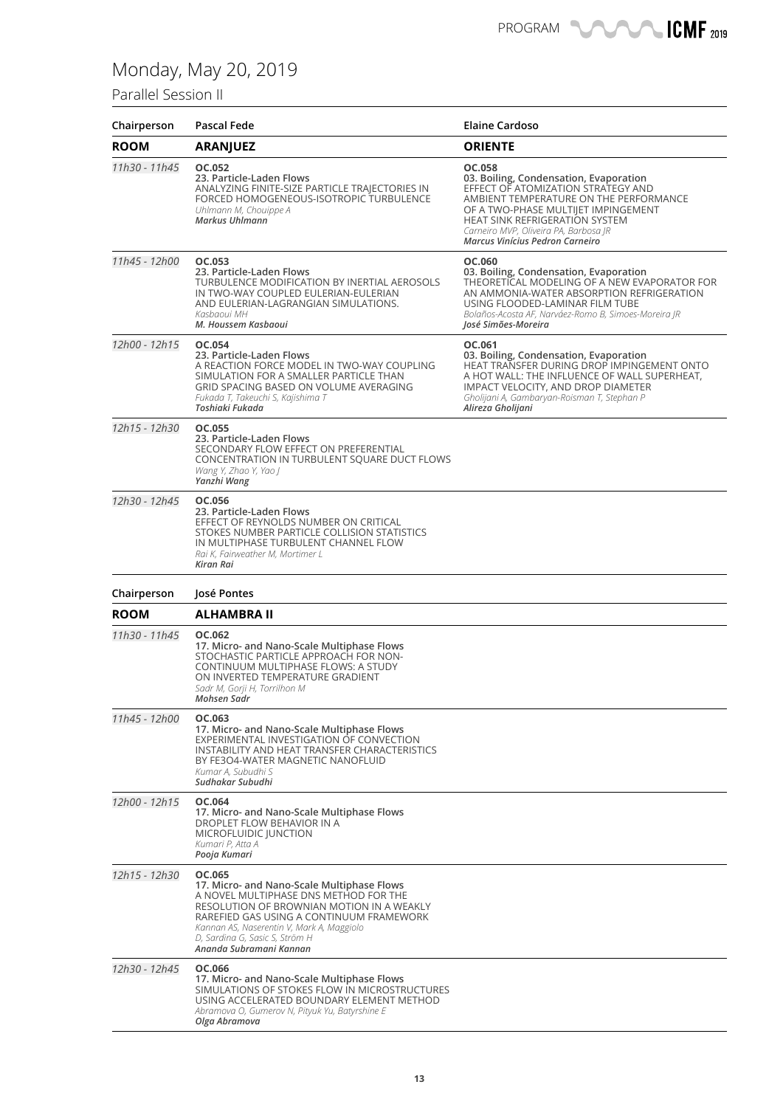### Parallel Session II

| Chairperson   | Pascal Fede                                                                                                                                                                                                                                                                                      | <b>Elaine Cardoso</b>                                                                                                                                                                                                                                                                        |
|---------------|--------------------------------------------------------------------------------------------------------------------------------------------------------------------------------------------------------------------------------------------------------------------------------------------------|----------------------------------------------------------------------------------------------------------------------------------------------------------------------------------------------------------------------------------------------------------------------------------------------|
| <b>ROOM</b>   | <b>ARANJUEZ</b>                                                                                                                                                                                                                                                                                  | <b>ORIENTE</b>                                                                                                                                                                                                                                                                               |
| 11h30 - 11h45 | OC.052<br>23. Particle-Laden Flows<br>ANALYZING FINITE-SIZE PARTICLE TRAJECTORIES IN<br>FORCED HOMOGENEOUS-ISOTROPIC TURBULENCE<br>Uhlmann M, Chouippe A<br>Markus Uhlmann                                                                                                                       | OC.058<br>03. Boiling, Condensation, Evaporation<br>EFFECT OF ATOMIZATION STRATEGY AND<br>AMBIENT TEMPERATURE ON THE PERFORMANCE<br>OF A TWO-PHASE MULTIJET IMPINGEMENT<br><b>HEAT SINK REFRIGERATION SYSTEM</b><br>Carneiro MVP, Oliveira PA, Barbosa JR<br>Marcus Vinícius Pedron Carneiro |
| 11h45 - 12h00 | OC.053<br>23. Particle-Laden Flows<br>TURBULENCE MODIFICATION BY INERTIAL AEROSOLS<br>IN TWO-WAY COUPLED EULERIAN-EULERIAN<br>AND EULERIAN-LAGRANGIAN SIMULATIONS.<br>Kasbaoui MH<br>M. Houssem Kasbaoui                                                                                         | OC.060<br>03. Boiling, Condensation, Evaporation<br>THEORETICAL MODELING OF A NEW EVAPORATOR FOR<br>AN AMMONIA-WATER ABSORPTION REFRIGERATION<br>USING FLOODED-LAMINAR FILM TUBE<br>Bolaños-Acosta AF, Narváez-Romo B, Simoes-Moreira JR<br>José Simões-Moreira                              |
| 12h00 - 12h15 | OC.054<br>23. Particle-Laden Flows<br>A REACTION FORCE MODEL IN TWO-WAY COUPLING<br>SIMULATION FOR A SMALLER PARTICLE THAN<br>GRID SPACING BASED ON VOLUME AVERAGING<br>Fukada T, Takeuchi S, Kajishima T<br>Toshiaki Fukada                                                                     | OC.061<br>03. Boiling, Condensation, Evaporation<br>HEAT TRANSFER DURING DROP IMPINGEMENT ONTO<br>A HOT WALL: THE INFLUENCE OF WALL SUPERHEAT,<br>IMPACT VELOCITY, AND DROP DIAMETER<br>Gholijani A, Gambaryan-Roisman T, Stephan P<br>Alireza Gholijani                                     |
| 12h15 - 12h30 | OC.055<br>23. Particle-Laden Flows<br>SECONDARY FLOW EFFECT ON PREFERENTIAL<br>CONCENTRATION IN TURBULENT SQUARE DUCT FLOWS<br>Wang Y, Zhao Y, Yao J<br>Yanzhi Wang                                                                                                                              |                                                                                                                                                                                                                                                                                              |
| 12h30 - 12h45 | OC.056<br>23. Particle-Laden Flows<br>EFFECT OF REYNOLDS NUMBER ON CRITICAL<br>STOKES NUMBER PARTICLE COLLISION STATISTICS<br>IN MULTIPHASE TURBULENT CHANNEL FLOW<br>Rai K, Fairweather M, Mortimer L<br>Kiran Rai                                                                              |                                                                                                                                                                                                                                                                                              |
| Chairperson   | José Pontes                                                                                                                                                                                                                                                                                      |                                                                                                                                                                                                                                                                                              |
| <b>ROOM</b>   | ALHAMBRA II                                                                                                                                                                                                                                                                                      |                                                                                                                                                                                                                                                                                              |
| 11h30 - 11h45 | OC.062<br>17. Micro- and Nano-Scale Multiphase Flows<br>STOCHASTIC PARTICLE APPROACH FOR NON-<br>CONTINUUM MULTIPHASE FLOWS: A STUDY<br>ON INVERTED TEMPERATURE GRADIENT<br>Sadr M, Gorji H, Torrilhon M<br>Mohsen Sadr                                                                          |                                                                                                                                                                                                                                                                                              |
| 11h45 - 12h00 | OC.063<br>17. Micro- and Nano-Scale Multiphase Flows<br>EXPERIMENTAL INVESTIGATION OF CONVECTION<br>INSTABILITY AND HEAT TRANSFER CHARACTERISTICS<br>BY FE3O4-WATER MAGNETIC NANOFLUID<br>Kumar A, Subudhi S<br>Sudhakar Subudhi                                                                 |                                                                                                                                                                                                                                                                                              |
| 12h00 - 12h15 | OC.064<br>17. Micro- and Nano-Scale Multiphase Flows<br>DROPLET FLOW BEHAVIOR IN A<br>MICROFLUIDIC JUNCTION<br>Kumari P, Atta A<br>Pooja Kumari                                                                                                                                                  |                                                                                                                                                                                                                                                                                              |
| 12h15 - 12h30 | OC.065<br>17. Micro- and Nano-Scale Multiphase Flows<br>A NOVEL MULTIPHASE DNS METHOD FOR THE<br>RESOLUTION OF BROWNIAN MOTION IN A WEAKLY<br>RAREFIED GAS USING A CONTINUUM FRAMEWORK<br>Kannan AS, Naserentin V, Mark A, Maggiolo<br>D, Sardina G, Sasic S, Ström H<br>Ananda Subramani Kannan |                                                                                                                                                                                                                                                                                              |
| 12h30 - 12h45 | OC.066<br>17. Micro- and Nano-Scale Multiphase Flows<br>SIMULATIONS OF STOKES FLOW IN MICROSTRUCTURES<br>USING ACCELERATED BOUNDARY ELEMENT METHOD<br>Abramova O, Gumerov N, Pityuk Yu, Batyrshine E<br>Olga Abramova                                                                            |                                                                                                                                                                                                                                                                                              |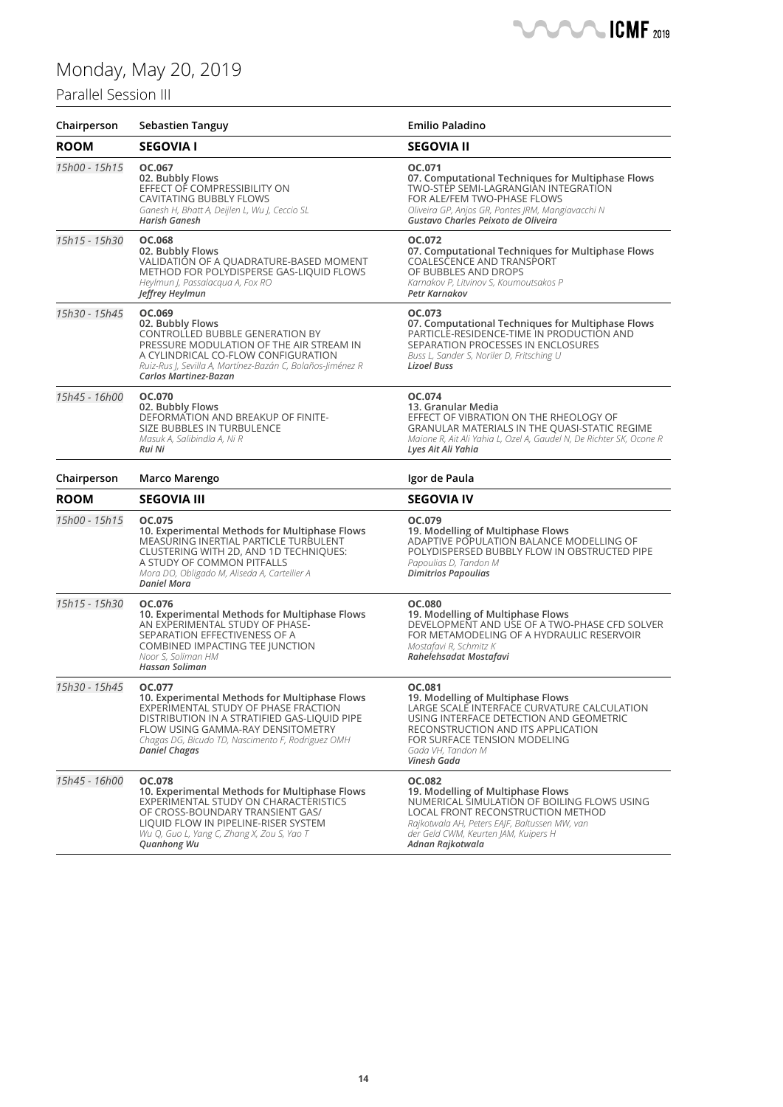### Parallel Session III

| Chairperson   | <b>Sebastien Tanguy</b>                                                                                                                                                                                                                                           | <b>Emilio Paladino</b>                                                                                                                                                                                                                              |
|---------------|-------------------------------------------------------------------------------------------------------------------------------------------------------------------------------------------------------------------------------------------------------------------|-----------------------------------------------------------------------------------------------------------------------------------------------------------------------------------------------------------------------------------------------------|
| <b>ROOM</b>   | <b>SEGOVIA I</b>                                                                                                                                                                                                                                                  | <b>SEGOVIA II</b>                                                                                                                                                                                                                                   |
| 15h00 - 15h15 | OC.067<br>02. Bubbly Flows<br>EFFECT OF COMPRESSIBILITY ON<br><b>CAVITATING BUBBLY FLOWS</b><br>Ganesh H, Bhatt A, Deijlen L, Wu J, Ceccio SL<br>Harish Ganesh                                                                                                    | OC.071<br>07. Computational Techniques for Multiphase Flows<br>TWO-STEP SEMI-LAGRANGIAN INTEGRATION<br>FOR ALE/FEM TWO-PHASE FLOWS<br>Oliveira GP, Anjos GR, Pontes JRM, Mangiavacchi N<br>Gustavo Charles Peixoto de Oliveira                      |
| 15h15 - 15h30 | OC.068<br>02. Bubbly Flows<br>VALIDATIÓN OF A QUADRATURE-BASED MOMENT<br>METHOD FOR POLYDISPERSE GAS-LIQUID FLOWS<br>Heylmun J, Passalacqua A, Fox RO<br>Jeffrey Heylmun                                                                                          | OC.072<br>07. Computational Techniques for Multiphase Flows<br>COALESCENCE AND TRANSPORT<br>OF BUBBLES AND DROPS<br>Karnakov P, Litvinov S, Koumoutsakos P<br>Petr Karnakov                                                                         |
| 15h30 - 15h45 | OC.069<br>02. Bubbly Flows<br>CONTROLLED BUBBLE GENERATION BY<br>PRESSURE MODULATION OF THE AIR STREAM IN<br>A CYLINDRICAL CO-FLOW CONFIGURATION<br>Ruiz-Rus J, Sevilla A, Martínez-Bazán C, Bolaños-Jiménez R<br>Carlos Martinez-Bazan                           | OC.073<br>07. Computational Techniques for Multiphase Flows<br>PARTICLE-RESIDENCE-TIME IN PRODUCTION AND<br>SEPARATION PROCESSES IN ENCLOSURES<br>Buss L, Sander S, Noriler D, Fritsching U<br>Lizoel Buss                                          |
| 15h45 - 16h00 | OC.070<br>02. Bubbly Flows<br>DEFORMATION AND BREAKUP OF FINITE-<br>SIZE BUBBLES IN TURBULENCE<br>Masuk A, Salibindla A, Ni R<br>Rui Ni                                                                                                                           | OC.074<br>13. Granular Media<br>EFFECT OF VIBRATION ON THE RHEOLOGY OF<br><b>GRANULAR MATERIALS IN THE QUASI-STATIC REGIME</b><br>Maione R, Ait Ali Yahia L, Ozel A, Gaudel N, De Richter SK, Ocone R<br>Lyes Ait Ali Yahia                         |
| Chairperson   | Marco Marengo                                                                                                                                                                                                                                                     | Igor de Paula                                                                                                                                                                                                                                       |
| <b>ROOM</b>   | <b>SEGOVIA III</b>                                                                                                                                                                                                                                                | <b>SEGOVIA IV</b>                                                                                                                                                                                                                                   |
| 15h00 - 15h15 | OC.075<br>10. Experimental Methods for Multiphase Flows<br>MEASURING INERTIAL PARTICLE TURBULENT<br>CLUSTERING WITH 2D, AND 1D TECHNIQUES:<br>A STUDY OF COMMON PITFALLS<br>Mora DO, Obligado M, Aliseda A, Cartellier A<br><b>Daniel Mora</b>                    | OC.079<br>19. Modelling of Multiphase Flows<br>ADAPTIVE POPULATION BALANCE MODELLING OF<br>POLYDISPERSED BUBBLY FLOW IN OBSTRUCTED PIPE<br>Papoulias D, Tandon M<br><b>Dimitrios Papoulias</b>                                                      |
| 15h15 - 15h30 | OC.076<br>10. Experimental Methods for Multiphase Flows<br>AN EXPERIMENTAL STUDY OF PHASE-<br>SEPARATION EFFECTIVENESS OF A<br>COMBINED IMPACTING TEE JUNCTION<br>Noor S, Soliman HM<br>Hassan Soliman                                                            | <b>OC.080</b><br>19. Modelling of Multiphase Flows<br>DEVELOPMENT AND USE OF A TWO-PHASE CFD SOLVER<br>FOR METAMODELING OF A HYDRAULIC RESERVOIR<br>Mostafavi R, Schmitz K<br>Rahelehsadat Mostafavi                                                |
| 15h30 - 15h45 | OC.077<br>10. Experimental Methods for Multiphase Flows<br>EXPERIMENTAL STUDY OF PHASE FRACTION<br>DISTRIBUTION IN A STRATIFIED GAS-LIQUID PIPE<br>FLOW USING GAMMA-RAY DENSITOMETRY<br>Chagas DG, Bicudo TD, Nascimento F, Rodriguez OMH<br><b>Daniel Chagas</b> | OC.081<br>19. Modelling of Multiphase Flows<br>LARGE SCALE INTERFACE CURVATURE CALCULATION<br>USING INTERFACE DETECTION AND GEOMETRIC<br>RECONSTRUCTION AND ITS APPLICATION<br>FOR SURFACE TENSION MODELING<br>Gada VH, Tandon M<br>Vinesh Gada     |
| 15h45 - 16h00 | OC.078<br>10. Experimental Methods for Multiphase Flows<br>EXPERIMENTAL STUDY ON CHARACTERISTICS<br>OF CROSS-BOUNDARY TRANSIENT GAS/<br>LIQUID FLOW IN PIPELINE-RISER SYSTEM<br>Wu Q, Guo L, Yang C, Zhang X, Zou S, Yao T<br>Quanhong Wu                         | <b>OC.082</b><br>19. Modelling of Multiphase Flows<br>NUMERICAL SIMULATION OF BOILING FLOWS USING<br>LOCAL FRONT RECONSTRUCTION METHOD<br>Rajkotwala AH, Peters EAJF, Baltussen MW, van<br>der Geld CWM, Keurten JAM, Kuipers H<br>Adnan Rajkotwala |

**NANCICAF**<sub>2019</sub>

 $\blacksquare$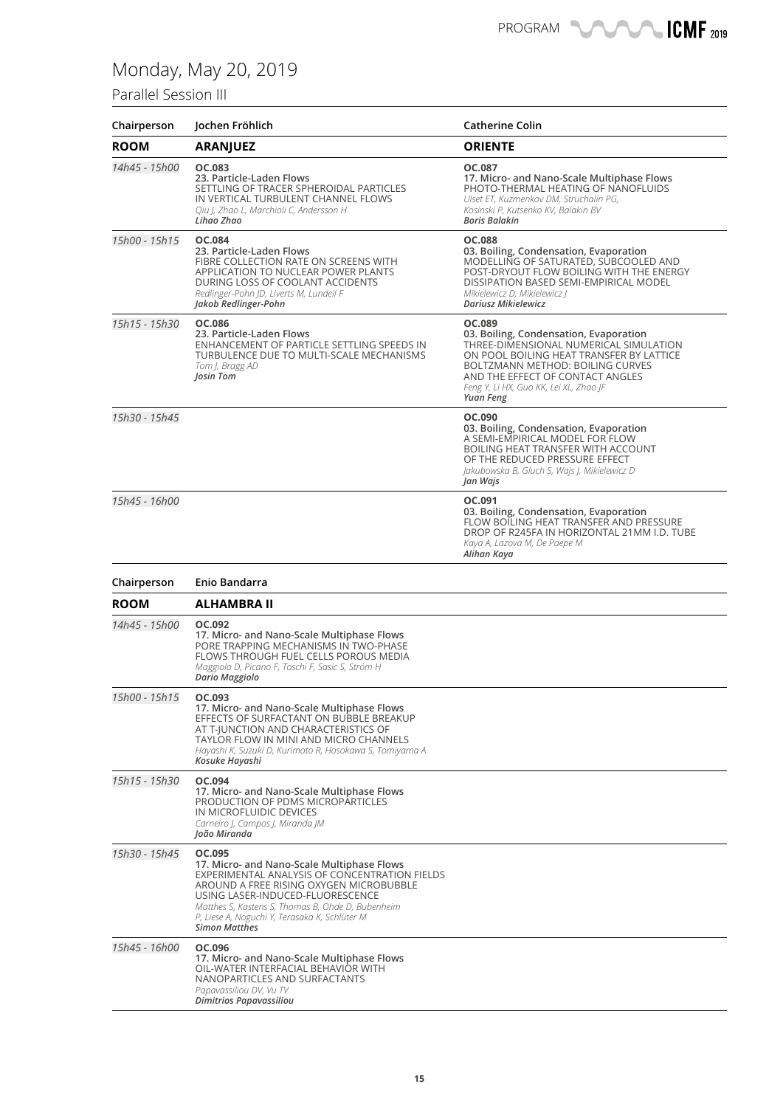### Parallel Session III

| Chairperson   | Jochen Fröhlich                                                                                                                                                                                                                  | <b>Catherine Colin</b>                                                                                                                                                                                                                                                       |
|---------------|----------------------------------------------------------------------------------------------------------------------------------------------------------------------------------------------------------------------------------|------------------------------------------------------------------------------------------------------------------------------------------------------------------------------------------------------------------------------------------------------------------------------|
| <b>ROOM</b>   | <b>ARANJUEZ</b>                                                                                                                                                                                                                  | <b>ORIENTE</b>                                                                                                                                                                                                                                                               |
| 14h45 - 15h00 | OC.083<br>23. Particle-Laden Flows<br>SETTLING OF TRACER SPHEROIDAL PARTICLES<br>IN VERTICAL TURBULENT CHANNEL FLOWS<br>Qiu I, Zhao L, Marchioli C, Andersson H<br>Lihao Zhao                                                    | OC.087<br>17. Micro- and Nano-Scale Multiphase Flows<br>PHOTO-THERMAL HEATING OF NANOFLUIDS<br>Ulset ET, Kuzmenkov DM, Struchalin PG,<br>Kosinski P, Kutsenko KV, Balakin BV<br><b>Boris Balakin</b>                                                                         |
| 15h00 - 15h15 | <b>OC.084</b><br>23. Particle-Laden Flows<br>FIBRE COLLECTION RATE ON SCREENS WITH<br>APPLICATION TO NUCLEAR POWER PLANTS<br>DURING LOSS OF COOLANT ACCIDENTS<br>Redlinger-Pohn JD, Liverts M, Lundell F<br>Jakob Redlinger-Pohn | <b>OC.088</b><br>03. Boiling, Condensation, Evaporation<br>MODELLING OF SATURATED, SUBCOOLED AND<br>POST-DRYOUT FLOW BOILING WITH THE ENERGY<br>DISSIPATION BASED SEMI-EMPIRICAL MODEL<br>Mikielewicz D, Mikielewicz J<br><b>Dariusz Mikielewicz</b>                         |
| 15h15 - 15h30 | OC.086<br>23. Particle-Laden Flows<br>ENHANCEMENT OF PARTICLE SETTLING SPEEDS IN<br>TURBULENCE DUE TO MULTI-SCALE MECHANISMS<br>Tom J, Bragg AD<br>Josin Tom                                                                     | OC.089<br>03. Boiling, Condensation, Evaporation<br>THREE-DIMENSIONAL NUMERICAL SIMULATION<br>ON POOL BOILING HEAT TRANSFER BY LATTICE<br><b>BOLTZMANN METHOD: BOILING CURVES</b><br>AND THE EFFECT OF CONTACT ANGLES<br>Feng Y, Li HX, Guo KK, Lei XL, Zhao JF<br>Yuan Feng |
| 15h30 - 15h45 |                                                                                                                                                                                                                                  | OC.090<br>03. Boiling, Condensation, Evaporation<br>A SEMI-EMPIRICAL MODEL FOR FLOW<br>BOILING HEAT TRANSFER WITH ACCOUNT<br>OF THE REDUCED PRESSURE EFFECT<br>Jakubowska B, Gluch S, Wajs J, Mikielewicz D<br>Jan Wajs                                                      |
| 15h45 - 16h00 |                                                                                                                                                                                                                                  | OC.091<br>03. Boiling, Condensation, Evaporation<br>FLOW BOILING HEAT TRANSFER AND PRESSURE<br>DROP OF R245FA IN HORIZONTAL 21MM I.D. TUBE<br>Kaya A, Lazova M, De Paepe M<br>Alihan Kaya                                                                                    |
| Chairperson   | Enio Bandarra                                                                                                                                                                                                                    |                                                                                                                                                                                                                                                                              |
| <b>ROOM</b>   | <b>ALHAMBRA II</b>                                                                                                                                                                                                               |                                                                                                                                                                                                                                                                              |
| 14h45 - 15h00 | OC.092<br>17. Micro- and Nano-Scale Multiphase Flows<br>PORE TRAPPING MECHANISMS IN TWO-PHASE<br>FLOWS THROUGH FUEL CELLS POROUS MEDIA<br>Maggiolo D, Picano F, Toschi F, Sasic S, Ström H<br>Dario Maggiolo                     |                                                                                                                                                                                                                                                                              |
| 15h00 - 15h15 | OC.093                                                                                                                                                                                                                           |                                                                                                                                                                                                                                                                              |

**17. Micro- and Nano-Scale Multiphase Flows** EFFECTS OF SURFACTANT ON BUBBLE BREAKUP AT T-JUNCTION AND CHARACTERISTICS OF TAYLOR FLOW IN MINI AND MICRO CHANNELS *Hayashi K, Suzuki D, Kurimoto R, Hosokawa S, Tomiyama A*

**17. Micro- and Nano-Scale Multiphase Flows** PRODUCTION OF PDMS MICROPARTICLES

**17. Micro- and Nano-Scale Multiphase Flows** OIL-WATER INTERFACIAL BEHAVIOR WITH NANOPARTICLES AND SURFACTANTS

**17. Micro- and Nano-Scale Multiphase Flows** EXPERIMENTAL ANALYSIS OF CONCENTRATION FIELDS AROUND A FREE RISING OXYGEN MICROBUBBLE USING LASER-INDUCED-FLUORESCENCE *Matthes S, Kastens S, Thomas B, Ohde D, Bubenheim P, Liese A, Noguchi Y, Terasaka K, Schlüter M*

*Kosuke Hayashi*

*João Miranda*

*Simon Matthes*

*Papavassiliou DV, Vu TV Dimitrios Papavassiliou*

**IN MICROFLUIDIC DEVICES** *Carneiro J, Campos J, Miranda JM*

*15h15 - 15h30* **OC.094**

*15h30 - 15h45* **OC.095**

*15h45 - 16h00* **OC.096**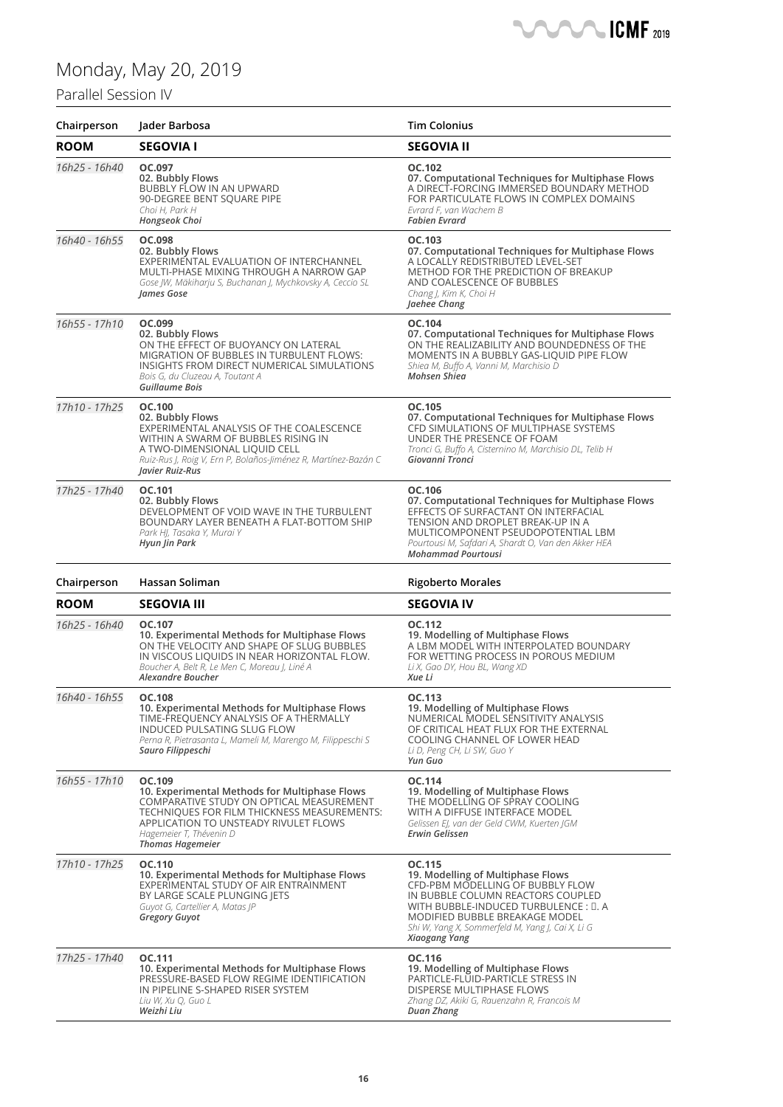*Weizhi Liu*

### Parallel Session IV

| Chairperson   | Jader Barbosa                                                                                                                                                                                                                                     | <b>Tim Colonius</b>                                                                                                                                                                                                                                                   |
|---------------|---------------------------------------------------------------------------------------------------------------------------------------------------------------------------------------------------------------------------------------------------|-----------------------------------------------------------------------------------------------------------------------------------------------------------------------------------------------------------------------------------------------------------------------|
| <b>ROOM</b>   | <b>SEGOVIA I</b>                                                                                                                                                                                                                                  | <b>SEGOVIA II</b>                                                                                                                                                                                                                                                     |
| 16h25 - 16h40 | OC.097<br>02. Bubbly Flows<br>BUBBLY FLOW IN AN UPWARD<br>90-DEGREE BENT SQUARE PIPE<br>Choi H, Park H<br>Hongseok Choi                                                                                                                           | OC.102<br>07. Computational Techniques for Multiphase Flows<br>A DIRECT-FORCING IMMERSED BOUNDARY METHOD<br>FOR PARTICULATE FLOWS IN COMPLEX DOMAINS<br>Evrard F, van Wachem B<br><b>Fabien Evrard</b>                                                                |
| 16h40 - 16h55 | OC.098<br>02. Bubbly Flows<br>EXPERIMENTAL EVALUATION OF INTERCHANNEL<br>MULTI-PHASE MIXING THROUGH A NARROW GAP<br>Gose JW, Mäkiharju S, Buchanan J, Mychkovsky A, Ceccio SL<br>James Gose                                                       | OC.103<br>07. Computational Techniques for Multiphase Flows<br>A LOCALLY REDISTRIBUTED LEVEL-SET<br><b>METHOD FOR THE PREDICTION OF BREAKUP</b><br>AND COALESCENCE OF BUBBLES<br>Chang J, Kim K, Choi H<br>Jaehee Chang                                               |
| 16h55 - 17h10 | OC.099<br>02. Bubbly Flows<br>ON THE EFFECT OF BUOYANCY ON LATERAL<br>MIGRATION OF BUBBLES IN TURBULENT FLOWS:<br>INSIGHTS FROM DIRECT NUMERICAL SIMULATIONS<br>Bois G, du Cluzeau A, Toutant A<br>Guillaume Bois                                 | OC.104<br>07. Computational Techniques for Multiphase Flows<br>ON THE REALIZABILITY AND BOUNDEDNESS OF THE<br>MOMENTS IN A BUBBLY GAS-LIQUID PIPE FLOW<br>Shiea M, Buffo A, Vanni M, Marchisio D<br>Mohsen Shiea                                                      |
| 17h10 - 17h25 | OC.100<br>02. Bubbly Flows<br>EXPERIMENTAL ANALYSIS OF THE COALESCENCE<br>WITHIN A SWARM OF BUBBLES RISING IN<br>A TWO-DIMENSIONAL LIQUID CELL<br>Ruiz-Rus J, Roig V, Ern P, Bolaños-Jiménez R, Martínez-Bazán C<br>Javier Ruiz-Rus               | OC.105<br>07. Computational Techniques for Multiphase Flows<br>CFD SIMULATIONS OF MULTIPHASE SYSTEMS<br>UNDER THE PRESENCE OF FOAM<br>Tronci G, Buffo A, Cisternino M, Marchisio DL, Telib H<br>Giovanni Tronci                                                       |
| 17h25 - 17h40 | OC.101<br>02. Bubbly Flows<br>DEVELOPMENT OF VOID WAVE IN THE TURBULENT<br>BOUNDARY LAYER BENEATH A FLAT-BOTTOM SHIP<br>Park HJ, Tasaka Y, Murai Y<br>Hyun Jin Park                                                                               | OC.106<br>07. Computational Techniques for Multiphase Flows<br>EFFECTS OF SURFACTANT ON INTERFACIAL<br>TENSION AND DROPLET BREAK-UP IN A<br>MULTICOMPONENT PSEUDOPOTENTIAL LBM<br>Pourtousi M, Safdari A, Shardt O, Van den Akker HEA<br><b>Mohammad Pourtousi</b>    |
| Chairperson   | Hassan Soliman                                                                                                                                                                                                                                    | <b>Rigoberto Morales</b>                                                                                                                                                                                                                                              |
| <b>ROOM</b>   | <b>SEGOVIA III</b>                                                                                                                                                                                                                                | SEGOVIA IV                                                                                                                                                                                                                                                            |
| 16h25 - 16h40 | OC.107<br>10. Experimental Methods for Multiphase Flows<br>ON THE VELOCITY AND SHAPE OF SLUG BUBBLES<br>IN VISCOUS LIQUIDS IN NEAR HORIZONTAL FLOW.<br>Boucher A, Belt R, Le Men C, Moreau J, Liné A<br><b>Alexandre Boucher</b>                  | OC.112<br>19. Modelling of Multiphase Flows<br>A LBM MODEL WITH INTERPOLATED BOUNDARY<br>FOR WETTING PROCESS IN POROUS MEDIUM<br>Li X, Gao DY, Hou BL, Wang XD<br>Xue Li                                                                                              |
| 16h40 - 16h55 | OC.108<br>10. Experimental Methods for Multiphase Flows<br>TIME-FREQUENCY ANALYSIS OF A THERMALLY<br>INDUCED PULSATING SLUG FLOW<br>Perna R, Pietrasanta L, Mameli M, Marengo M, Filippeschi S<br>Sauro Filippeschi                               | OC.113<br>19. Modelling of Multiphase Flows<br>NUMERICAL MODEL SENSITIVITY ANALYSIS<br>OF CRITICAL HEAT FLUX FOR THE EXTERNAL<br>COOLING CHANNEL OF LOWER HEAD<br>Li D, Peng CH, Li SW, Guo Y<br>Yun Guo                                                              |
| 16h55 - 17h10 | OC.109<br>10. Experimental Methods for Multiphase Flows<br>COMPARATIVE STUDY ON OPTICAL MEASUREMENT<br>TECHNIQUES FOR FILM THICKNESS MEASUREMENTS:<br>APPLICATION TO UNSTEADY RIVULET FLOWS<br>Hagemeier T, Thévenin D<br><b>Thomas Hagemeier</b> | OC.114<br>19. Modelling of Multiphase Flows<br>THE MODELLING OF SPRAY COOLING<br>WITH A DIFFUSE INTERFACE MODEL<br>Gelissen EJ, van der Geld CWM, Kuerten JGM<br><b>Erwin Gelissen</b>                                                                                |
| 17h10 - 17h25 | OC.110<br>10. Experimental Methods for Multiphase Flows<br>EXPERIMENTAL STUDY OF AIR ENTRAINMENT<br>BY LARGE SCALE PLUNGING JETS<br>Guyot G, Cartellier A, Matas JP<br><b>Gregory Guyot</b>                                                       | OC.115<br>19. Modelling of Multiphase Flows<br>CFD-PBM MODELLING OF BUBBLY FLOW<br>IN BUBBLE COLUMN REACTORS COUPLED<br>WITH BUBBLE-INDUCED TURBULENCE : []. A<br>MODIFIED BUBBLE BREAKAGE MODEL<br>Shi W, Yang X, Sommerfeld M, Yang J, Cai X, Li G<br>Xiaogang Yang |
| 17h25 - 17h40 | OC.111<br>10. Experimental Methods for Multiphase Flows<br>PRESSURE-BASED FLOW REGIME IDENTIFICATION<br>IN PIPELINE S-SHAPED RISER SYSTEM<br>Liu W, Xu Q, Guo L                                                                                   | OC.116<br>19. Modelling of Multiphase Flows<br>PARTICLE-FLUID-PARTICLE STRESS IN<br><b>DISPERSE MULTIPHASE FLOWS</b><br>Zhang DZ, Akiki G, Rauenzahn R, Francois M                                                                                                    |

**CMF** 2019

*Duan Zhang*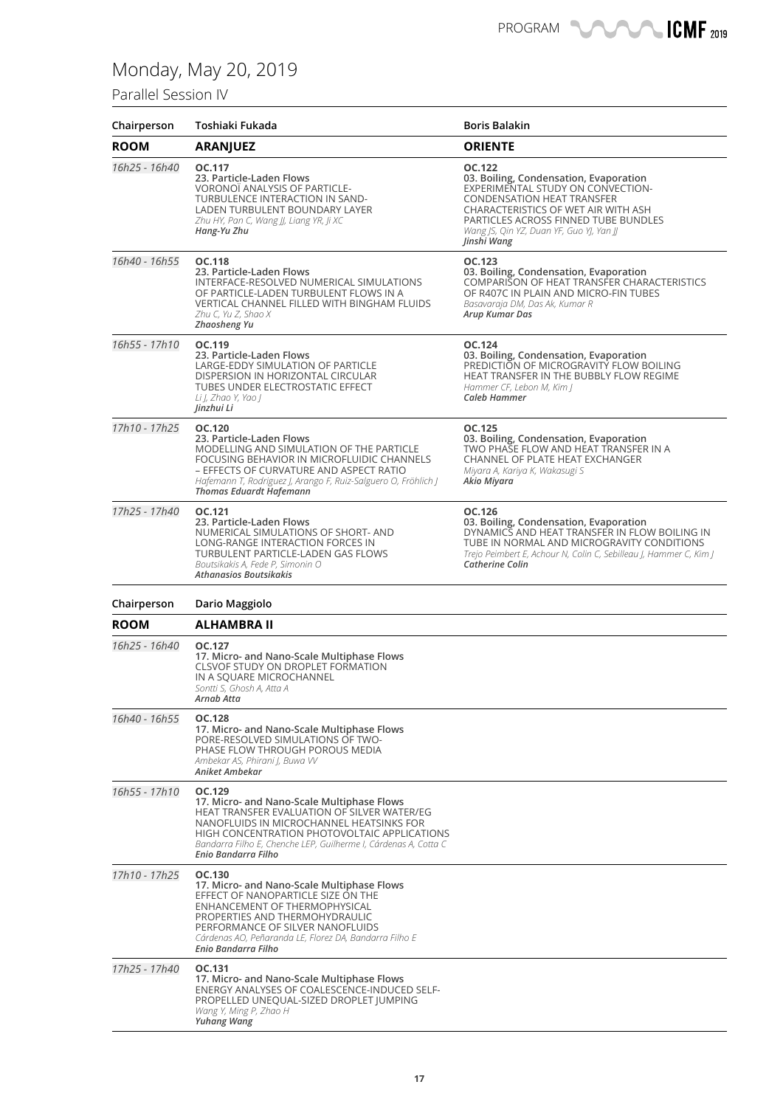### Parallel Session IV

| Chairperson   | Toshiaki Fukada                                                                                                                                                                                                                                                                           | <b>Boris Balakin</b>                                                                                                                                                                                                                                                 |
|---------------|-------------------------------------------------------------------------------------------------------------------------------------------------------------------------------------------------------------------------------------------------------------------------------------------|----------------------------------------------------------------------------------------------------------------------------------------------------------------------------------------------------------------------------------------------------------------------|
| <b>ROOM</b>   | <b>ARANJUEZ</b>                                                                                                                                                                                                                                                                           | <b>ORIENTE</b>                                                                                                                                                                                                                                                       |
| 16h25 - 16h40 | OC.117<br>23. Particle-Laden Flows<br>VORONOI ANALYSIS OF PARTICLE-<br>TURBULENCE INTERACTION IN SAND-<br>LADEN TURBULENT BOUNDARY LAYER<br>Zhu HY, Pan C, Wang JJ, Liang YR, Ji XC<br>Hang-Yu Zhu                                                                                        | OC.122<br>03. Boiling, Condensation, Evaporation<br>EXPERIMENTAL STUDY ON CONVECTION-<br><b>CONDENSATION HEAT TRANSFER</b><br>CHARACTERISTICS OF WET AIR WITH ASH<br>PARTICLES ACROSS FINNED TUBE BUNDLES<br>Wang JS, Qin YZ, Duan YF, Guo YJ, Yan JJ<br>Jinshi Wang |
| 16h40 - 16h55 | <b>OC.118</b><br>23. Particle-Laden Flows<br>INTERFACE-RESOLVED NUMERICAL SIMULATIONS<br>OF PARTICLE-LADEN TURBULENT FLOWS IN A<br>VERTICAL CHANNEL FILLED WITH BINGHAM FLUIDS<br>Zhu C, Yu Z, Shao X<br><b>Zhaosheng Yu</b>                                                              | OC.123<br>03. Boiling, Condensation, Evaporation<br>COMPARISON OF HEAT TRANSFER CHARACTERISTICS<br>OF R407C IN PLAIN AND MICRO-FIN TUBES<br>Basavaraja DM, Das Ak, Kumar R<br>Arup Kumar Das                                                                         |
| 16h55 - 17h10 | OC.119<br>23. Particle-Laden Flows<br>LARGE-EDDY SIMULATION OF PARTICLE<br>DISPERSION IN HORIZONTAL CIRCULAR<br>TUBES UNDER ELECTROSTATIC EFFECT<br>Li J, Zhao Y, Yao J<br>Jinzhui Li                                                                                                     | OC.124<br>03. Boiling, Condensation, Evaporation<br>PREDICTION OF MICROGRAVITY FLOW BOILING<br>HEAT TRANSFER IN THE BUBBLY FLOW REGIME<br>Hammer CF, Lebon M, Kim J<br>Caleb Hammer                                                                                  |
| 17h10 - 17h25 | OC.120<br>23. Particle-Laden Flows<br>MODELLING AND SIMULATION OF THE PARTICLE<br>FOCUSING BEHAVIOR IN MICROFLUIDIC CHANNELS<br>- EFFECTS OF CURVATURE AND ASPECT RATIO<br>Hafemann T, Rodriguez J, Arango F, Ruiz-Salguero O, Fröhlich J<br><b>Thomas Eduardt Hafemann</b>               | OC.125<br>03. Boiling, Condensation, Evaporation<br>TWO PHASE FLOW AND HEAT TRANSFER IN A<br>CHANNEL OF PLATE HEAT EXCHANGER<br>Miyara A, Kariya K, Wakasugi S<br>Akio Miyara                                                                                        |
| 17h25 - 17h40 | OC.121<br>23. Particle-Laden Flows<br>NUMERICAL SIMULATIONS OF SHORT-AND<br>LONG-RANGE INTERACTION FORCES IN<br>TURBULENT PARTICLE-LADEN GAS FLOWS<br>Boutsikakis A, Fede P, Simonin O<br>Athanasios Boutsikakis                                                                          | OC.126<br>03. Boiling, Condensation, Evaporation<br>DYNAMICS AND HEAT TRANSFER IN FLOW BOILING IN<br>TUBE IN NORMAL AND MICROGRAVITY CONDITIONS<br>Trejo Peimbert E, Achour N, Colin C, Sebilleau J, Hammer C, Kim J<br><b>Catherine Colin</b>                       |
| Chairperson   | Dario Maggiolo                                                                                                                                                                                                                                                                            |                                                                                                                                                                                                                                                                      |
| <b>ROOM</b>   | ALHAMBRA II                                                                                                                                                                                                                                                                               |                                                                                                                                                                                                                                                                      |
| 16h25 - 16h40 | OC.127<br>17. Micro- and Nano-Scale Multiphase Flows<br><b>CLSVOF STUDY ON DROPLET FORMATION</b><br>IN A SQUARE MICROCHANNEL<br>Sontti S, Ghosh A, Atta A<br>Arnab Atta                                                                                                                   |                                                                                                                                                                                                                                                                      |
| 16h40 - 16h55 | OC.128<br>17. Micro- and Nano-Scale Multiphase Flows<br>PORE-RESOLVED SIMULATIONS OF TWO-<br>PHASE FLOW THROUGH POROUS MEDIA<br>Ambekar AS, Phirani I, Buwa W<br>Aniket Ambekar                                                                                                           |                                                                                                                                                                                                                                                                      |
| 16h55 - 17h10 | OC.129<br>17. Micro- and Nano-Scale Multiphase Flows<br>HEAT TRANSFER EVALUATION OF SILVER WATER/EG<br>NANOFLUIDS IN MICROCHANNEL HEATSINKS FOR<br>HIGH CONCENTRATION PHOTOVOLTAIC APPLICATIONS<br>Bandarra Filho E, Chenche LEP, Guilherme I, Cárdenas A, Cotta C<br>Enio Bandarra Filho |                                                                                                                                                                                                                                                                      |
| 17h10 - 17h25 | OC.130<br>17. Micro- and Nano-Scale Multiphase Flows<br>EFFECT OF NANOPARTICLE SIZE ON THE<br>ENHANCEMENT OF THERMOPHYSICAL<br>PROPERTIES AND THERMOHYDRAULIC<br>PERFORMANCE OF SILVER NANOFLUIDS<br>Cárdenas AO, Peñaranda LE, Florez DA, Bandarra Filho E<br>Enio Bandarra Filho        |                                                                                                                                                                                                                                                                      |
| 17h25 - 17h40 | OC.131<br>17. Micro- and Nano-Scale Multiphase Flows<br>ENERGY ANALYSES OF COALESCENCE-INDUCED SELF-<br>PROPELLED UNEQUAL-SIZED DROPLET JUMPING<br>Wang Y, Ming P, Zhao H<br>Yuhang Wang                                                                                                  |                                                                                                                                                                                                                                                                      |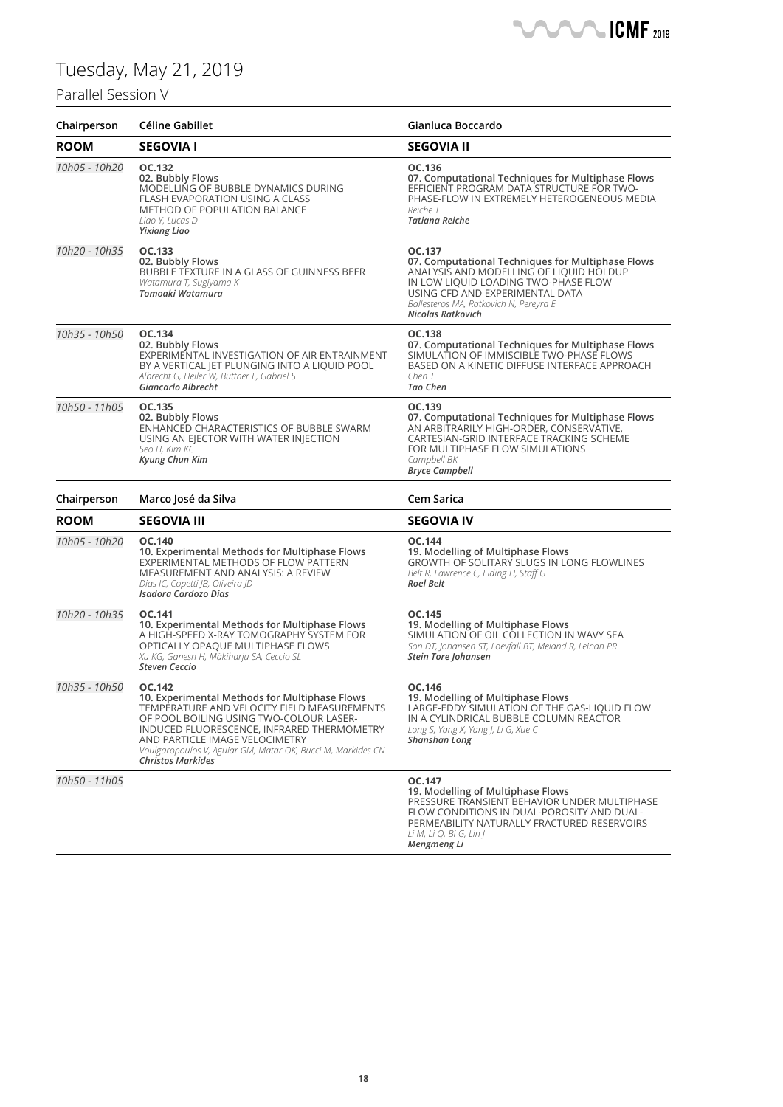## Parallel Session V



| Chairperson   | Céline Gabillet                                                                                                                                                                                                                                                                                                              | Gianluca Boccardo                                                                                                                                                                                                                                       |
|---------------|------------------------------------------------------------------------------------------------------------------------------------------------------------------------------------------------------------------------------------------------------------------------------------------------------------------------------|---------------------------------------------------------------------------------------------------------------------------------------------------------------------------------------------------------------------------------------------------------|
| <b>ROOM</b>   | <b>SEGOVIA I</b>                                                                                                                                                                                                                                                                                                             | <b>SEGOVIA II</b>                                                                                                                                                                                                                                       |
| 10h05 - 10h20 | OC.132<br>02. Bubbly Flows<br>MODELLING OF BUBBLE DYNAMICS DURING<br>FLASH EVAPORATION USING A CLASS<br><b>METHOD OF POPULATION BALANCE</b><br>Liao Y, Lucas D<br><b>Yixiang Liao</b>                                                                                                                                        | OC.136<br>07. Computational Techniques for Multiphase Flows<br>EFFICIENT PROGRAM DATA STRUCTURE FOR TWO-<br>PHASE-FLOW IN EXTREMELY HETEROGENEOUS MEDIA<br>Reiche T<br><b>Tatiana Reiche</b>                                                            |
| 10h20 - 10h35 | OC.133<br>02. Bubbly Flows<br>BUBBLE TEXTURE IN A GLASS OF GUINNESS BEER<br>Watamura T, Sugiyama K<br>Tomoaki Watamura                                                                                                                                                                                                       | OC.137<br>07. Computational Techniques for Multiphase Flows<br>ANALYSIS AND MODELLING OF LIQUID HOLDUP<br>IN LOW LIQUID LOADING TWO-PHASE FLOW<br>USING CFD AND EXPERIMENTAL DATA<br>Ballesteros MA, Ratkovich N, Pereyra E<br><b>Nicolas Ratkovich</b> |
| 10h35 - 10h50 | OC.134<br>02. Bubbly Flows<br>EXPERIMENTAL INVESTIGATION OF AIR ENTRAINMENT<br>BY A VERTICAL JET PLUNGING INTO A LIQUID POOL<br>Albrecht G, Heiler W, Büttner F, Gabriel S<br>Giancarlo Albrecht                                                                                                                             | <b>OC.138</b><br>07. Computational Techniques for Multiphase Flows<br>SIMULATION OF IMMISCIBLE TWO-PHASE FLOWS<br>BASED ON A KINETIC DIFFUSE INTERFACE APPROACH<br>ChenT<br>Tao Chen                                                                    |
| 10h50 - 11h05 | OC.135<br>02. Bubbly Flows<br>ENHANCED CHARACTERISTICS OF BUBBLE SWARM<br>USING AN EJECTOR WITH WATER INJECTION<br>Seo H, Kim KC<br><b>Kyung Chun Kim</b>                                                                                                                                                                    | OC.139<br>07. Computational Techniques for Multiphase Flows<br>AN ARBITRARILY HIGH-ORDER, CONSERVATIVE,<br>CARTESIAN-GRID INTERFACE TRACKING SCHEME<br>FOR MULTIPHASE FLOW SIMULATIONS<br>Campbell BK<br><b>Bryce Campbell</b>                          |
| Chairperson   | Marco José da Silva                                                                                                                                                                                                                                                                                                          | Cem Sarica                                                                                                                                                                                                                                              |
| <b>ROOM</b>   | <b>SEGOVIA III</b>                                                                                                                                                                                                                                                                                                           | <b>SEGOVIA IV</b>                                                                                                                                                                                                                                       |
| 10h05 - 10h20 | OC.140<br>10. Experimental Methods for Multiphase Flows<br>EXPERIMENTAL METHODS OF FLOW PATTERN<br>MEASUREMENT AND ANALYSIS: A REVIEW<br>Dias IC, Copetti JB, Oliveira JD<br><b>Isadora Cardozo Dias</b>                                                                                                                     | OC.144<br>19. Modelling of Multiphase Flows<br>GROWTH OF SOLITARY SLUGS IN LONG FLOWLINES<br>Belt R, Lawrence C, Eiding H, Staff G<br><b>Roel Belt</b>                                                                                                  |
| 10h20 - 10h35 | OC.141<br>10. Experimental Methods for Multiphase Flows<br>A HIGH-SPEED X-RAY TOMOGRAPHY SYSTEM FOR<br>OPTICALLY OPAQUE MULTIPHASE FLOWS<br>Xu KG, Ganesh H, Mäkiharju SA, Ceccio SL<br><b>Steven Ceccio</b>                                                                                                                 | OC.145<br>19. Modelling of Multiphase Flows<br>SIMULATION OF OIL COLLECTION IN WAVY SEA<br>Son DT, Johansen ST, Loevfall BT, Meland R, Leinan PR<br><b>Stein Tore Johansen</b>                                                                          |
| 10h35 - 10h50 | OC.142<br>10. Experimental Methods for Multiphase Flows<br>TEMPERATURE AND VELOCITY FIELD MEASUREMENTS<br>OF POOL BOILING USING TWO-COLOUR LASER-<br>INDUCED FLUORESCENCE, INFRARED THERMOMETRY<br>AND PARTICLE IMAGE VELOCIMETRY<br>Voulgaropoulos V, Aguiar GM, Matar OK, Bucci M, Markides CN<br><b>Christos Markides</b> | OC.146<br>19. Modelling of Multiphase Flows<br>LARGE-EDDY SIMULATION OF THE GAS-LIQUID FLOW<br>IN A CYLINDRICAL BUBBLE COLUMN REACTOR<br>Long S, Yang X, Yang J, Li G, Xue C<br>Shanshan Long                                                           |
| 10h50 - 11h05 |                                                                                                                                                                                                                                                                                                                              | OC.147<br>19. Modelling of Multiphase Flows<br>PRESSURE TRANSIENT BEHAVIOR UNDER MULTIPHASE<br>FLOW CONDITIONS IN DUAL-POROSITY AND DUAL-<br>PERMEABILITY NATURALLY FRACTURED RESERVOIRS<br>Li M, Li Q, Bi G, Lin J                                     |

*Mengmeng Li*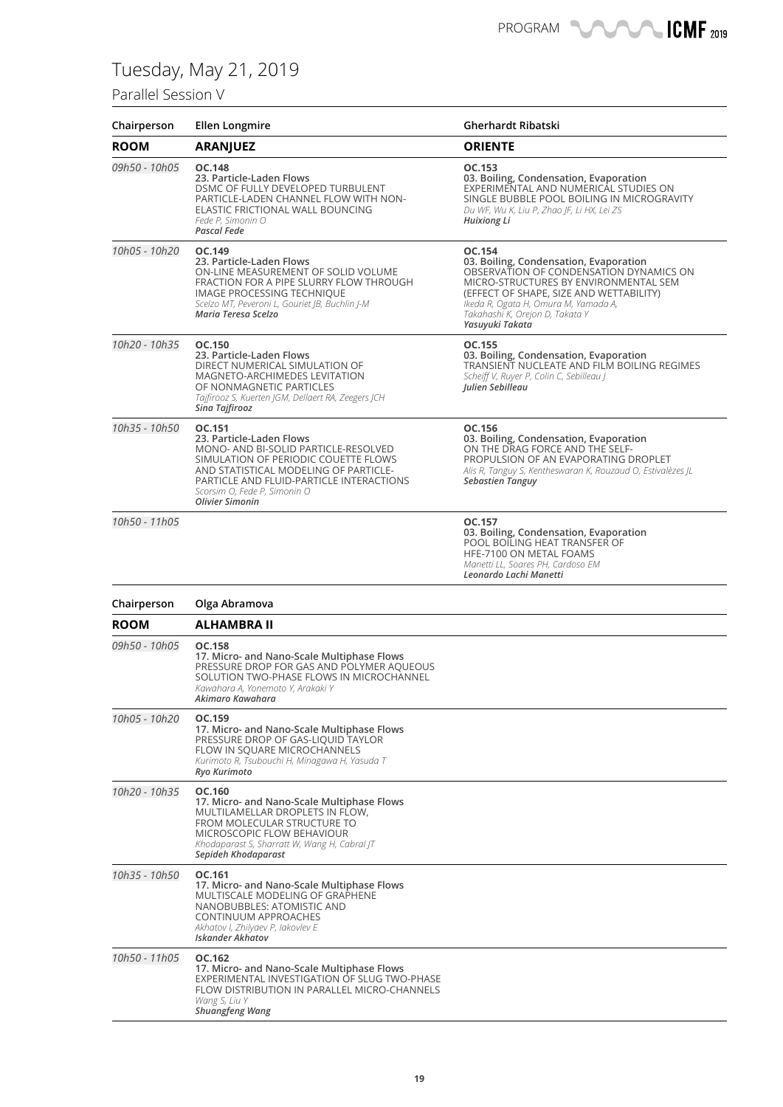### Parallel Session V

| Chairperson   | <b>Ellen Longmire</b>                                                                                                                                                                                                                                             | Gherhardt Ribatski                                                                                                                                                                                                                                                            |
|---------------|-------------------------------------------------------------------------------------------------------------------------------------------------------------------------------------------------------------------------------------------------------------------|-------------------------------------------------------------------------------------------------------------------------------------------------------------------------------------------------------------------------------------------------------------------------------|
| <b>ROOM</b>   | <b>ARANJUEZ</b>                                                                                                                                                                                                                                                   | <b>ORIENTE</b>                                                                                                                                                                                                                                                                |
| 09h50 - 10h05 | <b>OC.148</b><br>23. Particle-Laden Flows<br>DSMC OF FULLY DEVELOPED TURBULENT<br>PARTICLE-LADEN CHANNEL FLOW WITH NON-<br>ELASTIC FRICTIONAL WALL BOUNCING<br>Fede P, Simonin O<br><b>Pascal Fede</b>                                                            | OC.153<br>03. Boiling, Condensation, Evaporation<br>EXPERIMENTAL AND NUMERICAL STUDIES ON<br>SINGLE BUBBLE POOL BOILING IN MICROGRAVITY<br>Du WF, Wu K, Liu P, Zhao JF, Li HX, Lei ZS<br>Huixiong Li                                                                          |
| 10h05 - 10h20 | OC.149<br>23. Particle-Laden Flows<br>ON-LINE MEASUREMENT OF SOLID VOLUME<br>FRACTION FOR A PIPE SLURRY FLOW THROUGH<br><b>IMAGE PROCESSING TECHNIQUE</b><br>Scelzo MT, Peveroni L, Gouriet JB, Buchlin J-M<br>Maria Teresa Scelzo                                | OC.154<br>03. Boiling, Condensation, Evaporation<br>OBSERVATION OF CONDENSATION DYNAMICS ON<br>MICRO-STRUCTURES BY ENVIRONMENTAL SEM<br>(EFFECT OF SHAPE, SIZE AND WETTABILITY)<br>Ikeda R, Ogata H, Omura M, Yamada A,<br>Takahashi K, Orejon D, Takata Y<br>Yasuyuki Takata |
| 10h20 - 10h35 | OC.150<br>23. Particle-Laden Flows<br>DIRECT NUMERICAL SIMULATION OF<br><b>MAGNETO-ARCHIMEDES LEVITATION</b><br>OF NONMAGNETIC PARTICLES<br>Tajfirooz S, Kuerten JGM, Dellaert RA, Zeegers JCH<br>Sina Tajfirooz                                                  | OC.155<br>03. Boiling, Condensation, Evaporation<br>TRANSIENT NUCLEATE AND FILM BOILING REGIMES<br>Scheiff V, Ruyer P, Colin C, Sebilleau J<br>Julien Sebilleau                                                                                                               |
| 10h35 - 10h50 | OC.151<br>23. Particle-Laden Flows<br>MONO- AND BI-SOLID PARTICLE-RESOLVED<br>SIMULATION OF PERIODIC COUETTE FLOWS<br>AND STATISTICAL MODELING OF PARTICLE-<br>PARTICLE AND FLUID-PARTICLE INTERACTIONS<br>Scorsim O, Fede P, Simonin O<br><b>Olivier Simonin</b> | OC.156<br>03. Boiling, Condensation, Evaporation<br>ON THE DRAG FORCE AND THE SELF-<br>PROPULSION OF AN EVAPORATING DROPLET<br>Alis R, Tanguy S, Kentheswaran K, Rouzaud O, Estivalèzes JL<br><b>Sebastien Tanguy</b>                                                         |
| 10h50 - 11h05 |                                                                                                                                                                                                                                                                   | OC.157<br>03. Boiling, Condensation, Evaporation<br>POOL BOILING HEAT TRANSFER OF<br>HFE-7100 ON METAL FOAMS<br>Manetti LL, Soares PH, Cardoso EM<br>Leonardo Lachi Manetti                                                                                                   |
| Chairperson   | Olga Abramova                                                                                                                                                                                                                                                     |                                                                                                                                                                                                                                                                               |
| <b>ROOM</b>   | <b>ALHAMBRA II</b>                                                                                                                                                                                                                                                |                                                                                                                                                                                                                                                                               |
| 09h50 - 10h05 | <b>OC.158</b><br>17. Micro- and Nano-Scale Multiphase Flows<br>PRESSURE DROP FOR GAS AND POLYMER AQUEOUS<br>SOLUTION TWO-PHASE FLOWS IN MICROCHANNEL<br>Kawahara A, Yonemoto Y, Arakaki Y<br>Akimaro Kawahara                                                     |                                                                                                                                                                                                                                                                               |
| 10h05 - 10h20 | OC.159<br>17. Micro- and Nano-Scale Multiphase Flows<br>PRESSURE DROP OF GAS-LIQUID TAYLOR<br>FLOW IN SQUARE MICROCHANNELS<br>Kurimoto R, Tsubouchi H, Minagawa H, Yasuda T<br>Ryo Kurimoto                                                                       |                                                                                                                                                                                                                                                                               |
| 10h20 - 10h35 | OC.160<br>17. Micro- and Nano-Scale Multiphase Flows<br>MULTILAMELLAR DROPLETS IN FLOW,<br>FROM MOLECULAR STRUCTURE TO<br>MICROSCOPIC FLOW BEHAVIOUR<br>Khodaparast S, Sharratt W, Wang H, Cabral JT<br>Sepideh Khodaparast                                       |                                                                                                                                                                                                                                                                               |
| 10h35 - 10h50 | OC.161<br>17. Micro- and Nano-Scale Multiphase Flows<br>MULTISCALE MODELING OF GRAPHENE<br>NANOBUBBLES: ATOMISTIC AND<br>CONTINUUM APPROACHES<br>Akhatov I, Zhilyaev P, Iakovlev E<br><b>Iskander Akhatov</b>                                                     |                                                                                                                                                                                                                                                                               |

FLOW DISTRIBUTION IN PARALLEL MICRO-CHANNELS *Wang S, Liu Y Shuangfeng Wang*

**17. Micro- and Nano-Scale Multiphase Flows** EXPERIMENTAL INVESTIGATION OF SLUG TWO-PHASE

*10h50* - 11h05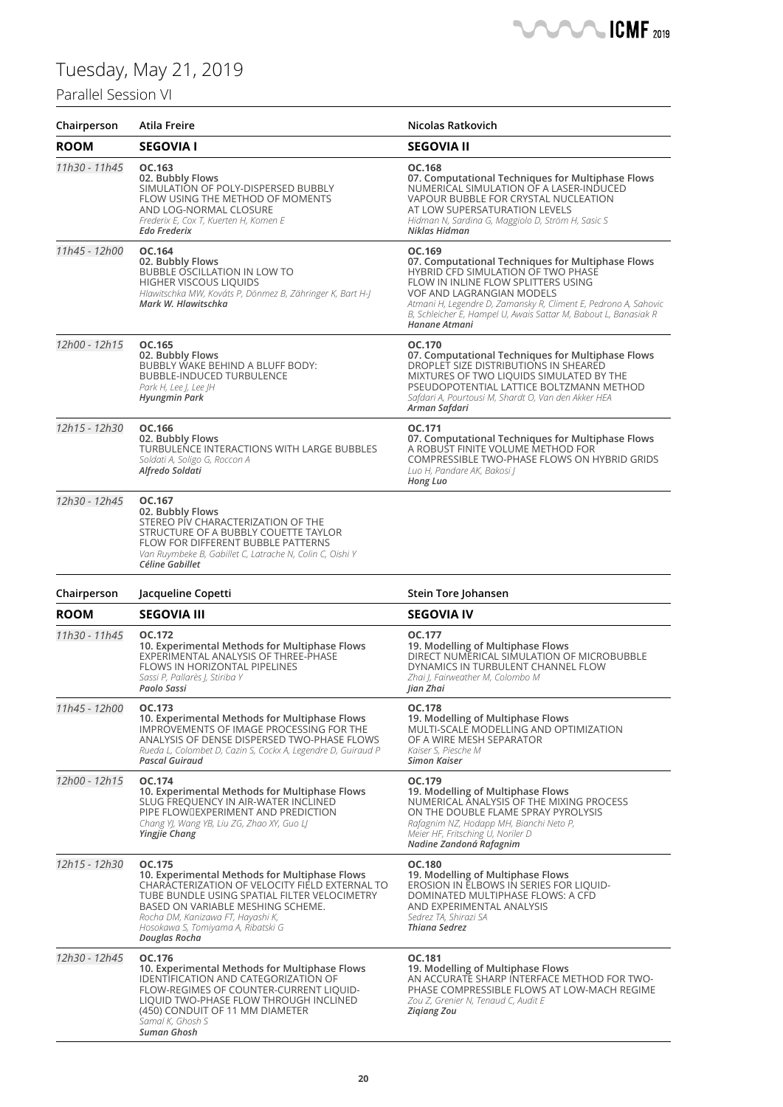## Parallel Session VI

| Chairperson   | Atila Freire                                                                                                                                                                                                                                                                               | Nicolas Ratkovich                                                                                                                                                                                                                                                                                                                   |
|---------------|--------------------------------------------------------------------------------------------------------------------------------------------------------------------------------------------------------------------------------------------------------------------------------------------|-------------------------------------------------------------------------------------------------------------------------------------------------------------------------------------------------------------------------------------------------------------------------------------------------------------------------------------|
| <b>ROOM</b>   | <b>SEGOVIA I</b>                                                                                                                                                                                                                                                                           | <b>SEGOVIA II</b>                                                                                                                                                                                                                                                                                                                   |
| 11h30 - 11h45 | OC.163<br>02. Bubbly Flows<br>SIMULATION OF POLY-DISPERSED BUBBLY<br>FLOW USING THE METHOD OF MOMENTS<br>AND LOG-NORMAL CLOSURE<br>Frederix E, Cox T, Kuerten H, Komen E<br><b>Edo Frederix</b>                                                                                            | OC.168<br>07. Computational Techniques for Multiphase Flows<br>NUMERICAL SIMULATION OF A LASER-INDUCED<br>VAPOUR BUBBLE FOR CRYSTAL NUCLEATION<br>AT LOW SUPERSATURATION LEVELS<br>Hidman N, Sardina G, Maggiolo D, Ström H, Sasic S<br>Niklas Hidman                                                                               |
| 11h45 - 12h00 | OC.164<br>02. Bubbly Flows<br>BUBBLE OSCILLATION IN LOW TO<br>HIGHER VISCOUS LIQUIDS<br>Hlawitschka MW, Kováts P, Dönmez B, Zähringer K, Bart H-J<br>Mark W. Hlawitschka                                                                                                                   | OC.169<br>07. Computational Techniques for Multiphase Flows<br>HYBRID CFD SIMULATION OF TWO PHASE<br>FLOW IN INLINE FLOW SPLITTERS USING<br><b>VOF AND LAGRANGIAN MODELS</b><br>Atmani H, Legendre D, Zamansky R, Climent E, Pedrono A, Sahovic<br>B, Schleicher E, Hampel U, Awais Sattar M, Babout L, Banasiak R<br>Hanane Atmani |
| 12h00 - 12h15 | OC.165<br>02. Bubbly Flows<br>BUBBLY WAKE BEHIND A BLUFF BODY:<br>BUBBLE-INDUCED TURBULENCE<br>Park H, Lee J, Lee JH<br><b>Hyungmin Park</b>                                                                                                                                               | OC.170<br>07. Computational Techniques for Multiphase Flows<br>DROPLET SIZE DISTRIBUTIONS IN SHEARED<br>MIXTURES OF TWO LIQUIDS SIMULATED BY THE<br>PSEUDOPOTENTIAL LATTICE BOLTZMANN METHOD<br>Safdari A, Pourtousi M, Shardt O, Van den Akker HEA<br>Arman Safdari                                                                |
| 12h15 - 12h30 | OC.166<br>02. Bubbly Flows<br>TURBULENCE INTERACTIONS WITH LARGE BUBBLES<br>Soldati A, Soligo G, Roccon A<br>Alfredo Soldati                                                                                                                                                               | OC.171<br>07. Computational Techniques for Multiphase Flows<br>A ROBUST FINITE VOLUME METHOD FOR<br>COMPRESSIBLE TWO-PHASE FLOWS ON HYBRID GRIDS<br>Luo H, Pandare AK, Bakosi J<br>Hong Luo                                                                                                                                         |
| 12h30 - 12h45 | OC.167<br>02. Bubbly Flows<br>STEREO PIV CHARACTERIZATION OF THE<br>STRUCTURE OF A BUBBLY COUETTE TAYLOR<br>FLOW FOR DIFFERENT BUBBLE PATTERNS<br>Van Ruymbeke B, Gabillet C, Latrache N, Colin C, Oishi Y<br>Céline Gabillet                                                              |                                                                                                                                                                                                                                                                                                                                     |
| Chairperson   | Jacqueline Copetti                                                                                                                                                                                                                                                                         | Stein Tore Johansen                                                                                                                                                                                                                                                                                                                 |
| <b>ROOM</b>   | <b>SEGOVIA III</b>                                                                                                                                                                                                                                                                         | <b>SEGOVIA IV</b>                                                                                                                                                                                                                                                                                                                   |
| 11h30 - 11h45 | OC.172<br>10. Experimental Methods for Multiphase Flows<br>EXPERIMENTAL ANALYSIS OF THREE-PHASE<br><b>FLOWS IN HORIZONTAL PIPELINES</b><br>Sassi P, Pallarès J, Stiriba Y<br>Paolo Sassi                                                                                                   | OC.177<br>19. Modelling of Multiphase Flows<br>DIRECT NUMERICAL SIMULATION OF MICROBUBBLE<br>DYNAMICS IN TURBULENT CHANNEL FLOW<br>Zhai J, Fairweather M, Colombo M<br>Jian Zhai                                                                                                                                                    |
| 11h45 - 12h00 | OC.173<br>10. Experimental Methods for Multiphase Flows<br>IMPROVEMENTS OF IMAGE PROCESSING FOR THE<br>ANALYSIS OF DENSE DISPERSED TWO-PHASE FLOWS<br>Rueda L, Colombet D, Cazin S, Cockx A, Legendre D, Guiraud P<br>Pascal Guiraud                                                       | <b>OC.178</b><br>19. Modelling of Multiphase Flows<br>MULTI-SCALE MODELLING AND OPTIMIZATION<br>OF A WIRE MESH SEPARATOR<br>Kaiser S, Piesche M<br><b>Simon Kaiser</b>                                                                                                                                                              |
| 12h00 - 12h15 | OC.174<br>10. Experimental Methods for Multiphase Flows<br>SLUG FREQUENCY IN AIR-WATER INCLINED<br>PIPE FLOWDEXPERIMENT AND PREDICTION<br>Chang YJ, Wang YB, Liu ZG, Zhao XY, Guo LJ<br>Yingjie Chang                                                                                      | OC.179<br>19. Modelling of Multiphase Flows<br>NUMERICAL ANALYSIS OF THE MIXING PROCESS<br>ON THE DOUBLE FLAME SPRAY PYROLYSIS<br>Rafagnim NZ, Hodapp MH, Bianchi Neto P,<br>Meier HF, Fritsching U, Noriler D<br>Nadine Zandoná Rafagnim                                                                                           |
| 12h15 - 12h30 | OC.175<br>10. Experimental Methods for Multiphase Flows<br>CHARACTERIZATION OF VELOCITY FIELD EXTERNAL TO<br>TUBE BUNDLE USING SPATIAL FILTER VELOCIMETRY<br>BASED ON VARIABLE MESHING SCHEME.<br>Rocha DM, Kanizawa FT, Hayashi K,<br>Hosokawa S, Tomiyama A, Ribatski G<br>Douglas Rocha | OC.180<br>19. Modelling of Multiphase Flows<br>EROSION IN ELBOWS IN SERIES FOR LIQUID-<br>DOMINATED MULTIPHASE FLOWS: A CFD<br>AND EXPERIMENTAL ANALYSIS<br>Sedrez TA, Shirazi SA<br><b>Thiana Sedrez</b>                                                                                                                           |
| 12h30 - 12h45 |                                                                                                                                                                                                                                                                                            |                                                                                                                                                                                                                                                                                                                                     |

 $\sqrt{ }$ 

− ┕

 $\blacksquare$  ICMF 2019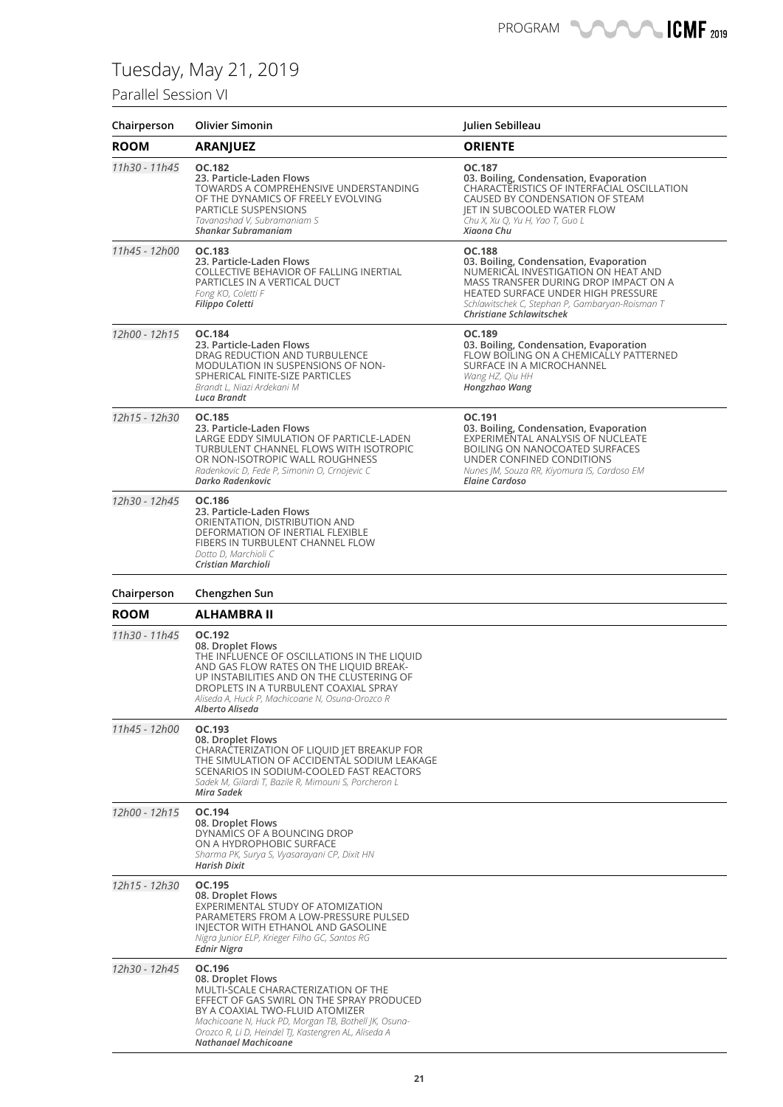### Parallel Session VI

| Chairperson   | <b>Olivier Simonin</b>                                                                                                                                                                                                                                         | Julien Sebilleau                                                                                                                                                                                                                                             |
|---------------|----------------------------------------------------------------------------------------------------------------------------------------------------------------------------------------------------------------------------------------------------------------|--------------------------------------------------------------------------------------------------------------------------------------------------------------------------------------------------------------------------------------------------------------|
| <b>ROOM</b>   | <b>ARANJUEZ</b>                                                                                                                                                                                                                                                | <b>ORIENTE</b>                                                                                                                                                                                                                                               |
| 11h30 - 11h45 | OC.182<br>23. Particle-Laden Flows<br>TOWARDS A COMPREHENSIVE UNDERSTANDING<br>OF THE DYNAMICS OF FREELY EVOLVING<br><b>PARTICLE SUSPENSIONS</b><br>Tavanashad V, Subramaniam S<br>Shankar Subramaniam                                                         | OC.187<br>03. Boiling, Condensation, Evaporation<br>CHARACTERISTICS OF INTERFACIAL OSCILLATION<br>CAUSED BY CONDENSATION OF STEAM<br>JET IN SUBCOOLED WATER FLOW<br>Chu X, Xu Q, Yu H, Yao T, Guo L<br>Xiaona Chu                                            |
| 11h45 - 12h00 | <b>OC.183</b><br>23. Particle-Laden Flows<br>COLLECTIVE BEHAVIOR OF FALLING INERTIAL<br>PARTICLES IN A VERTICAL DUCT<br>Fong KO, Coletti F<br>Filippo Coletti                                                                                                  | <b>OC.188</b><br>03. Boiling, Condensation, Evaporation<br>NUMERICAL INVESTIGATION ON HEAT AND<br>MASS TRANSFER DURING DROP IMPACT ON A<br>HEATED SURFACE UNDER HIGH PRESSURE<br>Schlawitschek C, Stephan P, Gambaryan-Roisman T<br>Christiane Schlawitschek |
| 12h00 - 12h15 | OC.184<br>23. Particle-Laden Flows<br>DRAG REDUCTION AND TURBULENCE<br>MODULATION IN SUSPENSIONS OF NON-<br>SPHERICAL FINITE-SIZE PARTICLES<br>Brandt L, Niazi Ardekani M<br>Luca Brandt                                                                       | OC.189<br>03. Boiling, Condensation, Evaporation<br>FLOW BOILING ON A CHEMICALLY PATTERNED<br>SURFACE IN A MICROCHANNEL<br>Wang HZ, Qiu HH<br>Hongzhao Wang                                                                                                  |
| 12h15 - 12h30 | <b>OC.185</b><br>23. Particle-Laden Flows<br>LARGE EDDY SIMULATION OF PARTICLE-LADEN<br>TURBULENT CHANNEL FLOWS WITH ISOTROPIC<br>OR NON-ISOTROPIC WALL ROUGHNESS<br>Radenkovic D, Fede P, Simonin O, Crnojevic C<br>Darko Radenkovic                          | OC.191<br>03. Boiling, Condensation, Evaporation<br>EXPERIMENTAL ANALYSIS OF NUCLEATE<br><b>BOILING ON NANOCOATED SURFACES</b><br>UNDER CONFINED CONDITIONS<br>Nunes JM, Souza RR, Kiyomura IS, Cardoso EM<br><b>Elaine Cardoso</b>                          |
| 12h30 - 12h45 | OC.186<br>23. Particle-Laden Flows<br>ORIENTATION, DISTRIBUTION AND<br>DEFORMATION OF INERTIAL FLEXIBLE<br>FIBERS IN TURBULENT CHANNEL FLOW<br>Dotto D, Marchioli C<br>Cristian Marchioli                                                                      |                                                                                                                                                                                                                                                              |
| Chairperson   | Chengzhen Sun                                                                                                                                                                                                                                                  |                                                                                                                                                                                                                                                              |
| <b>ROOM</b>   | ALHAMBRA II                                                                                                                                                                                                                                                    |                                                                                                                                                                                                                                                              |
| 11h30 - 11h45 | OC.192<br>08. Droplet Flows<br>THE INFLUENCE OF OSCILLATIONS IN THE LIQUID<br>AND GAS FLOW RATES ON THE LIQUID BREAK-<br>UP INSTABILITIES AND ON THE CLUSTERING OF<br>DROPLETS IN A TURBULENT COAXIAL SPRAY<br>Aliseda A, Huck P, Machicoane N, Osuna-Orozco R |                                                                                                                                                                                                                                                              |
|               | Alberto Aliseda                                                                                                                                                                                                                                                |                                                                                                                                                                                                                                                              |
| 11h45 - 12h00 | OC.193<br>08. Droplet Flows<br>CHARACTERIZATION OF LIQUID JET BREAKUP FOR<br>THE SIMULATION OF ACCIDENTAL SODIUM LEAKAGE<br>SCENARIOS IN SODIUM-COOLED FAST REACTORS<br>Sadek M, Gilardi T, Bazile R, Mimouni S, Porcheron L<br>Mira Sadek                     |                                                                                                                                                                                                                                                              |
| 12h00 - 12h15 | OC.194<br>08. Droplet Flows<br>DYNAMICS OF A BOUNCING DROP<br>ON A HYDROPHOBIC SURFACE<br>Sharma PK, Surya S, Vyasarayani CP, Dixit HN<br>Harish Dixit                                                                                                         |                                                                                                                                                                                                                                                              |
| 12h15 - 12h30 | OC.195<br>08. Droplet Flows<br>EXPERIMENTAL STUDY OF ATOMIZATION<br>PARAMETERS FROM A LOW-PRESSURE PULSED<br>INJECTOR WITH ETHANOL AND GASOLINE<br>Nigra Junior ELP, Krieger Filho GC, Santos RG<br>Ednir Nigra                                                |                                                                                                                                                                                                                                                              |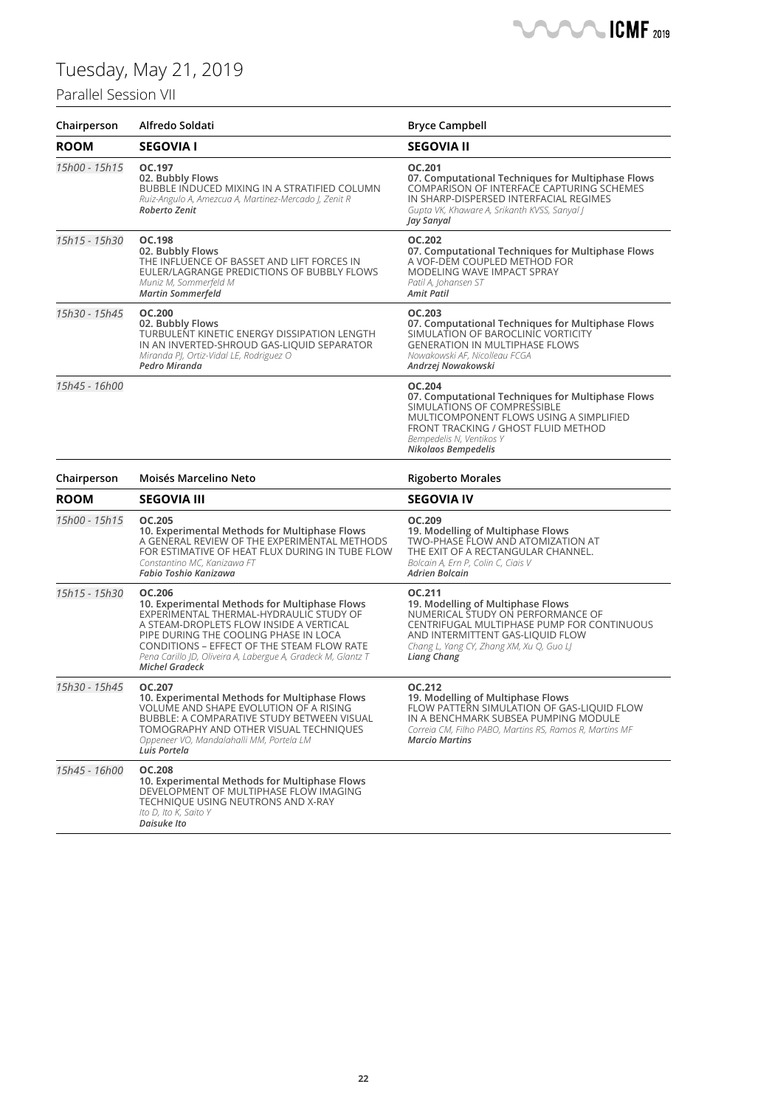## Parallel Session VII



| Chairperson   | Alfredo Soldati                                                                                                                                                                                                                                                                                                               | <b>Bryce Campbell</b>                                                                                                                                                                                                                |
|---------------|-------------------------------------------------------------------------------------------------------------------------------------------------------------------------------------------------------------------------------------------------------------------------------------------------------------------------------|--------------------------------------------------------------------------------------------------------------------------------------------------------------------------------------------------------------------------------------|
| <b>ROOM</b>   | <b>SEGOVIA I</b>                                                                                                                                                                                                                                                                                                              | <b>SEGOVIA II</b>                                                                                                                                                                                                                    |
| 15h00 - 15h15 | OC.197<br>02. Bubbly Flows<br>BUBBLE INDUCED MIXING IN A STRATIFIED COLUMN<br>Ruiz-Angulo A, Amezcua A, Martinez-Mercado J, Zenit R<br>Roberto Zenit                                                                                                                                                                          | OC.201<br>07. Computational Techniques for Multiphase Flows<br>COMPARISON OF INTERFACE CAPTURING SCHEMES<br>IN SHARP-DISPERSED INTERFACIAL REGIMES<br>Gupta VK, Khaware A, Srikanth KVSS, Sanyal J<br>Jay Sanyal                     |
| 15h15 - 15h30 | OC.198<br>02. Bubbly Flows<br>THE INFLUENCE OF BASSET AND LIFT FORCES IN<br>EULER/LAGRANGE PREDICTIONS OF BUBBLY FLOWS<br>Muniz M, Sommerfeld M<br><b>Martin Sommerfeld</b>                                                                                                                                                   | <b>OC.202</b><br>07. Computational Techniques for Multiphase Flows<br>A VOF-DEM COUPLED METHOD FOR<br>MODELING WAVE IMPACT SPRAY<br>Patil A, Johansen ST<br><b>Amit Patil</b>                                                        |
| 15h30 - 15h45 | <b>OC.200</b><br>02. Bubbly Flows<br>TURBULENT KINETIC ENERGY DISSIPATION LENGTH<br>IN AN INVERTED-SHROUD GAS-LIQUID SEPARATOR<br>Miranda PJ, Ortiz-Vidal LE, Rodriguez O<br>Pedro Miranda                                                                                                                                    | <b>OC.203</b><br>07. Computational Techniques for Multiphase Flows<br>SIMULATION OF BAROCLINIC VORTICITY<br><b>GENERATION IN MULTIPHASE FLOWS</b><br>Nowakowski AF, Nicolleau FCGA<br>Andrzej Nowakowski                             |
| 15h45 - 16h00 |                                                                                                                                                                                                                                                                                                                               | OC.204<br>07. Computational Techniques for Multiphase Flows<br>SIMULATIONS OF COMPRESSIBLE<br>MULTICOMPONENT FLOWS USING A SIMPLIFIED<br>FRONT TRACKING / GHOST FLUID METHOD<br>Bempedelis N, Ventikos Y<br>Nikolaos Bempedelis      |
| Chairperson   | Moisés Marcelino Neto                                                                                                                                                                                                                                                                                                         | <b>Rigoberto Morales</b>                                                                                                                                                                                                             |
| <b>ROOM</b>   | <b>SEGOVIA III</b>                                                                                                                                                                                                                                                                                                            | <b>SEGOVIA IV</b>                                                                                                                                                                                                                    |
| 15h00 - 15h15 | <b>OC.205</b><br>10. Experimental Methods for Multiphase Flows<br>A GENERAL REVIEW OF THE EXPERIMENTAL METHODS<br>FOR ESTIMATIVE OF HEAT FLUX DURING IN TUBE FLOW<br>Constantino MC, Kanizawa FT<br>Fabio Toshio Kanizawa                                                                                                     | OC.209<br>19. Modelling of Multiphase Flows<br>TWO-PHASE FLOW AND ATOMIZATION AT<br>THE EXIT OF A RECTANGULAR CHANNEL.<br>Bolcain A, Ern P, Colin C, Ciais V<br><b>Adrien Bolcain</b>                                                |
| 15h15 - 15h30 | OC.206<br>10. Experimental Methods for Multiphase Flows<br>EXPERIMENTAL THERMAL-HYDRAULIC STUDY OF<br>A STEAM-DROPLETS FLOW INSIDE A VERTICAL<br>PIPE DURING THE COOLING PHASE IN LOCA<br>CONDITIONS - EFFECT OF THE STEAM FLOW RATE<br>Pena Carillo JD, Oliveira A, Labergue A, Gradeck M, Glantz T<br><b>Michel Gradeck</b> | OC.211<br>19. Modelling of Multiphase Flows<br>NUMERICAL STUDY ON PERFORMANCE OF<br>CENTRIFUGAL MULTIPHASE PUMP FOR CONTINUOUS<br>AND INTERMITTENT GAS-LIQUID FLOW<br>Chang L, Yang CY, Zhang XM, Xu Q, Guo LJ<br><b>Liang Chang</b> |
| 15h30 - 15h45 | OC.207<br>10. Experimental Methods for Multiphase Flows<br>VOLUME AND SHAPE EVOLUTION OF A RISING<br>BUBBLE: A COMPARATIVE STUDY BETWEEN VISUAL<br>TOMOGRAPHY AND OTHER VISUAL TECHNIQUES<br>Oppeneer VO, Mandalahalli MM, Portela LM<br>Luis Portela                                                                         | OC.212<br>19. Modelling of Multiphase Flows<br>FLOW PATTERN SIMULATION OF GAS-LIQUID FLOW<br>IN A BENCHMARK SUBSEA PUMPING MODULE<br>Correia CM, Filho PABO, Martins RS, Ramos R, Martins MF<br><b>Marcio Martins</b>                |
| 15h45 - 16h00 | <b>OC.208</b><br>10. Experimental Methods for Multiphase Flows<br>DEVELOPMENT OF MULTIPHASE FLOW IMAGING<br>TECHNIQUE USING NEUTRONS AND X-RAY<br>Ito D, Ito K, Saito Y<br>Daisuke Ito                                                                                                                                        |                                                                                                                                                                                                                                      |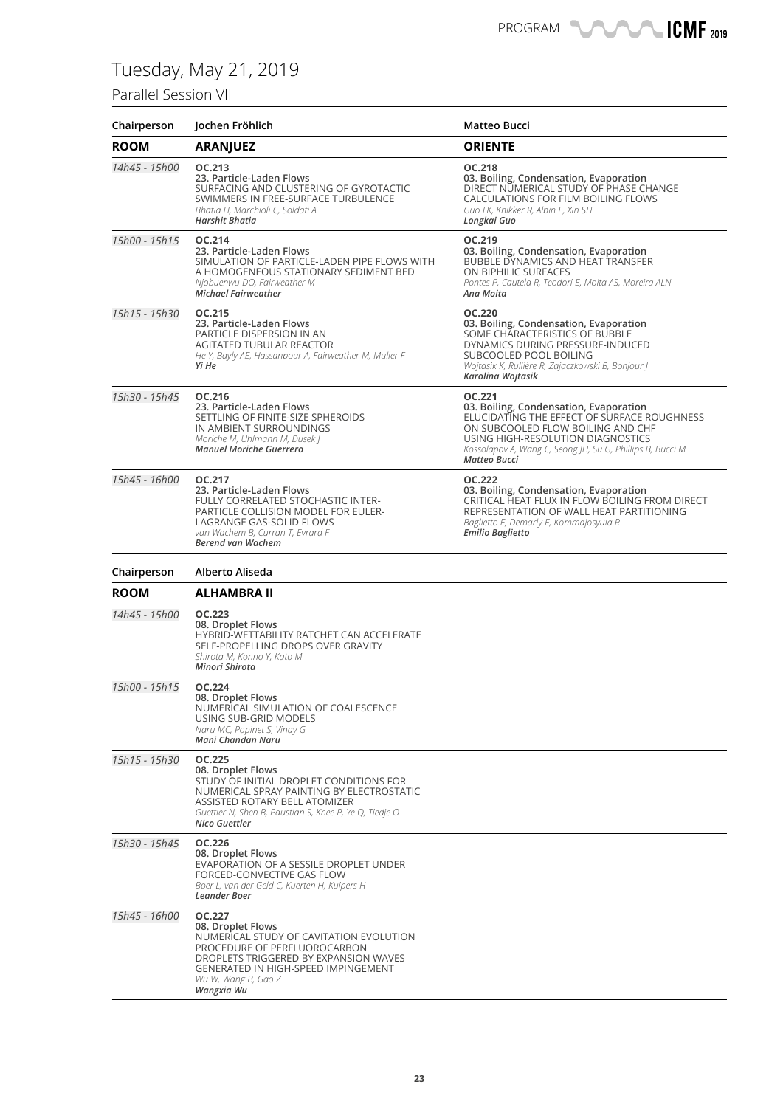### Parallel Session VII

| Chairperson   | Jochen Fröhlich                                                                                                                                                                                                                 | Matteo Bucci                                                                                                                                                                                                                                                  |
|---------------|---------------------------------------------------------------------------------------------------------------------------------------------------------------------------------------------------------------------------------|---------------------------------------------------------------------------------------------------------------------------------------------------------------------------------------------------------------------------------------------------------------|
| <b>ROOM</b>   | <b>ARANJUEZ</b>                                                                                                                                                                                                                 | <b>ORIENTE</b>                                                                                                                                                                                                                                                |
| 14h45 - 15h00 | OC.213<br>23. Particle-Laden Flows<br>SURFACING AND CLUSTERING OF GYROTACTIC<br>SWIMMERS IN FREE-SURFACE TURBULENCE<br>Bhatia H, Marchioli C, Soldati A<br>Harshit Bhatia                                                       | OC.218<br>03. Boiling, Condensation, Evaporation<br>DIRECT NUMERICAL STUDY OF PHASE CHANGE<br>CALCULATIONS FOR FILM BOILING FLOWS<br>Guo LK, Knikker R, Albin E, Xin SH<br>Longkai Guo                                                                        |
| 15h00 - 15h15 | OC.214<br>23. Particle-Laden Flows<br>SIMULATION OF PARTICLE-LADEN PIPE FLOWS WITH<br>A HOMOGENEOUS STATIONARY SEDIMENT BED<br>Njobuenwu DO, Fairweather M<br>Michael Fairweather                                               | OC.219<br>03. Boiling, Condensation, Evaporation<br>BUBBLE DYNAMICS AND HEAT TRANSFER<br>ON BIPHILIC SURFACES<br>Pontes P, Cautela R, Teodori E, Moita AS, Moreira ALN<br>Ana Moita                                                                           |
| 15h15 - 15h30 | OC.215<br>23. Particle-Laden Flows<br>PARTICLE DISPERSION IN AN<br>AGITATED TUBULAR REACTOR<br>He Y, Bayly AE, Hassanpour A, Fairweather M, Muller F<br>Yi He                                                                   | <b>OC.220</b><br>03. Boiling, Condensation, Evaporation<br>SOME CHARACTERISTICS OF BUBBLE<br>DYNAMICS DURING PRESSURE-INDUCED<br>SUBCOOLED POOL BOILING<br>Wojtasik K, Rullière R, Zajaczkowski B, Bonjour J<br>Karolina Wojtasik                             |
| 15h30 - 15h45 | OC.216<br>23. Particle-Laden Flows<br>SETTLING OF FINITE-SIZE SPHEROIDS<br>IN AMBIENT SURROUNDINGS<br>Moriche M, Uhlmann M, Dusek J<br><b>Manuel Moriche Guerrero</b>                                                           | OC.221<br>03. Boiling, Condensation, Evaporation<br>ELUCIDATING THE EFFECT OF SURFACE ROUGHNESS<br>ON SUBCOOLED FLOW BOILING AND CHF<br>USING HIGH-RESOLUTION DIAGNOSTICS<br>Kossolapov A, Wang C, Seong JH, Su G, Phillips B, Bucci M<br><b>Matteo Bucci</b> |
| 15h45 - 16h00 | OC.217<br>23. Particle-Laden Flows<br>FULLY CORRELATED STOCHASTIC INTER-<br>PARTICLE COLLISION MODEL FOR EULER-<br>LAGRANGE GAS-SOLID FLOWS<br>van Wachem B, Curran T, Evrard F<br><b>Berend van Wachem</b>                     | <b>OC.222</b><br>03. Boiling, Condensation, Evaporation<br>CRITICAL HEAT FLUX IN FLOW BOILING FROM DIRECT<br>REPRESENTATION OF WALL HEAT PARTITIONING<br>Baglietto E, Demarly E, Kommajosyula R<br><b>Emilio Baglietto</b>                                    |
|               |                                                                                                                                                                                                                                 |                                                                                                                                                                                                                                                               |
| Chairperson   | Alberto Aliseda                                                                                                                                                                                                                 |                                                                                                                                                                                                                                                               |
| <b>ROOM</b>   | ALHAMBRA II                                                                                                                                                                                                                     |                                                                                                                                                                                                                                                               |
| 14h45 - 15h00 | OC.223<br>08. Droplet Flows<br>HYBRID-WETTABILITY RATCHET CAN ACCELERATE<br>SELF-PROPELLING DROPS OVER GRAVITY<br>Shirota M, Konno Y, Kato M<br>Minori Shirota                                                                  |                                                                                                                                                                                                                                                               |
| 15h00 - 15h15 | <b>OC.224</b><br>08. Droplet Flows<br>NUMERICAL SIMULATION OF COALESCENCE<br>USING SUB-GRID MODELS<br>Naru MC, Popinet S, Vinay G<br>Mani Chandan Naru                                                                          |                                                                                                                                                                                                                                                               |
| 15h15 - 15h30 | OC.225<br>08. Droplet Flows<br>STUDY OF INITIAL DROPLET CONDITIONS FOR<br>NUMERICAL SPRAY PAINTING BY ELECTROSTATIC<br>ASSISTED ROTARY BELL ATOMIZER<br>Guettler N, Shen B, Paustian S, Knee P, Ye Q, Tiedje O<br>Nico Guettler |                                                                                                                                                                                                                                                               |
| 15h30 - 15h45 | OC.226<br>08. Droplet Flows<br>EVAPORATION OF A SESSILE DROPLET UNDER<br>FORCED-CONVECTIVE GAS FLOW<br>Boer L, van der Geld C, Kuerten H, Kuipers H<br><b>Leander Boer</b>                                                      |                                                                                                                                                                                                                                                               |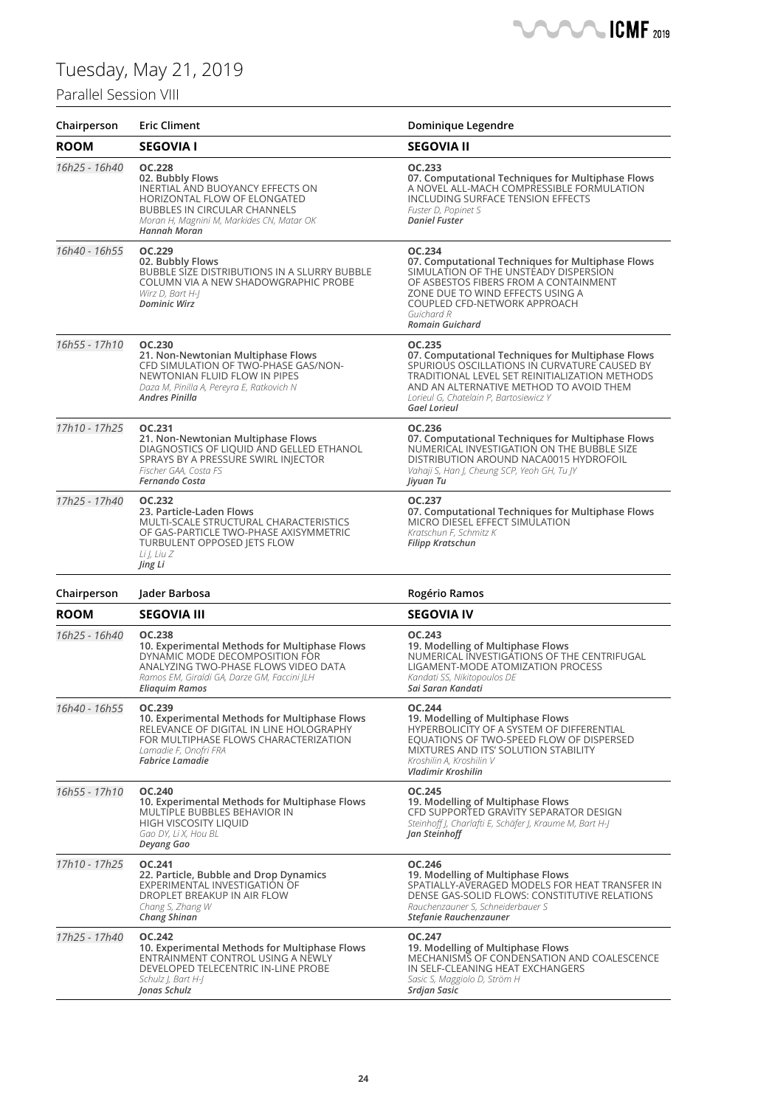### Parallel Session VIII



| Chairperson   | <b>Eric Climent</b>                                                                                                                                                                                       | Dominique Legendre                                                                                                                                                                                                                                                        |
|---------------|-----------------------------------------------------------------------------------------------------------------------------------------------------------------------------------------------------------|---------------------------------------------------------------------------------------------------------------------------------------------------------------------------------------------------------------------------------------------------------------------------|
| <b>ROOM</b>   | <b>SEGOVIA I</b>                                                                                                                                                                                          | <b>SEGOVIA II</b>                                                                                                                                                                                                                                                         |
| 16h25 - 16h40 | <b>OC.228</b><br>02. Bubbly Flows<br>INERTIAL AND BUOYANCY EFFECTS ON<br>HORIZONTAL FLOW OF ELONGATED<br><b>BUBBLES IN CIRCULAR CHANNELS</b><br>Moran H, Magnini M, Markides CN, Matar OK<br>Hannah Moran | OC.233<br>07. Computational Techniques for Multiphase Flows<br>A NOVEL ALL-MACH COMPRESSIBLE FORMULATION<br>INCLUDING SURFACE TENSION EFFECTS<br>Fuster D, Popinet S<br><b>Daniel Fuster</b>                                                                              |
| 16h40 - 16h55 | OC.229<br>02. Bubbly Flows<br>BUBBLE SIZE DISTRIBUTIONS IN A SLURRY BUBBLE<br>COLUMN VIA A NEW SHADOWGRAPHIC PROBE<br>Wirz D, Bart H-J<br><b>Dominic Wirz</b>                                             | OC.234<br>07. Computational Techniques for Multiphase Flows<br>SIMULATION OF THE UNSTEADY DISPERSION<br>OF ASBESTOS FIBERS FROM A CONTAINMENT<br>ZONE DUE TO WIND EFFECTS USING A<br>COUPLED CFD-NETWORK APPROACH<br>Guichard R<br><b>Romain Guichard</b>                 |
| 16h55 - 17h10 | <b>OC.230</b><br>21. Non-Newtonian Multiphase Flows<br>CFD SIMULATION OF TWO-PHASE GAS/NON-<br>NEWTONIAN FLUID FLOW IN PIPES<br>Daza M, Pinilla A, Pereyra E, Ratkovich N<br><b>Andres Pinilla</b>        | OC.235<br>07. Computational Techniques for Multiphase Flows<br>SPURIOUS OSCILLATIONS IN CURVATURE CAUSED BY<br>TRADITIONAL LEVEL SET REINITIALIZATION METHODS<br>AND AN ALTERNATIVE METHOD TO AVOID THEM<br>Lorieul G, Chatelain P, Bartosiewicz Y<br><b>Gael Lorieul</b> |
| 17h10 - 17h25 | OC.231<br>21. Non-Newtonian Multiphase Flows<br>DIAGNOSTICS OF LIQUID AND GELLED ETHANOL<br>SPRAYS BY A PRESSURE SWIRL INJECTOR<br>Fischer GAA, Costa FS<br>Fernando Costa                                | OC.236<br>07. Computational Techniques for Multiphase Flows<br>NUMERICAL INVESTIGATION ON THE BUBBLE SIZE<br>DISTRIBUTION AROUND NACA0015 HYDROFOIL<br>Vahaji S, Han J, Cheung SCP, Yeoh GH, Tu JY<br>Jiyuan Tu                                                           |
| 17h25 - 17h40 | OC.232<br>23. Particle-Laden Flows<br>MULTI-SCALE STRUCTURAL CHARACTERISTICS<br>OF GAS-PARTICLE TWO-PHASE AXISYMMETRIC<br>TURBULENT OPPOSED JETS FLOW<br>Li J, Liu Z<br>Jing Li                           | OC.237<br>07. Computational Techniques for Multiphase Flows<br>MICRO DIESEL EFFECT SIMULATION<br>Kratschun F, Schmitz K<br>Filipp Kratschun                                                                                                                               |
| Chairperson   | Jader Barbosa                                                                                                                                                                                             | Rogério Ramos                                                                                                                                                                                                                                                             |
| <b>ROOM</b>   | <b>SEGOVIA III</b>                                                                                                                                                                                        | <b>SEGOVIA IV</b>                                                                                                                                                                                                                                                         |
| 16h25 - 16h40 | <b>OC.238</b><br>10. Experimental Methods for Multiphase Flows<br>DYNAMIC MODE DECOMPOSITION FOR<br>ANALYZING TWO-PHASE FLOWS VIDEO DATA<br>Ramos EM, Giraldi GA, Darze GM, Faccini JLH<br>Eliaquim Ramos | OC.243<br>19. Modelling of Multiphase Flows<br>NUMERICAL INVESTIGATIONS OF THE CENTRIFUGAL<br>LIGAMENT-MODE ATOMIZATION PROCESS<br>Kandati SS, Nikitopoulos DE<br>Sai Saran Kandati                                                                                       |
| 16h40 - 16h55 | OC.239<br>10. Experimental Methods for Multiphase Flows<br>RELEVANCE OF DIGITAL IN LINE HOLOGRAPHY<br>FOR MULTIPHASE FLOWS CHARACTERIZATION<br>Lamadie F, Onofri FRA<br><b>Fabrice Lamadie</b>            | <b>OC.244</b><br>19. Modelling of Multiphase Flows<br>HYPERBOLICITY OF A SYSTEM OF DIFFERENTIAL<br>EQUATIONS OF TWO-SPEED FLOW OF DISPERSED<br>MIXTURES AND ITS' SOLUTION STABILITY<br>Kroshilin A, Kroshilin V<br>Vladimir Kroshilin                                     |
| 16h55 - 17h10 | <b>OC.240</b><br>10. Experimental Methods for Multiphase Flows<br>MULTIPLE BUBBLES BEHAVIOR IN<br>HIGH VISCOSITY LIQUID<br>Gao DY, Li X, Hou BL<br>Deyang Gao                                             | OC.245<br>19. Modelling of Multiphase Flows<br>CFD SUPPORTED GRAVITY SEPARATOR DESIGN<br>Steinhoff J, Charlafti E, Schäfer J, Kraume M, Bart H-J<br>Jan Steinhoff                                                                                                         |
| 17h10 - 17h25 | OC.241<br>22. Particle, Bubble and Drop Dynamics<br>EXPERIMENTAL INVESTIGATION OF<br>DROPLET BREAKUP IN AIR FLOW<br>Chang S, Zhang W<br>Chang Shinan                                                      | OC.246<br>19. Modelling of Multiphase Flows<br>SPATIALLY-AVERAGED MODELS FOR HEAT TRANSFER IN<br>DENSE GAS-SOLID FLOWS: CONSTITUTIVE RELATIONS<br>Rauchenzauner S, Schneiderbauer S<br>Stefanie Rauchenzauner                                                             |
| 17h25 - 17h40 | <b>OC.242</b><br>10. Experimental Methods for Multiphase Flows<br>ENTRAINMENT CONTROL USING A NEWLY<br>DEVELOPED TELECENTRIC IN-LINE PROBE<br>Schulz J, Bart H-J<br>Jonas Schulz                          | OC.247<br>19. Modelling of Multiphase Flows<br>MECHANISMS OF CONDENSATION AND COALESCENCE<br>IN SELF-CLEANING HEAT EXCHANGERS<br>Sasic S, Maggiolo D, Ström H<br>Srdjan Sasic                                                                                             |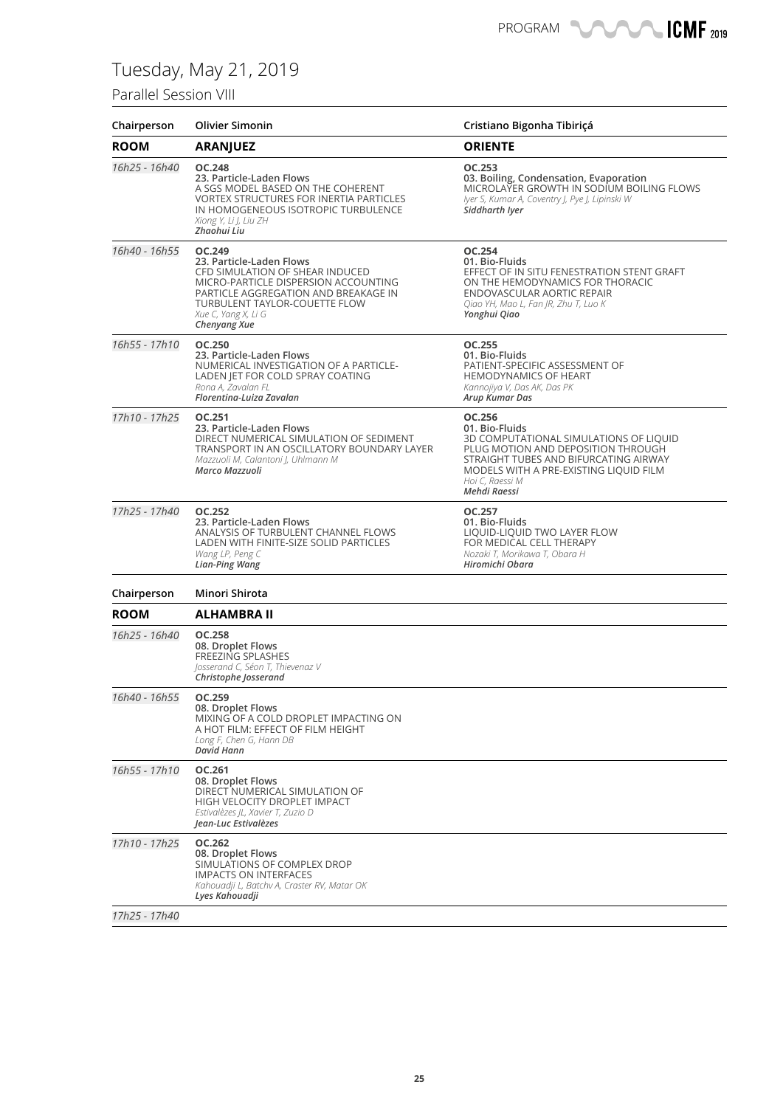### Parallel Session VIII

| Chairperson   | <b>Olivier Simonin</b>                                                                                                                                                                                                               | Cristiano Bigonha Tibiriçá                                                                                                                                                                                                     |
|---------------|--------------------------------------------------------------------------------------------------------------------------------------------------------------------------------------------------------------------------------------|--------------------------------------------------------------------------------------------------------------------------------------------------------------------------------------------------------------------------------|
| <b>ROOM</b>   | <b>ARANJUEZ</b>                                                                                                                                                                                                                      | <b>ORIENTE</b>                                                                                                                                                                                                                 |
| 16h25 - 16h40 | <b>OC.248</b><br>23. Particle-Laden Flows<br>A SGS MODEL BASED ON THE COHERENT<br><b>VORTEX STRUCTURES FOR INERTIA PARTICLES</b><br>IN HOMOGENEOUS ISOTROPIC TURBULENCE<br>Xiong Y, Li J, Liu ZH<br>Zhaohui Liu                      | OC.253<br>03. Boiling, Condensation, Evaporation<br>MICROLAYER GROWTH IN SODIUM BOILING FLOWS<br>Iyer S, Kumar A, Coventry J, Pye J, Lipinski W<br>Siddharth Iver                                                              |
| 16h40 - 16h55 | OC.249<br>23. Particle-Laden Flows<br>CFD SIMULATION OF SHEAR INDUCED<br>MICRO-PARTICLE DISPERSION ACCOUNTING<br>PARTICLE AGGREGATION AND BREAKAGE IN<br>TURBULENT TAYLOR-COUETTE FLOW<br>Xue C, Yang X, Li G<br><b>Chenyang Xue</b> | <b>OC.254</b><br>01. Bio-Fluids<br>EFFECT OF IN SITU FENESTRATION STENT GRAFT<br>ON THE HEMODYNAMICS FOR THORACIC<br><b>ENDOVASCULAR AORTIC REPAIR</b><br>Qiao YH, Mao L, Fan JR, Zhu T, Luo K<br>Yonghui Qiao                 |
| 16h55 - 17h10 | OC.250<br>23. Particle-Laden Flows<br>NUMERICAL INVESTIGATION OF A PARTICLE-<br>LADEN JET FOR COLD SPRAY COATING<br>Rona A, Zavalan FL<br>Florentina-Luiza Zavalan                                                                   | OC.255<br>01. Bio-Fluids<br>PATIENT-SPECIFIC ASSESSMENT OF<br><b>HEMODYNAMICS OF HEART</b><br>Kannojiya V, Das AK, Das PK<br>Arup Kumar Das                                                                                    |
| 17h10 - 17h25 | OC.251<br>23. Particle-Laden Flows<br>DIRECT NUMERICAL SIMULATION OF SEDIMENT<br>TRANSPORT IN AN OSCILLATORY BOUNDARY LAYER<br>Mazzuoli M, Calantoni J, Uhlmann M<br>Marco Mazzuoli                                                  | OC.256<br>01. Bio-Fluids<br>3D COMPUTATIONAL SIMULATIONS OF LIQUID<br>PLUG MOTION AND DEPOSITION THROUGH<br>STRAIGHT TUBES AND BIFURCATING AIRWAY<br>MODELS WITH A PRE-EXISTING LIQUID FILM<br>Hoi C, Raessi M<br>Mehdi Raessi |
| 17h25 - 17h40 | <b>OC.252</b><br>23. Particle-Laden Flows<br>ANALYSIS OF TURBULENT CHANNEL FLOWS<br>LADEN WITH FINITE-SIZE SOLID PARTICLES<br>Wang LP, Peng C<br>Lian-Ping Wang                                                                      | OC.257<br>01. Bio-Fluids<br>LIQUID-LIQUID TWO LAYER FLOW<br>FOR MEDICAL CELL THERAPY<br>Nozaki T, Morikawa T, Obara H<br>Hiromichi Obara                                                                                       |
| Chairperson   | Minori Shirota                                                                                                                                                                                                                       |                                                                                                                                                                                                                                |
| <b>ROOM</b>   | ALHAMBRA II                                                                                                                                                                                                                          |                                                                                                                                                                                                                                |
| 16h25 - 16h40 | <b>OC.258</b><br>08. Droplet Flows<br><b>FREEZING SPLASHES</b><br>Josserand C, Séon T, Thievenaz V<br>Christophe Josserand                                                                                                           |                                                                                                                                                                                                                                |
| 16h40 - 16h55 | OC.259<br>08. Droplet Flows<br>MIXING OF A COLD DROPLET IMPACTING ON<br>A HOT FILM: EFFECT OF FILM HEIGHT<br>Long F, Chen G, Hann DB<br>David Hann                                                                                   |                                                                                                                                                                                                                                |
| 16h55 - 17h10 | OC.261<br>08. Droplet Flows<br>DIRECT NUMERICAL SIMULATION OF<br>HIGH VELOCITY DROPLET IMPACT<br>Estivalèzes JL, Xavier T, Zuzio D<br>Jean-Luc Estivalèzes                                                                           |                                                                                                                                                                                                                                |
| 17h10 - 17h25 | OC.262<br>08. Droplet Flows<br>SIMULATIONS OF COMPLEX DROP<br><b>IMPACTS ON INTERFACES</b><br>Kahouadji L, Batchv A, Craster RV, Matar OK<br>Lyes Kahouadji                                                                          |                                                                                                                                                                                                                                |
| 17h25 - 17h40 |                                                                                                                                                                                                                                      |                                                                                                                                                                                                                                |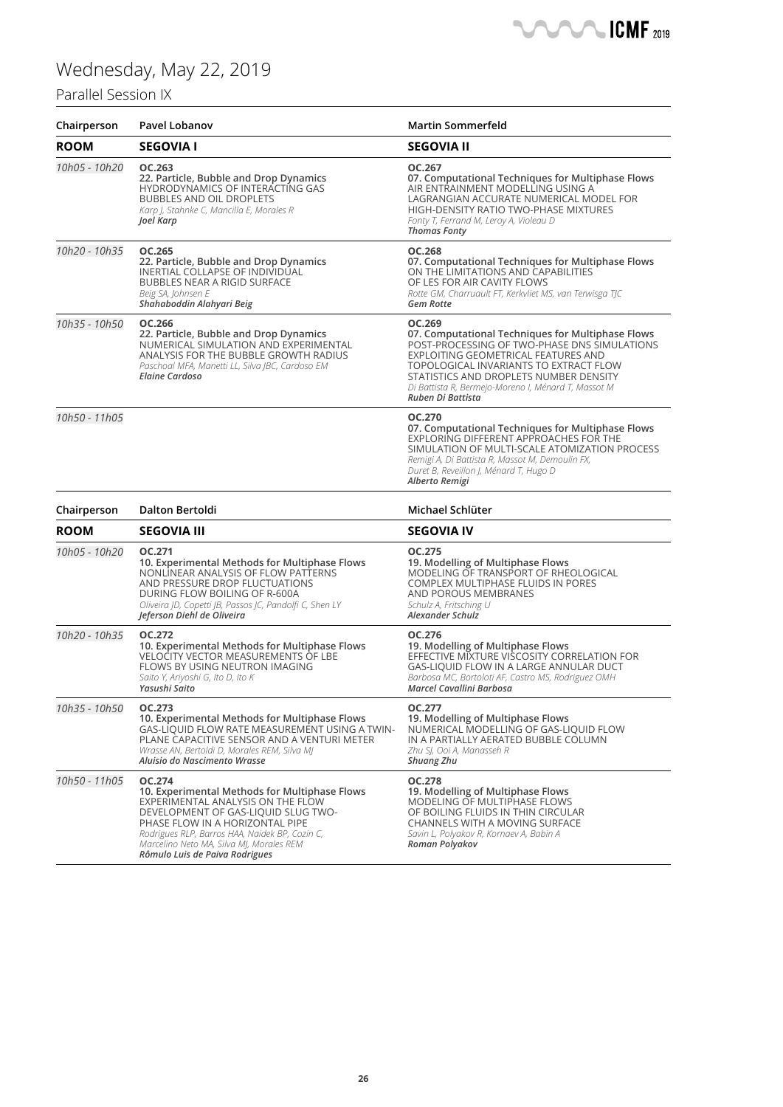### Parallel Session IX



| Chairperson   | <b>Pavel Lobanov</b>                                                                                                                                                                                                                                                                                   | <b>Martin Sommerfeld</b>                                                                                                                                                                                                                                                                                           |
|---------------|--------------------------------------------------------------------------------------------------------------------------------------------------------------------------------------------------------------------------------------------------------------------------------------------------------|--------------------------------------------------------------------------------------------------------------------------------------------------------------------------------------------------------------------------------------------------------------------------------------------------------------------|
| <b>ROOM</b>   | <b>SEGOVIA I</b>                                                                                                                                                                                                                                                                                       | <b>SEGOVIA II</b>                                                                                                                                                                                                                                                                                                  |
| 10h05 - 10h20 | OC.263<br>22. Particle, Bubble and Drop Dynamics<br>HYDRODYNAMICS OF INTERACTING GAS<br><b>BUBBLES AND OIL DROPLETS</b><br>Karp J, Stahnke C, Mancilla E, Morales R<br>Joel Karp                                                                                                                       | OC.267<br>07. Computational Techniques for Multiphase Flows<br>AIR ENTRAINMENT MODELLING USING A<br>LAGRANGIAN ACCURATE NUMERICAL MODEL FOR<br>HIGH-DENSITY RATIO TWO-PHASE MIXTURES<br>Fonty T, Ferrand M, Leroy A, Violeau D<br><b>Thomas Fonty</b>                                                              |
| 10h20 - 10h35 | OC.265<br>22. Particle, Bubble and Drop Dynamics<br>INERTIAL COLLAPSE OF INDIVIDUAL<br><b>BUBBLES NEAR A RIGID SURFACE</b><br>Beig SA, Johnsen E<br>Shahaboddin Alahyari Beig                                                                                                                          | OC.268<br>07. Computational Techniques for Multiphase Flows<br>ON THE LIMITATIONS AND CAPABILITIES<br>OF LES FOR AIR CAVITY FLOWS<br>Rotte GM, Charruault FT, Kerkvliet MS, van Terwisga TJC<br><b>Gem Rotte</b>                                                                                                   |
| 10h35 - 10h50 | OC.266<br>22. Particle, Bubble and Drop Dynamics<br>NUMERICAL SIMULATION AND EXPERIMENTAL<br>ANALYSIS FOR THE BUBBLE GROWTH RADIUS<br>Paschoal MFA, Manetti LL, Silva JBC, Cardoso EM<br>Elaine Cardoso                                                                                                | OC.269<br>07. Computational Techniques for Multiphase Flows<br>POST-PROCESSING OF TWO-PHASE DNS SIMULATIONS<br>EXPLOITING GEOMETRICAL FEATURES AND<br>TOPOLOGICAL INVARIANTS TO EXTRACT FLOW<br>STATISTICS AND DROPLETS NUMBER DENSITY<br>Di Battista R, Bermejo-Moreno I, Ménard T, Massot M<br>Ruben Di Battista |
| 10h50 - 11h05 |                                                                                                                                                                                                                                                                                                        | <b>OC.270</b><br>07. Computational Techniques for Multiphase Flows<br>EXPLORING DIFFERENT APPROACHES FOR THE<br>SIMULATION OF MULTI-SCALE ATOMIZATION PROCESS<br>Remigi A, Di Battista R, Massot M, Demoulin FX,<br>Duret B, Reveillon J, Ménard T, Hugo D<br>Alberto Remigi                                       |
| Chairperson   | <b>Dalton Bertoldi</b>                                                                                                                                                                                                                                                                                 | Michael Schlüter                                                                                                                                                                                                                                                                                                   |
| <b>ROOM</b>   | <b>SEGOVIA III</b>                                                                                                                                                                                                                                                                                     | <b>SEGOVIA IV</b>                                                                                                                                                                                                                                                                                                  |
| 10h05 - 10h20 | OC.271<br>10. Experimental Methods for Multiphase Flows<br>NONLINEAR ANALYSIS OF FLOW PATTERNS<br>AND PRESSURE DROP FLUCTUATIONS<br>DURING FLOW BOILING OF R-600A<br>Oliveira JD, Copetti JB, Passos JC, Pandolfi C, Shen LY<br>Jeferson Diehl de Oliveira                                             | OC.275<br>19. Modelling of Multiphase Flows<br>MODELING OF TRANSPORT OF RHEOLOGICAL<br><b>COMPLEX MULTIPHASE FLUIDS IN PORES</b><br>AND POROUS MEMBRANES<br>Schulz A, Fritsching U<br>Alexander Schulz                                                                                                             |
| 10h20 - 10h35 | OC.272<br>10. Experimental Methods for Multiphase Flows<br><b>VELOCITY VECTOR MEASUREMENTS OF LBE</b><br>FLOWS BY USING NEUTRON IMAGING<br>Saito Y, Ariyoshi G, Ito D, Ito K<br>Yasushi Saito                                                                                                          | OC.276<br>19. Modelling of Multiphase Flows<br>EFFECTIVE MIXTURE VISCOSITY CORRELATION FOR<br>GAS-LIQUID FLOW IN A LARGE ANNULAR DUCT<br>Barbosa MC, Bortoloti AF, Castro MS, Rodriguez OMH<br>Marcel Cavallini Barbosa                                                                                            |
| 10h35 - 10h50 | OC.273<br>10. Experimental Methods for Multiphase Flows<br>GAS-LIQUID FLOW RATE MEASUREMENT USING A TWIN-<br>PLANE CAPACITIVE SENSOR AND A VENTURI METER<br>Wrasse AN, Bertoldi D, Morales REM, Silva MJ<br>Aluisio do Nascimento Wrasse                                                               | <b>OC.277</b><br>19. Modelling of Multiphase Flows<br>NUMERICAL MODELLING OF GAS-LIQUID FLOW<br>IN A PARTIALLY AERATED BUBBLE COLUMN<br>Zhu SI, Ooi A, Manasseh R<br><b>Shuang Zhu</b>                                                                                                                             |
| 10h50 - 11h05 | OC.274<br>10. Experimental Methods for Multiphase Flows<br>EXPERIMENTAL ANALYSIS ON THE FLOW<br>DEVELOPMENT OF GAS-LIQUID SLUG TWO-<br>PHASE FLOW IN A HORIZONTAL PIPE<br>Rodrigues RLP, Barros HAA, Naidek BP, Cozin C,<br>Marcelino Neto MA, Silva MJ, Morales REM<br>Rômulo Luis de Paiva Rodrigues | OC.278<br>19. Modelling of Multiphase Flows<br>MODELING OF MULTIPHASE FLOWS<br>OF BOILING FLUIDS IN THIN CIRCULAR<br>CHANNELS WITH A MOVING SURFACE<br>Savin L, Polyakov R, Kornaev A, Babin A<br>Roman Polyakov                                                                                                   |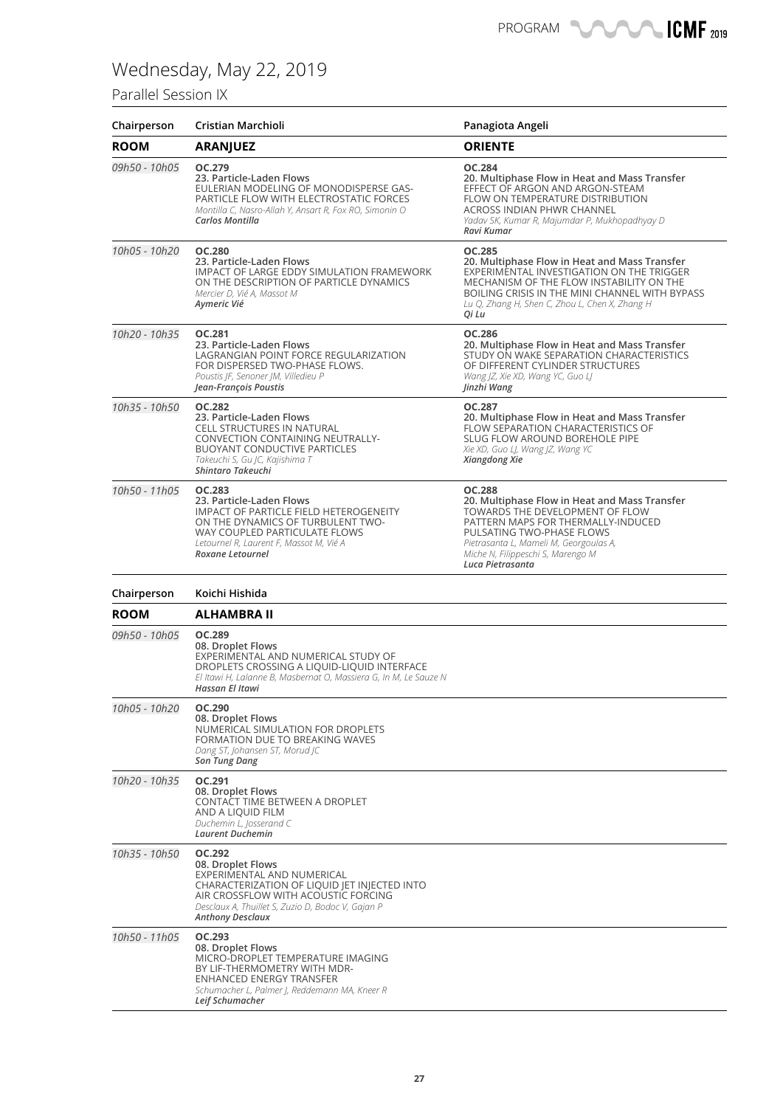### Parallel Session IX

| Chairperson   | Cristian Marchioli                                                                                                                                                                                                               | Panagiota Angeli                                                                                                                                                                                                                                                        |
|---------------|----------------------------------------------------------------------------------------------------------------------------------------------------------------------------------------------------------------------------------|-------------------------------------------------------------------------------------------------------------------------------------------------------------------------------------------------------------------------------------------------------------------------|
| <b>ROOM</b>   | <b>ARANJUEZ</b>                                                                                                                                                                                                                  | <b>ORIENTE</b>                                                                                                                                                                                                                                                          |
| 09h50 - 10h05 | OC.279<br>23. Particle-Laden Flows<br>EULERIAN MODELING OF MONODISPERSE GAS-<br>PARTICLE FLOW WITH ELECTROSTATIC FORCES<br>Montilla C, Nasro-Allah Y, Ansart R, Fox RO, Simonin O<br>Carlos Montilla                             | <b>OC.284</b><br>20. Multiphase Flow in Heat and Mass Transfer<br>EFFECT OF ARGON AND ARGON-STEAM<br>FLOW ON TEMPERATURE DISTRIBUTION<br>ACROSS INDIAN PHWR CHANNEL<br>Yadav SK, Kumar R, Majumdar P, Mukhopadhyay D<br>Ravi Kumar                                      |
| 10h05 - 10h20 | <b>OC.280</b><br>23. Particle-Laden Flows<br>IMPACT OF LARGE EDDY SIMULATION FRAMEWORK<br>ON THE DESCRIPTION OF PARTICLE DYNAMICS<br>Mercier D, Vié A, Massot M<br>Aymeric Vié                                                   | <b>OC.285</b><br>20. Multiphase Flow in Heat and Mass Transfer<br>EXPERIMENTAL INVESTIGATION ON THE TRIGGER<br>MECHANISM OF THE FLOW INSTABILITY ON THE<br>BOILING CRISIS IN THE MINI CHANNEL WITH BYPASS<br>Lu Q, Zhang H, Shen C, Zhou L, Chen X, Zhang H<br>Qi Lu    |
| 10h20 - 10h35 | OC.281<br>23. Particle-Laden Flows<br>LAGRANGIAN POINT FORCE REGULARIZATION<br>FOR DISPERSED TWO-PHASE FLOWS.<br>Poustis JF, Senoner JM, Villedieu P<br>Jean-François Poustis                                                    | OC.286<br>20. Multiphase Flow in Heat and Mass Transfer<br>STUDY ON WAKE SEPARATION CHARACTERISTICS<br>OF DIFFERENT CYLINDER STRUCTURES<br>Wang JZ, Xie XD, Wang YC, Guo LJ<br>Jinzhi Wang                                                                              |
| 10h35 - 10h50 | <b>OC.282</b><br>23. Particle-Laden Flows<br>CELL STRUCTURES IN NATURAL<br>CONVECTION CONTAINING NEUTRALLY-<br><b>BUOYANT CONDUCTIVE PARTICLES</b><br>Takeuchi S, Gu JC, Kajishima T<br>Shintaro Takeuchi                        | OC.287<br>20. Multiphase Flow in Heat and Mass Transfer<br>FLOW SEPARATION CHARACTERISTICS OF<br>SLUG FLOW AROUND BOREHOLE PIPE<br>Xie XD, Guo LJ, Wang JZ, Wang YC<br>Xiangdong Xie                                                                                    |
| 10h50 - 11h05 | <b>OC.283</b><br>23. Particle-Laden Flows<br><b>IMPACT OF PARTICLE FIELD HETEROGENEITY</b><br>ON THE DYNAMICS OF TURBULENT TWO-<br>WAY COUPLED PARTICULATE FLOWS<br>Letournel R, Laurent F, Massot M, Vié A<br>Roxane Letournel  | <b>OC.288</b><br>20. Multiphase Flow in Heat and Mass Transfer<br>TOWARDS THE DEVELOPMENT OF FLOW<br>PATTERN MAPS FOR THERMALLY-INDUCED<br>PULSATING TWO-PHASE FLOWS<br>Pietrasanta L, Mameli M, Georgoulas A,<br>Miche N, Filippeschi S, Marengo M<br>Luca Pietrasanta |
| Chairperson   | Koichi Hishida                                                                                                                                                                                                                   |                                                                                                                                                                                                                                                                         |
| <b>ROOM</b>   | <b>ALHAMBRA II</b>                                                                                                                                                                                                               |                                                                                                                                                                                                                                                                         |
| 09h50 - 10h05 | OC.289<br>08. Droplet Flows<br>EXPERIMENTAL AND NUMERICAL STUDY OF<br>DROPLETS CROSSING A LIQUID-LIQUID INTERFACE<br>El Itawi H, Lalanne B, Masbernat O, Massiera G, In M, Le Sauze N<br>Hassan El Itawi                         |                                                                                                                                                                                                                                                                         |
| 10h05 - 10h20 | OC.290<br>08. Droplet Flows<br>NUMERICAL SIMULATION FOR DROPLETS<br>FORMATION DUE TO BREAKING WAVES<br>Dang ST, Johansen ST, Morud JC<br><b>Son Tung Dang</b>                                                                    |                                                                                                                                                                                                                                                                         |
| 10h20 - 10h35 | OC.291<br>08. Droplet Flows<br>CONTACT TIME BETWEEN A DROPLET<br>AND A LIQUID FILM<br>Duchemin L, Josserand C<br><b>Laurent Duchemin</b>                                                                                         |                                                                                                                                                                                                                                                                         |
| 10h35 - 10h50 | OC.292<br>08. Droplet Flows<br>EXPERIMENTAL AND NUMERICAL<br>CHARACTERIZATION OF LIQUID JET INJECTED INTO<br>AIR CROSSFLOW WITH ACOUSTIC FORCING<br>Desclaux A, Thuillet S, Zuzio D, Bodoc V, Gajan P<br><b>Anthony Desclaux</b> |                                                                                                                                                                                                                                                                         |
| 10h50 - 11h05 | OC.293<br>08. Droplet Flows<br>MICRO-DROPLET TEMPERATURE IMAGING<br>BY LIF-THERMOMETRY WITH MDR-<br>ENHANCED ENERGY TRANSFER<br>Schumacher L, Palmer J, Reddemann MA, Kneer R<br>Leif Schumacher                                 |                                                                                                                                                                                                                                                                         |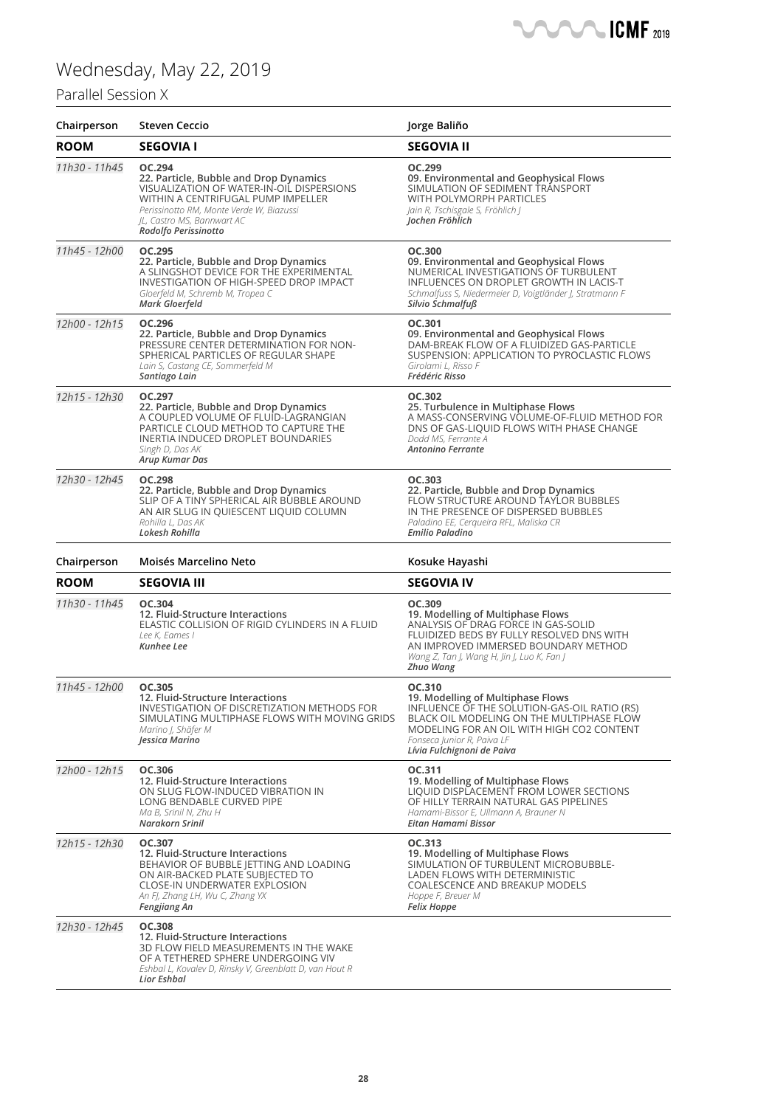### Parallel Session X

| Chairperson   | <b>Steven Ceccio</b>                                                                                                                                                                                                                  | Jorge Baliño                                                                                                                                                                                                                                      |
|---------------|---------------------------------------------------------------------------------------------------------------------------------------------------------------------------------------------------------------------------------------|---------------------------------------------------------------------------------------------------------------------------------------------------------------------------------------------------------------------------------------------------|
| <b>ROOM</b>   | <b>SEGOVIA I</b>                                                                                                                                                                                                                      | <b>SEGOVIA II</b>                                                                                                                                                                                                                                 |
| 11h30 - 11h45 | OC.294<br>22. Particle, Bubble and Drop Dynamics<br>VISUALIZATION OF WATER-IN-OIL DISPERSIONS<br>WITHIN A CENTRIFUGAL PUMP IMPELLER<br>Perissinotto RM, Monte Verde W, Biazussi<br>JL, Castro MS, Bannwart AC<br>Rodolfo Perissinotto | OC.299<br>09. Environmental and Geophysical Flows<br>SIMULATION OF SEDIMENT TRANSPORT<br>WITH POLYMORPH PARTICLES<br>Jain R, Tschisgale S, Fröhlich J<br>Jochen Fröhlich                                                                          |
| 11h45 - 12h00 | OC.295<br>22. Particle, Bubble and Drop Dynamics<br>A SLINGSHOT DEVICE FOR THE EXPERIMENTAL<br><b>INVESTIGATION OF HIGH-SPEED DROP IMPACT</b><br>Gloerfeld M, Schremb M, Tropea C<br>Mark Gloerfeld                                   | OC.300<br>09. Environmental and Geophysical Flows<br>NUMERICAL INVESTIGATIONS OF TURBULENT<br>INFLUENCES ON DROPLET GROWTH IN LACIS-T<br>Schmalfuss S, Niedermeier D, Voigtländer J, Stratmann F<br>Silvio Schmalfuß                              |
| 12h00 - 12h15 | OC.296<br>22. Particle, Bubble and Drop Dynamics<br>PRESSURE CENTER DETERMINATION FOR NON-<br>SPHERICAL PARTICLES OF REGULAR SHAPE<br>Lain S, Castang CE, Sommerfeld M<br>Santiago Lain                                               | OC.301<br>09. Environmental and Geophysical Flows<br>DAM-BREAK FLOW OF A FLUIDIZED GAS-PARTICLE<br>SUSPENSION: APPLICATION TO PYROCLASTIC FLOWS<br>Girolami L, Risso F<br>Frédéric Risso                                                          |
| 12h15 - 12h30 | OC.297<br>22. Particle, Bubble and Drop Dynamics<br>A COUPLED VOLUME OF FLUID-LAGRANGIAN<br>PARTICLE CLOUD METHOD TO CAPTURE THE<br><b>INERTIA INDUCED DROPLET BOUNDARIES</b><br>Singh D, Das AK<br>Arup Kumar Das                    | OC.302<br>25. Turbulence in Multiphase Flows<br>A MASS-CONSERVING VOLUME-OF-FLUID METHOD FOR<br>DNS OF GAS-LIQUID FLOWS WITH PHASE CHANGE<br>Dodd MS, Ferrante A<br><b>Antonino Ferrante</b>                                                      |
| 12h30 - 12h45 | <b>OC.298</b><br>22. Particle, Bubble and Drop Dynamics<br>SLIP OF A TINY SPHERICAL AIR BUBBLE AROUND<br>AN AIR SLUG IN QUIESCENT LIQUID COLUMN<br>Rohilla L, Das AK<br>Lokesh Rohilla                                                | OC.303<br>22. Particle, Bubble and Drop Dynamics<br>FLOW STRUCTURE AROUND TAYLOR BUBBLES<br>IN THE PRESENCE OF DISPERSED BUBBLES<br>Paladino EE, Cerqueira RFL, Maliska CR<br><b>Emilio Paladino</b>                                              |
| Chairperson   | Moisés Marcelino Neto                                                                                                                                                                                                                 | Kosuke Hayashi                                                                                                                                                                                                                                    |
| <b>ROOM</b>   | <b>SEGOVIA III</b>                                                                                                                                                                                                                    | <b>SEGOVIA IV</b>                                                                                                                                                                                                                                 |
| 11h30 - 11h45 | OC.304<br>12. Fluid-Structure Interactions<br>ELASTIC COLLISION OF RIGID CYLINDERS IN A FLUID<br>Lee K, Eames I<br>Kunhee Lee                                                                                                         | OC.309<br>19. Modelling of Multiphase Flows<br>ANALYSIS OF DRAG FORCE IN GAS-SOLID<br>FLUIDIZED BEDS BY FULLY RESOLVED DNS WITH<br>AN IMPROVED IMMERSED BOUNDARY METHOD<br>Wang Z, Tan J, Wang H, Jin J, Luo K, Fan J<br><b>Zhuo Wang</b>         |
| 11h45 - 12h00 | OC.305<br>12. Fluid-Structure Interactions<br>INVESTIGATION OF DISCRETIZATION METHODS FOR<br>SIMULATING MULTIPHASE FLOWS WITH MOVING GRIDS<br>Marino I, Shäfer M<br>Jessica Marino                                                    | OC.310<br>19. Modelling of Multiphase Flows<br>INFLUENCE OF THE SOLUTION-GAS-OIL RATIO (RS)<br>BLACK OIL MODELING ON THE MULTIPHASE FLOW<br>MODELING FOR AN OIL WITH HIGH CO2 CONTENT<br>Fonseca Junior R, Paiva LF<br>Lívia Fulchignoni de Paiva |
| 12h00 - 12h15 | OC.306<br>12. Fluid-Structure Interactions<br>ON SLUG FLOW-INDUCED VIBRATION IN<br>LONG BENDABLE CURVED PIPE<br>Ma B, Srinil N, Zhu H<br>Narakorn Srinil                                                                              | OC.311<br>19. Modelling of Multiphase Flows<br>LIQUID DISPLACEMENT FROM LOWER SECTIONS<br>OF HILLY TERRAIN NATURAL GAS PIPELINES<br>Hamami-Bissor E, Ullmann A, Brauner N<br>Eitan Hamami Bissor                                                  |
| 12h15 - 12h30 | OC.307<br>12. Fluid-Structure Interactions<br>BEHAVIOR OF BUBBLE JETTING AND LOADING<br>ON AIR-BACKED PLATE SUBJECTED TO<br>CLOSE-IN UNDERWATER EXPLOSION<br>An FJ, Zhang LH, Wu C, Zhang YX<br>Fengjiang An                          | OC.313<br>19. Modelling of Multiphase Flows<br>SIMULATION OF TURBULENT MICROBUBBLE-<br>LADEN FLOWS WITH DETERMINISTIC<br><b>COALESCENCE AND BREAKUP MODELS</b><br>Hoppe F, Breuer M<br><b>Felix Hoppe</b>                                         |
| 12h30 - 12h45 | <b>OC.308</b><br>12. Fluid-Structure Interactions<br>3D FLOW FIELD MEASUREMENTS IN THE WAKE<br>OF A TETHERED SPHERE UNDERGOING VIV<br>Eshbal L, Kovalev D, Rinsky V, Greenblatt D, van Hout R<br>Lior Eshbal                          |                                                                                                                                                                                                                                                   |

**CMF** 2019

 $\blacksquare$  $\sqrt{2}$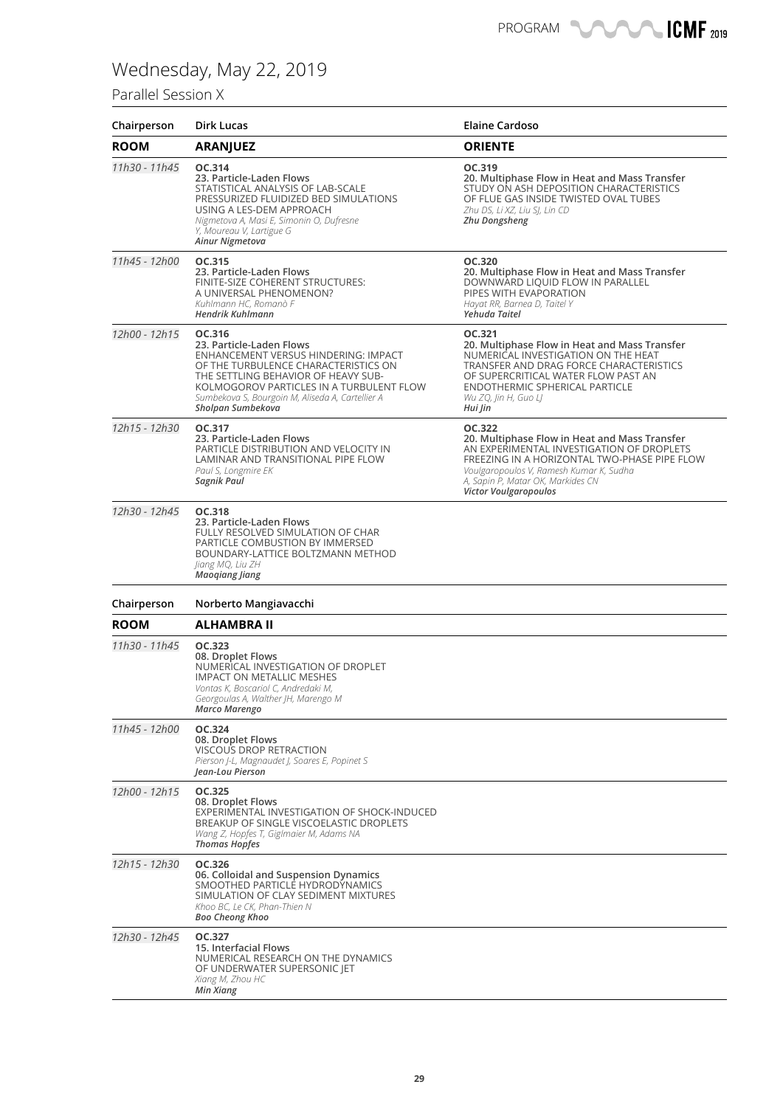## Parallel Session X

| Chairperson   | Dirk Lucas                                                                                                                                                                                                                                                                     | <b>Elaine Cardoso</b>                                                                                                                                                                                                                                         |
|---------------|--------------------------------------------------------------------------------------------------------------------------------------------------------------------------------------------------------------------------------------------------------------------------------|---------------------------------------------------------------------------------------------------------------------------------------------------------------------------------------------------------------------------------------------------------------|
| <b>ROOM</b>   | <b>ARANJUEZ</b>                                                                                                                                                                                                                                                                | <b>ORIENTE</b>                                                                                                                                                                                                                                                |
| 11h30 - 11h45 | OC.314<br>23. Particle-Laden Flows<br>STATISTICAL ANALYSIS OF LAB-SCALE<br>PRESSURIZED FLUIDIZED BED SIMULATIONS<br>USING A LES-DEM APPROACH<br>Nigmetova A, Masi E, Simonin O, Dufresne<br>Y, Moureau V, Lartigue G<br>Ainur Nigmetova                                        | OC.319<br>20. Multiphase Flow in Heat and Mass Transfer<br>STUDY ON ASH DEPOSITION CHARACTERISTICS<br>OF FLUE GAS INSIDE TWISTED OVAL TUBES<br>Zhu DS, Li XZ, Liu SI, Lin CD<br>Zhu Dongsheng                                                                 |
| 11h45 - 12h00 | OC.315<br>23. Particle-Laden Flows<br>FINITE-SIZE COHERENT STRUCTURES:<br>A UNIVERSAL PHENOMENON?<br>Kuhlmann HC, Romanò F<br><b>Hendrik Kuhlmann</b>                                                                                                                          | OC.320<br>20. Multiphase Flow in Heat and Mass Transfer<br>DOWNWARD LIQUID FLOW IN PARALLEL<br>PIPES WITH EVAPORATION<br>Hayat RR, Barnea D, Taitel Y<br>Yehuda Taitel                                                                                        |
| 12h00 - 12h15 | OC.316<br>23. Particle-Laden Flows<br>ENHANCEMENT VERSUS HINDERING: IMPACT<br>OF THE TURBULENCE CHARACTERISTICS ON<br>THE SETTLING BEHAVIOR OF HEAVY SUB-<br>KOLMOGOROV PARTICLES IN A TURBULENT FLOW<br>Sumbekova S, Bourgoin M, Aliseda A, Cartellier A<br>Sholpan Sumbekova | OC.321<br>20. Multiphase Flow in Heat and Mass Transfer<br>NUMERICAL INVESTIGATION ON THE HEAT<br>TRANSFER AND DRAG FORCE CHARACTERISTICS<br>OF SUPERCRITICAL WATER FLOW PAST AN<br>ENDOTHERMIC SPHERICAL PARTICLE<br>Wu ZQ, Jin H, Guo LJ<br>Hui Jin         |
| 12h15 - 12h30 | OC.317<br>23. Particle-Laden Flows<br>PARTICLE DISTRIBUTION AND VELOCITY IN<br>LAMINAR AND TRANSITIONAL PIPE FLOW<br>Paul S, Longmire EK<br>Sagnik Paul                                                                                                                        | OC.322<br>20. Multiphase Flow in Heat and Mass Transfer<br>AN EXPERIMENTAL INVESTIGATION OF DROPLETS<br>FREEZING IN A HORIZONTAL TWO-PHASE PIPE FLOW<br>Voulgaropoulos V, Ramesh Kumar K, Sudha<br>A, Sapin P, Matar OK, Markides CN<br>Victor Voulgaropoulos |
| 12h30 - 12h45 | OC.318<br>23. Particle-Laden Flows<br>FULLY RESOLVED SIMULATION OF CHAR<br>PARTICLE COMBUSTION BY IMMERSED<br>BOUNDARY-LATTICE BOLTZMANN METHOD<br>Jiang MQ, Liu ZH<br><b>Maogiang Jiang</b>                                                                                   |                                                                                                                                                                                                                                                               |
| Chairperson   | Norberto Mangiavacchi                                                                                                                                                                                                                                                          |                                                                                                                                                                                                                                                               |
| <b>ROOM</b>   | <b>ALHAMBRA II</b>                                                                                                                                                                                                                                                             |                                                                                                                                                                                                                                                               |
| 11h30 - 11h45 | OC.323<br>08. Droplet Flows<br>NUMERICAL INVESTIGATION OF DROPLET<br><b>IMPACT ON METALLIC MESHES</b><br>Vontas K, Boscariol C, Andredaki M,<br>Georgoulas A, Walther JH, Marengo M<br>Marco Marengo                                                                           |                                                                                                                                                                                                                                                               |
| 11h45 - 12h00 | OC.324<br>08. Droplet Flows<br><b>VISCOUS DROP RETRACTION</b><br>Pierson J-L, Magnaudet J, Soares E, Popinet S<br>Jean-Lou Pierson                                                                                                                                             |                                                                                                                                                                                                                                                               |
| 12h00 - 12h15 | OC.325<br>08. Droplet Flows<br>EXPERIMENTAL INVESTIGATION OF SHOCK-INDUCED<br>BREAKUP OF SINGLE VISCOELASTIC DROPLETS<br>Wang Z, Hopfes T, Giglmaier M, Adams NA<br><b>Thomas Hopfes</b>                                                                                       |                                                                                                                                                                                                                                                               |
| 12h15 - 12h30 | OC.326<br>06. Colloidal and Suspension Dynamics<br>SMOOTHED PARTICLE HYDRODYNAMICS<br>SIMULATION OF CLAY SEDIMENT MIXTURES<br>Khoo BC, Le CK, Phan-Thien N<br><b>Boo Cheong Khoo</b>                                                                                           |                                                                                                                                                                                                                                                               |
| 12h30 - 12h45 | OC.327<br>15. Interfacial Flows<br>NUMERICAL RESEARCH ON THE DYNAMICS<br>OF UNDERWATER SUPERSONIC JET<br>Xiang M, Zhou HC<br>Min Xiang                                                                                                                                         |                                                                                                                                                                                                                                                               |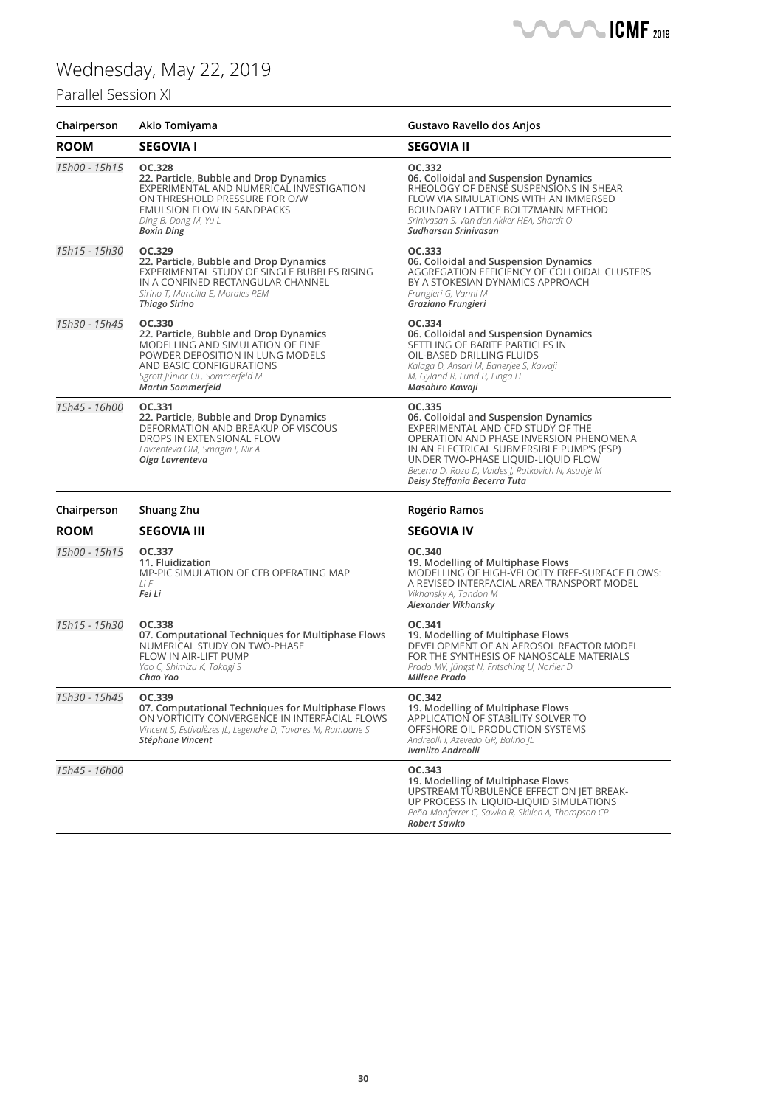### Parallel Session XI

| Chairperson   | Akio Tomiyama                                                                                                                                                                                                      | Gustavo Ravello dos Anjos                                                                                                                                                                                                                                                                                |
|---------------|--------------------------------------------------------------------------------------------------------------------------------------------------------------------------------------------------------------------|----------------------------------------------------------------------------------------------------------------------------------------------------------------------------------------------------------------------------------------------------------------------------------------------------------|
| <b>ROOM</b>   | <b>SEGOVIA I</b>                                                                                                                                                                                                   | <b>SEGOVIA II</b>                                                                                                                                                                                                                                                                                        |
| 15h00 - 15h15 | OC.328<br>22. Particle, Bubble and Drop Dynamics<br>EXPERIMENTAL AND NUMERICAL INVESTIGATION<br>ON THRESHOLD PRESSURE FOR O/W<br>EMULSION FLOW IN SANDPACKS<br>Ding B, Dong M, Yu L<br><b>Boxin Ding</b>           | OC.332<br>06. Colloidal and Suspension Dynamics<br>RHEOLOGY OF DENSE SUSPENSIONS IN SHEAR<br>FLOW VIA SIMULATIONS WITH AN IMMERSED<br>BOUNDARY LATTICE BOLTZMANN METHOD<br>Srinivasan S, Van den Akker HEA, Shardt O<br>Sudharsan Srinivasan                                                             |
| 15h15 - 15h30 | OC.329<br>22. Particle, Bubble and Drop Dynamics<br>EXPERIMENTAL STUDY OF SINGLE BUBBLES RISING<br>IN A CONFINED RECTANGULAR CHANNEL<br>Sirino T, Mancilla E, Morales REM<br><b>Thiago Sirino</b>                  | OC.333<br>06. Colloidal and Suspension Dynamics<br>AGGREGATION EFFICIENCY OF COLLOIDAL CLUSTERS<br>BY A STOKESIAN DYNAMICS APPROACH<br>Frungieri G, Vanni M<br>Graziano Frungieri                                                                                                                        |
| 15h30 - 15h45 | OC.330<br>22. Particle, Bubble and Drop Dynamics<br>MODELLING AND SIMULATION OF FINE<br>POWDER DEPOSITION IN LUNG MODELS<br>AND BASIC CONFIGURATIONS<br>Sgrott Júnior OL, Sommerfeld M<br><b>Martin Sommerfeld</b> | OC.334<br>06. Colloidal and Suspension Dynamics<br>SETTLING OF BARITE PARTICLES IN<br>OIL-BASED DRILLING FLUIDS<br>Kalaga D, Ansari M, Banerjee S, Kawaji<br>M, Gyland R, Lund B, Linga H<br>Masahiro Kawaji                                                                                             |
| 15h45 - 16h00 | OC.331<br>22. Particle, Bubble and Drop Dynamics<br>DEFORMATION AND BREAKUP OF VISCOUS<br>DROPS IN EXTENSIONAL FLOW<br>Lavrenteva OM, Smagin I, Nir A<br>Olga Lavrenteva                                           | OC.335<br>06. Colloidal and Suspension Dynamics<br>EXPERIMENTAL AND CFD STUDY OF THE<br>OPERATION AND PHASE INVERSION PHENOMENA<br>IN AN ELECTRICAL SUBMERSIBLE PUMP'S (ESP)<br>UNDER TWO-PHASE LIQUID-LIQUID FLOW<br>Becerra D, Rozo D, Valdes J, Ratkovich N, Asuaje M<br>Deisy Steffania Becerra Tuta |
| Chairperson   | Shuang Zhu                                                                                                                                                                                                         | Rogério Ramos                                                                                                                                                                                                                                                                                            |
| <b>ROOM</b>   | <b>SEGOVIA III</b>                                                                                                                                                                                                 | <b>SEGOVIA IV</b>                                                                                                                                                                                                                                                                                        |
| 15h00 - 15h15 | OC.337<br>11. Fluidization<br>MP-PIC SIMULATION OF CFB OPERATING MAP<br>$1$ i F<br>Fei Li                                                                                                                          | OC.340<br>19. Modelling of Multiphase Flows<br>MODELLING OF HIGH-VELOCITY FREE-SURFACE FLOWS:<br>A REVISED INTERFACIAL AREA TRANSPORT MODEL<br>Vikhansky A, Tandon M<br>Alexander Vikhansky                                                                                                              |
| 15h15 - 15h30 | OC.338<br>07. Computational Techniques for Multiphase Flows<br>NUMERICAL STUDY ON TWO-PHASE<br>FLOW IN AIR-LIFT PUMP<br>Yao C, Shimizu K, Takagi S<br>Chao Yao                                                     | OC.341<br>19. Modelling of Multiphase Flows<br>DEVELOPMENT OF AN AEROSOL REACTOR MODEL<br>FOR THE SYNTHESIS OF NANOSCALE MATERIALS<br>Prado MV, Jüngst N, Fritsching U, Noriler D<br><b>Millene Prado</b>                                                                                                |
| 15h30 - 15h45 | OC.339<br>07. Computational Techniques for Multiphase Flows<br>ON VORTICITY CONVERGENCE IN INTERFACIAL FLOWS<br>Vincent S, Estivalèzes JL, Legendre D, Tavares M, Ramdane S<br>Stéphane Vincent                    | OC.342<br>19. Modelling of Multiphase Flows<br>APPLICATION OF STABILITY SOLVER TO<br>OFFSHORE OIL PRODUCTION SYSTEMS<br>Andreolli I, Azevedo GR, Baliño JL<br>Ivanilto Andreolli                                                                                                                         |
| 15h45 - 16h00 |                                                                                                                                                                                                                    | OC.343<br>19. Modelling of Multiphase Flows<br>UPSTREAM TURBULENCE EFFECT ON JET BREAK-<br>UP PROCESS IN LIQUID-LIQUID SIMULATIONS<br>Peña-Monferrer C, Sawko R, Skillen A, Thompson CP<br>Robert Sawko                                                                                                  |

**CMF** 2019

 $\blacksquare$  $\sqrt{2}$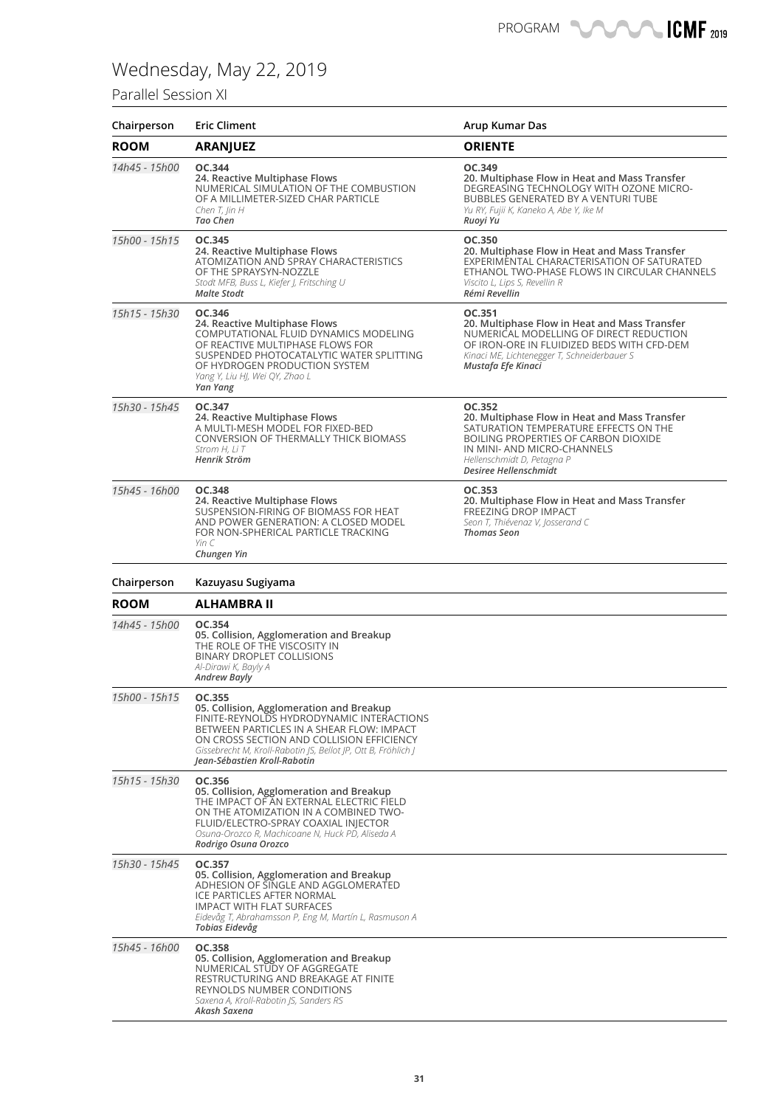### Parallel Session XI

| Chairperson   | <b>Eric Climent</b>                                                                                                                                                                                                                                                                        | Arup Kumar Das                                                                                                                                                                                                                        |
|---------------|--------------------------------------------------------------------------------------------------------------------------------------------------------------------------------------------------------------------------------------------------------------------------------------------|---------------------------------------------------------------------------------------------------------------------------------------------------------------------------------------------------------------------------------------|
| <b>ROOM</b>   | <b>ARANJUEZ</b>                                                                                                                                                                                                                                                                            | <b>ORIENTE</b>                                                                                                                                                                                                                        |
| 14h45 - 15h00 | OC.344<br>24. Reactive Multiphase Flows<br>NUMERICAL SIMULATION OF THE COMBUSTION<br>OF A MILLIMETER-SIZED CHAR PARTICLE<br>Chen T, Jin H<br>Tao Chen                                                                                                                                      | OC.349<br>20. Multiphase Flow in Heat and Mass Transfer<br>DEGREASING TECHNOLOGY WITH OZONE MICRO-<br><b>BUBBLES GENERATED BY A VENTURI TUBE</b><br>Yu RY, Fujii K, Kaneko A, Abe Y, Ike M<br>Ruoyi Yu                                |
| 15h00 - 15h15 | OC.345<br>24. Reactive Multiphase Flows<br>ATOMIZATION AND SPRAY CHARACTERISTICS<br>OF THE SPRAYSYN-NOZZLE<br>Stodt MFB, Buss L, Kiefer J, Fritsching U<br><b>Malte Stodt</b>                                                                                                              | OC.350<br>20. Multiphase Flow in Heat and Mass Transfer<br>EXPERIMENTAL CHARACTERISATION OF SATURATED<br>ETHANOL TWO-PHASE FLOWS IN CIRCULAR CHANNELS<br>Viscito L, Lips S, Revellin R<br>Rémi Revellin                               |
| 15h15 - 15h30 | OC.346<br>24. Reactive Multiphase Flows<br>COMPUTATIONAL FLUID DYNAMICS MODELING<br>OF REACTIVE MULTIPHASE FLOWS FOR<br>SUSPENDED PHOTOCATALYTIC WATER SPLITTING<br>OF HYDROGEN PRODUCTION SYSTEM<br>Yang Y, Liu HJ, Wei QY, Zhao L<br>Yan Yang                                            | OC.351<br>20. Multiphase Flow in Heat and Mass Transfer<br>NUMERICAL MODELLING OF DIRECT REDUCTION<br>OF IRON-ORE IN FLUIDIZED BEDS WITH CFD-DEM<br>Kinaci ME, Lichtenegger T, Schneiderbauer S<br>Mustafa Efe Kinaci                 |
| 15h30 - 15h45 | OC.347<br>24. Reactive Multiphase Flows<br>A MULTI-MESH MODEL FOR FIXED-BED<br><b>CONVERSION OF THERMALLY THICK BIOMASS</b><br>Strom H. Li T<br>Henrik Ström                                                                                                                               | OC.352<br>20. Multiphase Flow in Heat and Mass Transfer<br>SATURATION TEMPERATURE EFFECTS ON THE<br><b>BOILING PROPERTIES OF CARBON DIOXIDE</b><br>IN MINI- AND MICRO-CHANNELS<br>Hellenschmidt D, Petagna P<br>Desiree Hellenschmidt |
| 15h45 - 16h00 | OC.348<br>24. Reactive Multiphase Flows<br>SUSPENSION-FIRING OF BIOMASS FOR HEAT<br>AND POWER GENERATION: A CLOSED MODEL<br>FOR NON-SPHERICAL PARTICLE TRACKING<br>Yin C<br>Chungen Yin                                                                                                    | OC.353<br>20. Multiphase Flow in Heat and Mass Transfer<br>FREEZING DROP IMPACT<br>Seon T, Thiévenaz V, Josserand C<br><b>Thomas Seon</b>                                                                                             |
| Chairperson   | Kazuyasu Sugiyama                                                                                                                                                                                                                                                                          |                                                                                                                                                                                                                                       |
| <b>ROOM</b>   | ALHAMBRA II                                                                                                                                                                                                                                                                                |                                                                                                                                                                                                                                       |
| 14h45 - 15h00 | OC.354<br>05. Collision, Agglomeration and Breakup<br>THE ROLE OF THE VISCOSITY IN<br><b>BINARY DROPLET COLLISIONS</b><br>Al-Dirawi K, Bayly A<br><b>Andrew Bayly</b>                                                                                                                      |                                                                                                                                                                                                                                       |
| 15h00 - 15h15 | OC.355<br>05. Collision, Agglomeration and Breakup<br>FINITE-REYNOLDS HYDRODYNAMIC INTERACTIONS<br>BETWEEN PARTICLES IN A SHEAR FLOW: IMPACT<br>ON CROSS SECTION AND COLLISION EFFICIENCY<br>Gissebrecht M, Kroll-Rabotin JS, Bellot JP, Ott B, Fröhlich J<br>Jean-Sébastien Kroll-Rabotin |                                                                                                                                                                                                                                       |
| 15h15 - 15h30 | OC.356<br>05. Collision, Agglomeration and Breakup<br>THE IMPACT OF AN EXTERNAL ELECTRIC FIELD<br>ON THE ATOMIZATION IN A COMBINED TWO-<br>FLUID/ELECTRO-SPRAY COAXIAL INJECTOR<br>Osuna-Orozco R, Machicoane N, Huck PD, Aliseda A<br>Rodrigo Osuna Orozco                                |                                                                                                                                                                                                                                       |
| 15h30 - 15h45 | OC.357<br>05. Collision, Agglomeration and Breakup<br>ADHESION OF SINGLE AND AGGLOMERATED<br>ICE PARTICLES AFTER NORMAL<br>IMPACT WITH FLAT SURFACES<br>Eidevåg T, Abrahamsson P, Eng M, Martín L, Rasmuson A<br>Tobias Eidevåg                                                            |                                                                                                                                                                                                                                       |
| 15h45 - 16h00 | OC.358<br>05. Collision, Agglomeration and Breakup<br>NUMERICAL STUDY OF AGGREGATE<br>RESTRUCTURING AND BREAKAGE AT FINITE<br>REYNOLDS NUMBER CONDITIONS<br>Saxena A, Kroll-Rabotin JS, Sanders RS<br>Akash Saxena                                                                         |                                                                                                                                                                                                                                       |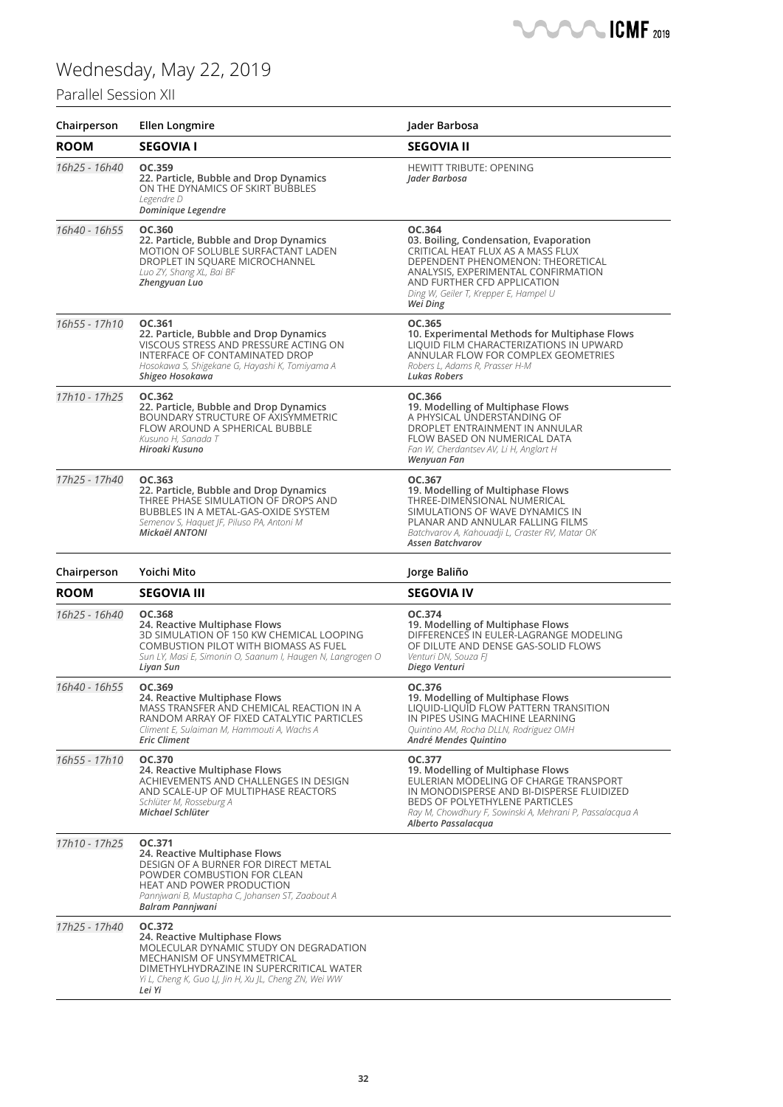

### Parallel Session XII

| Chairperson   | <b>Ellen Longmire</b>                                                                                                                                                                                                          | Jader Barbosa                                                                                                                                                                                                                                          |
|---------------|--------------------------------------------------------------------------------------------------------------------------------------------------------------------------------------------------------------------------------|--------------------------------------------------------------------------------------------------------------------------------------------------------------------------------------------------------------------------------------------------------|
| <b>ROOM</b>   | <b>SEGOVIA I</b>                                                                                                                                                                                                               | <b>SEGOVIA II</b>                                                                                                                                                                                                                                      |
| 16h25 - 16h40 | OC.359<br>22. Particle, Bubble and Drop Dynamics<br>ON THE DYNAMICS OF SKIRT BUBBLES<br>Legendre D<br>Dominique Legendre                                                                                                       | <b>HEWITT TRIBUTE: OPENING</b><br>Jader Barbosa                                                                                                                                                                                                        |
| 16h40 - 16h55 | OC.360<br>22. Particle, Bubble and Drop Dynamics<br>MOTION OF SOLUBLE SURFACTANT LADEN<br>DROPLET IN SQUARE MICROCHANNEL<br>Luo ZY, Shang XL, Bai BF<br>Zhengyuan Luo                                                          | OC.364<br>03. Boiling, Condensation, Evaporation<br>CRITICAL HEAT FLUX AS A MASS FLUX<br>DEPENDENT PHENOMENON: THEORETICAL<br>ANALYSIS, EXPERIMENTAL CONFIRMATION<br>AND FURTHER CFD APPLICATION<br>Ding W, Geiler T, Krepper E, Hampel U<br>Wei Ding  |
| 16h55 - 17h10 | OC.361<br>22. Particle, Bubble and Drop Dynamics<br>VISCOUS STRESS AND PRESSURE ACTING ON<br>INTERFACE OF CONTAMINATED DROP<br>Hosokawa S, Shigekane G, Hayashi K, Tomiyama A<br>Shigeo Hosokawa                               | OC.365<br>10. Experimental Methods for Multiphase Flows<br>LIQUID FILM CHARACTERIZATIONS IN UPWARD<br>ANNULAR FLOW FOR COMPLEX GEOMETRIES<br>Robers L, Adams R, Prasser H-M<br><b>Lukas Robers</b>                                                     |
| 17h10 - 17h25 | OC.362<br>22. Particle, Bubble and Drop Dynamics<br>BOUNDARY STRUCTURE OF AXISYMMETRIC<br>FLOW AROUND A SPHERICAL BUBBLE<br>Kusuno H. Sanada T<br>Hiroaki Kusuno                                                               | OC.366<br>19. Modelling of Multiphase Flows<br>A PHYSICAL UNDERSTANDING OF<br>DROPLET ENTRAINMENT IN ANNULAR<br>FLOW BASED ON NUMERICAL DATA<br>Fan W, Cherdantsev AV, Li H, Anglart H<br>Wenyuan Fan                                                  |
| 17h25 - 17h40 | OC.363<br>22. Particle, Bubble and Drop Dynamics<br>THREE PHASE SIMULATION OF DROPS AND<br>BUBBLES IN A METAL-GAS-OXIDE SYSTEM<br>Semenov S, Haquet JF, Piluso PA, Antoni M<br>Mickaël ANTONI                                  | OC.367<br>19. Modelling of Multiphase Flows<br>THREE-DIMENSIONAL NUMERICAL<br>SIMULATIONS OF WAVE DYNAMICS IN<br>PLANAR AND ANNULAR FALLING FILMS<br>Batchvarov A, Kahouadji L, Craster RV, Matar OK<br><b>Assen Batchvarov</b>                        |
| Chairperson   | Yoichi Mito                                                                                                                                                                                                                    | Jorge Baliño                                                                                                                                                                                                                                           |
| <b>ROOM</b>   | <b>SEGOVIA III</b>                                                                                                                                                                                                             | <b>SEGOVIA IV</b>                                                                                                                                                                                                                                      |
| 16h25 - 16h40 | OC.368<br>24. Reactive Multiphase Flows<br>3D SIMULATION OF 150 KW CHEMICAL LOOPING<br><b>COMBUSTION PILOT WITH BIOMASS AS FUEL</b><br>Sun LY, Masi E, Simonin O, Saanum I, Haugen N, Langrogen O<br>Liyan Sun                 | OC.374<br>19. Modelling of Multiphase Flows<br>DIFFERENCES IN EULER-LAGRANGE MODELING<br>OF DILUTE AND DENSE GAS-SOLID FLOWS<br>Venturi DN, Souza FJ<br>Diego Venturi                                                                                  |
| 16h40 - 16h55 | OC.369<br>24. Reactive Multiphase Flows<br>MASS TRANSFER AND CHEMICAL REACTION IN A<br>RANDOM ARRAY OF FIXED CATALYTIC PARTICLES<br>Climent E, Sulaiman M, Hammouti A, Wachs A<br><b>Eric Climent</b>                          | OC.376<br>19. Modelling of Multiphase Flows<br>LIQUID-LIQUID FLOW PATTERN TRANSITION<br>IN PIPES USING MACHINE LEARNING<br>Quintino AM, Rocha DLLN, Rodriguez OMH<br>André Mendes Quintino                                                             |
| 16h55 - 17h10 | OC.370<br>24. Reactive Multiphase Flows<br>ACHIEVEMENTS AND CHALLENGES IN DESIGN<br>AND SCALE-UP OF MULTIPHASE REACTORS<br>Schlüter M, Rosseburg A<br>Michael Schlüter                                                         | OC.377<br>19. Modelling of Multiphase Flows<br>EULERIAN MODELING OF CHARGE TRANSPORT<br>IN MONODISPERSE AND BI-DISPERSE FLUIDIZED<br>BEDS OF POLYETHYLENE PARTICLES<br>Ray M, Chowdhury F, Sowinski A, Mehrani P, Passalacqua A<br>Alberto Passalacqua |
| 17h10 - 17h25 | OC.371<br>24. Reactive Multiphase Flows<br>DESIGN OF A BURNER FOR DIRECT METAL<br>POWDER COMBUSTION FOR CLEAN<br><b>HEAT AND POWER PRODUCTION</b><br>Pannjwani B, Mustapha C, Johansen ST, Zaabout A<br>Balram Pannjwani       |                                                                                                                                                                                                                                                        |
| 17h25 - 17h40 | OC.372<br>24. Reactive Multiphase Flows<br>MOLECULAR DYNAMIC STUDY ON DEGRADATION<br>MECHANISM OF UNSYMMETRICAL<br>DIMETHYLHYDRAZINE IN SUPERCRITICAL WATER<br>Yi L, Cheng K, Guo LJ, Jin H, Xu JL, Cheng ZN, Wei WW<br>Lei Yi |                                                                                                                                                                                                                                                        |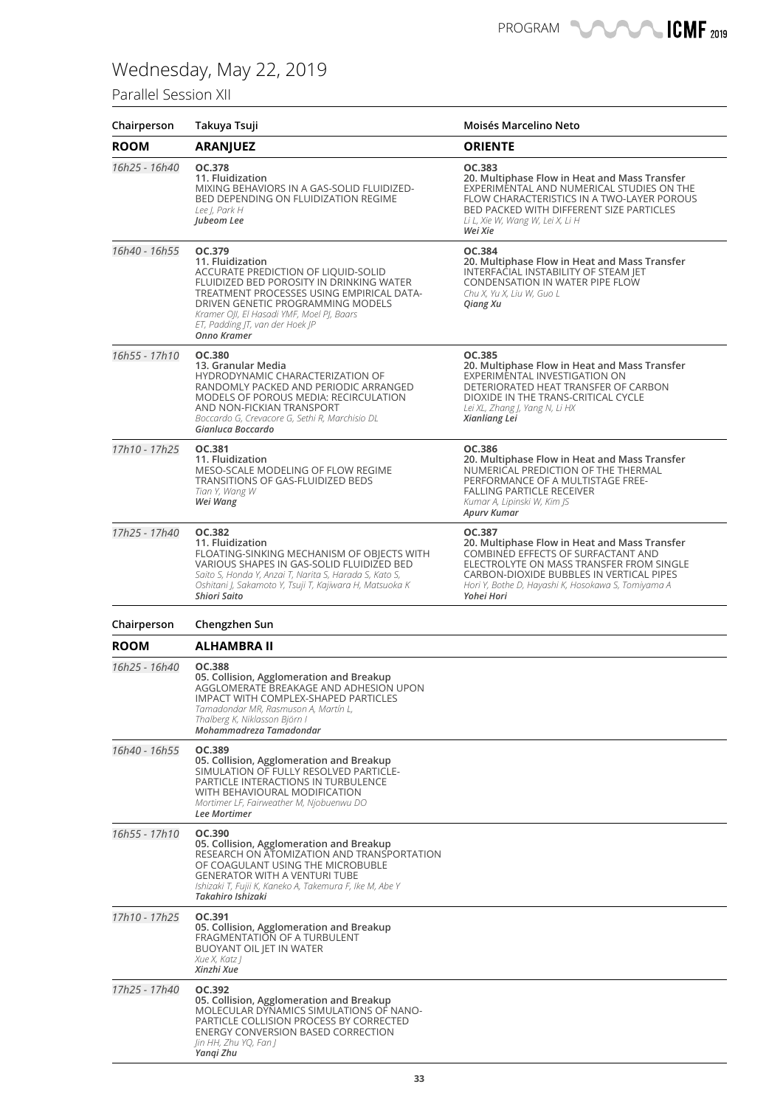### Parallel Session XII

| Chairperson   | Takuya Tsuji                                                                                                                                                                                                                                                                                   | Moisés Marcelino Neto                                                                                                                                                                                                                                     |
|---------------|------------------------------------------------------------------------------------------------------------------------------------------------------------------------------------------------------------------------------------------------------------------------------------------------|-----------------------------------------------------------------------------------------------------------------------------------------------------------------------------------------------------------------------------------------------------------|
| ROOM          | <b>ARANJUEZ</b>                                                                                                                                                                                                                                                                                | <b>ORIENTE</b>                                                                                                                                                                                                                                            |
| 16h25 - 16h40 | OC.378<br>11. Fluidization<br>MIXING BEHAVIORS IN A GAS-SOLID FLUIDIZED-<br>BED DEPENDING ON FLUIDIZATION REGIME<br>Lee J, Park H<br>Jubeom Lee                                                                                                                                                | OC.383<br>20. Multiphase Flow in Heat and Mass Transfer<br>EXPERIMENTAL AND NUMERICAL STUDIES ON THE<br>FLOW CHARACTERISTICS IN A TWO-LAYER POROUS<br>BED PACKED WITH DIFFERENT SIZE PARTICLES<br>Li L, Xie W, Wang W, Lei X, Li H<br>Wei Xie             |
| 16h40 - 16h55 | OC.379<br>11. Fluidization<br>ACCURATE PREDICTION OF LIQUID-SOLID<br>FLUIDIZED BED POROSITY IN DRINKING WATER<br>TREATMENT PROCESSES USING EMPIRICAL DATA-<br>DRIVEN GENETIC PROGRAMMING MODELS<br>Kramer OJI, El Hasadi YMF, Moel PJ, Baars<br>ET, Padding JT, van der Hoek JP<br>Onno Kramer | OC.384<br>20. Multiphase Flow in Heat and Mass Transfer<br>INTERFACIAL INSTABILITY OF STEAM JET<br>CONDENSATION IN WATER PIPE FLOW<br>Chu X, Yu X, Liu W, Guo L<br>Qiang Xu                                                                               |
| 16h55 - 17h10 | OC.380<br>13. Granular Media<br>HYDRODYNAMIC CHARACTERIZATION OF<br>RANDOMLY PACKED AND PERIODIC ARRANGED<br>MODELS OF POROUS MEDIA: RECIRCULATION<br>AND NON-FICKIAN TRANSPORT<br>Boccardo G, Crevacore G, Sethi R, Marchisio DL<br>Gianluca Boccardo                                         | OC.385<br>20. Multiphase Flow in Heat and Mass Transfer<br>EXPERIMENTAL INVESTIGATION ON<br>DETERIORATED HEAT TRANSFER OF CARBON<br>DIOXIDE IN THE TRANS-CRITICAL CYCLE<br>Lei XL, Zhang J, Yang N, Li HX<br>Xianliang Lei                                |
| 17h10 - 17h25 | OC.381<br>11. Fluidization<br>MESO-SCALE MODELING OF FLOW REGIME<br>TRANSITIONS OF GAS-FLUIDIZED BEDS<br>Tian Y, Wang W<br>Wei Wang                                                                                                                                                            | OC.386<br>20. Multiphase Flow in Heat and Mass Transfer<br>NUMERICAL PREDICTION OF THE THERMAL<br>PERFORMANCE OF A MULTISTAGE FREE-<br><b>FALLING PARTICLE RECEIVER</b><br>Kumar A, Lipinski W, Kim JS<br>Apurv Kumar                                     |
| 17h25 - 17h40 | <b>OC.382</b><br>11. Fluidization<br>FLOATING-SINKING MECHANISM OF OBJECTS WITH<br>VARIOUS SHAPES IN GAS-SOLID FLUIDIZED BED<br>Saito S, Honda Y, Anzai T, Narita S, Harada S, Kato S,<br>Oshitani J, Sakamoto Y, Tsuji T, Kajiwara H, Matsuoka K<br>Shiori Saito                              | OC.387<br>20. Multiphase Flow in Heat and Mass Transfer<br>COMBINED EFFECTS OF SURFACTANT AND<br>ELECTROLYTE ON MASS TRANSFER FROM SINGLE<br>CARBON-DIOXIDE BUBBLES IN VERTICAL PIPES<br>Hori Y, Bothe D, Hayashi K, Hosokawa S, Tomiyama A<br>Yohei Hori |
| Chairperson   | Chengzhen Sun                                                                                                                                                                                                                                                                                  |                                                                                                                                                                                                                                                           |
| <b>ROOM</b>   | ALHAMBRA II                                                                                                                                                                                                                                                                                    |                                                                                                                                                                                                                                                           |
| 16h25 - 16h40 | OC.388<br>05. Collision, Agglomeration and Breakup<br>AGGLOMERATE BREAKAGE AND ADHESION UPON<br>IMPACT WITH COMPLEX-SHAPED PARTICLES<br>Tamadondar MR, Rasmuson A, Martín L,<br>Thalberg K, Niklasson Björn I<br>Mohammadreza Tamadondar                                                       |                                                                                                                                                                                                                                                           |
| 16h40 - 16h55 | OC.389<br>05. Collision, Agglomeration and Breakup<br>SIMULATION OF FULLY RESOLVED PARTICLE-<br>PARTICLE INTERACTIONS IN TURBULENCE<br>WITH BEHAVIOURAL MODIFICATION<br>Mortimer LF, Fairweather M, Njobuenwu DO<br>Lee Mortimer                                                               |                                                                                                                                                                                                                                                           |
| 16h55 - 17h10 | OC.390<br>05. Collision, Agglomeration and Breakup<br>RESEARCH ON ATOMIZATION AND TRANSPORTATION<br>OF COAGULANT USING THE MICROBUBLE<br><b>GENERATOR WITH A VENTURI TUBE</b><br>Ishizaki T, Fujii K, Kaneko A, Takemura F, Ike M, Abe Y<br>Takahiro Ishizaki                                  |                                                                                                                                                                                                                                                           |
| 17h10 - 17h25 | OC.391<br>05. Collision, Agglomeration and Breakup<br>FRAGMENTATION OF A TURBULENT<br>BUOYANT OIL JET IN WATER<br>Xue X, Katz J<br>Xinzhi Xue                                                                                                                                                  |                                                                                                                                                                                                                                                           |
| 17h25 - 17h40 | OC.392<br>05. Collision, Agglomeration and Breakup<br>MOLECULAR DYNAMICS SIMULATIONS OF NANO-<br>PARTICLE COLLISION PROCESS BY CORRECTED<br>ENERGY CONVERSION BASED CORRECTION<br>Jin HH, Zhu YQ, Fan J<br>Yangi Zhu                                                                           |                                                                                                                                                                                                                                                           |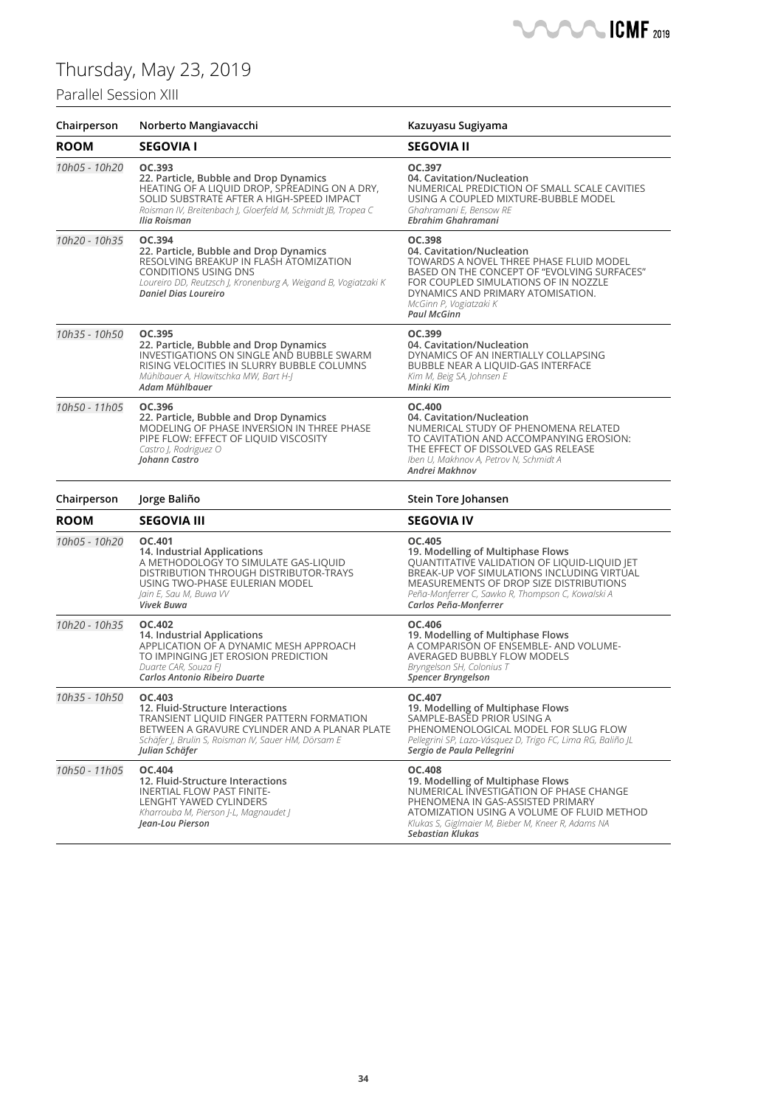### Paral

| Parallel Session XIII |                                                                                                                                                                                                                                |                                                                                                                                                                                                                                                                    |
|-----------------------|--------------------------------------------------------------------------------------------------------------------------------------------------------------------------------------------------------------------------------|--------------------------------------------------------------------------------------------------------------------------------------------------------------------------------------------------------------------------------------------------------------------|
| Chairperson           | Norberto Mangiavacchi                                                                                                                                                                                                          | Kazuyasu Sugiyama                                                                                                                                                                                                                                                  |
| <b>ROOM</b>           | <b>SEGOVIA I</b>                                                                                                                                                                                                               | <b>SEGOVIA II</b>                                                                                                                                                                                                                                                  |
| 10h05 - 10h20         | OC.393<br>22. Particle, Bubble and Drop Dynamics<br>HEATING OF A LIQUID DROP, SPREADING ON A DRY,<br>SOLID SUBSTRATE AFTER A HIGH-SPEED IMPACT<br>Roisman IV, Breitenbach J, Gloerfeld M, Schmidt JB, Tropea C<br>Ilia Roisman | OC.397<br>04. Cavitation/Nucleation<br>NUMERICAL PREDICTION OF SMALL SCALE CAVITIES<br>USING A COUPLED MIXTURE-BUBBLE MODEL<br>Ghahramani E, Bensow RE<br>Ebrahim Ghahramani                                                                                       |
| 10h20 - 10h35         | OC.394<br>22. Particle, Bubble and Drop Dynamics<br>RESOLVING BREAKUP IN FLASH ATOMIZATION<br><b>CONDITIONS USING DNS</b><br>Loureiro DD, Reutzsch J, Kronenburg A, Weigand B, Vogiatzaki K<br>Daniel Dias Loureiro            | OC.398<br>04. Cavitation/Nucleation<br>TOWARDS A NOVEL THREE PHASE FLUID MODEL<br>BASED ON THE CONCEPT OF "EVOLVING SURFACES"<br>FOR COUPLED SIMULATIONS OF IN NOZZLE<br>DYNAMICS AND PRIMARY ATOMISATION.<br>McGinn P, Vogiatzaki K<br><b>Paul McGinn</b>         |
| 10h35 - 10h50         | OC.395<br>22. Particle, Bubble and Drop Dynamics<br>INVESTIGATIONS ON SINGLE AND BUBBLE SWARM<br>RISING VELOCITIES IN SLURRY BUBBLE COLUMNS<br>Mühlbauer A, Hlawitschka MW, Bart H-J<br>Adam Mühlbauer                         | OC.399<br>04. Cavitation/Nucleation<br>DYNAMICS OF AN INERTIALLY COLLAPSING<br><b>BUBBLE NEAR A LIQUID-GAS INTERFACE</b><br>Kim M, Beig SA, Johnsen E<br>Minki Kim                                                                                                 |
| 10h50 - 11h05         | OC.396<br>22. Particle, Bubble and Drop Dynamics<br>MODELING OF PHASE INVERSION IN THREE PHASE<br>PIPE FLOW: EFFECT OF LIQUID VISCOSITY<br>Castro J, Rodriguez O<br>Johann Castro                                              | OC.400<br>04. Cavitation/Nucleation<br>NUMERICAL STUDY OF PHENOMENA RELATED<br>TO CAVITATION AND ACCOMPANYING EROSION:<br>THE EFFECT OF DISSOLVED GAS RELEASE<br>Iben U, Makhnov A, Petrov N, Schmidt A<br>Andrei Makhnov                                          |
| Chairperson           | Jorge Baliño                                                                                                                                                                                                                   | Stein Tore Johansen                                                                                                                                                                                                                                                |
| <b>ROOM</b>           | <b>SEGOVIA III</b>                                                                                                                                                                                                             | <b>SEGOVIA IV</b>                                                                                                                                                                                                                                                  |
| 10h05 - 10h20         | OC.401<br>14. Industrial Applications<br>A METHODOLOGY TO SIMULATE GAS-LIQUID<br>DISTRIBUTION THROUGH DISTRIBUTOR-TRAYS<br>USING TWO-PHASE EULERIAN MODEL<br>Jain E, Sau M, Buwa W<br>Vivek Buwa                               | OC.405<br>19. Modelling of Multiphase Flows<br>QUANTITATIVE VALIDATION OF LIQUID-LIQUID JET<br>BREAK-UP VOF SIMULATIONS INCLUDING VIRTUAL<br>MEASUREMENTS OF DROP SIZE DISTRIBUTIONS<br>Peña-Monferrer C, Sawko R, Thompson C, Kowalski A<br>Carlos Peña-Monferrer |
| 10h20 - 10h35         | OC.402<br>14. Industrial Applications<br>APPLICATION OF A DYNAMIC MESH APPROACH<br>TO IMPINGING JET EROSION PREDICTION<br>Duarte CAR, Souza Fl<br>Carlos Antonio Ribeiro Duarte                                                | OC.406<br>19. Modelling of Multiphase Flows<br>A COMPARISON OF ENSEMBLE- AND VOLUME-<br><b>AVERAGED BUBBLY FLOW MODELS</b><br>Bryngelson SH, Colonius T<br><b>Spencer Bryngelson</b>                                                                               |
| 10h35 - 10h50         | OC.403<br>12. Fluid-Structure Interactions<br>TRANSIENT LIQUID FINGER PATTERN FORMATION<br>BETWEEN A GRAVURE CYLINDER AND A PLANAR PLATE<br>Schäfer J, Brulin S, Roisman IV, Sauer HM, Dörsam E<br>Iulian Schäfer              | OC.407<br>19. Modelling of Multiphase Flows<br>SAMPLE-BASED PRIOR USING A<br>PHENOMENOLOGICAL MODEL FOR SLUG FLOW<br>Pellegrini SP, Lazo-Vásquez D, Trigo FC, Lima RG, Baliño JL<br>Sergio de Paula Pellegrini                                                     |
| 10h50 - 11h05         | OC.404<br>12. Fluid-Structure Interactions<br><b>INERTIAL FLOW PAST FINITE-</b><br>LENGHT YAWED CYLINDERS<br>Kharrouba M, Pierson J-L, Magnaudet J<br>Jean-Lou Pierson                                                         | <b>OC.408</b><br>19. Modelling of Multiphase Flows<br>NUMERICAL INVESTIGATION OF PHASE CHANGE<br>PHENOMENA IN GAS-ASSISTED PRIMARY<br>ATOMIZATION USING A VOLUME OF FLUID METHOD<br>Klukas S, Giglmaier M, Bieber M, Kneer R, Adams NA<br><b>Sebastian Klukas</b>  |

**SANCA ICMF** 2019

 $\blacksquare$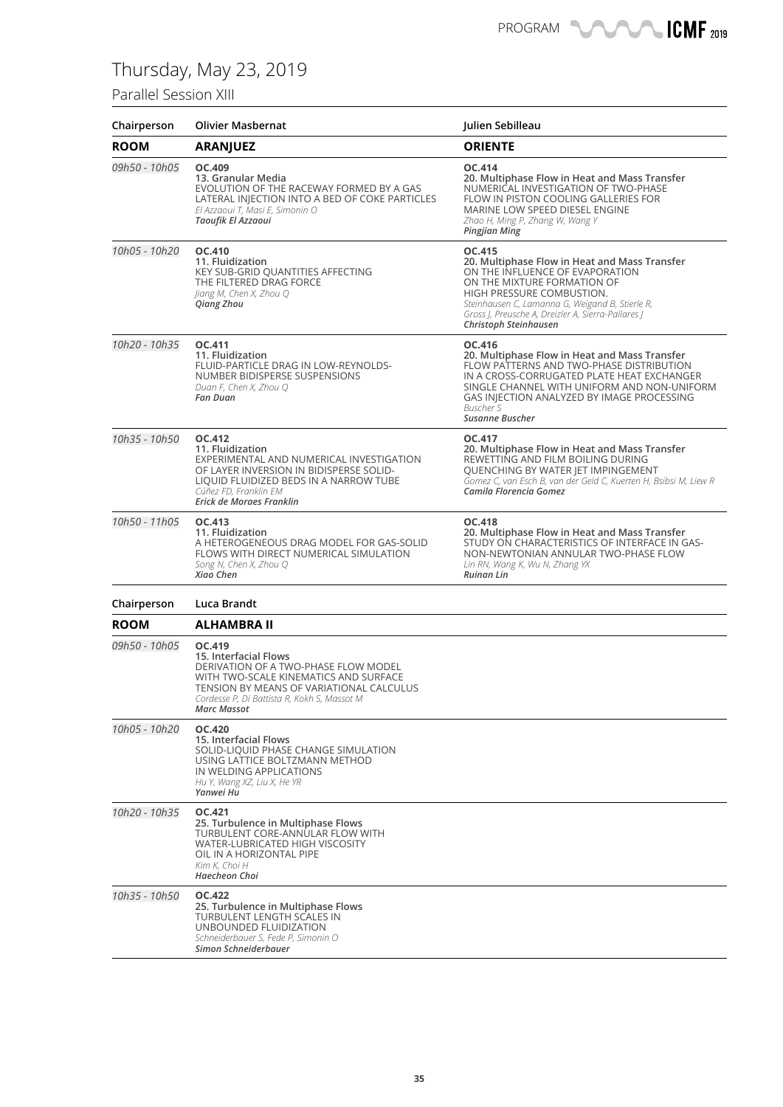### Parallel Session XIII

| Chairperson   | <b>Olivier Masbernat</b>                                                                                                                                                                                                          | Julien Sebilleau                                                                                                                                                                                                                                                                         |
|---------------|-----------------------------------------------------------------------------------------------------------------------------------------------------------------------------------------------------------------------------------|------------------------------------------------------------------------------------------------------------------------------------------------------------------------------------------------------------------------------------------------------------------------------------------|
| <b>ROOM</b>   | <b>ARANJUEZ</b>                                                                                                                                                                                                                   | <b>ORIENTE</b>                                                                                                                                                                                                                                                                           |
| 09h50 - 10h05 | OC.409<br>13. Granular Media<br>EVOLUTION OF THE RACEWAY FORMED BY A GAS<br>LATERAL INJECTION INTO A BED OF COKE PARTICLES<br>El Azzaoui T, Masi E, Simonin O<br>Taoufik El Azzaoui                                               | OC.414<br>20. Multiphase Flow in Heat and Mass Transfer<br>NUMERICAL INVESTIGATION OF TWO-PHASE<br>FLOW IN PISTON COOLING GALLERIES FOR<br>MARINE LOW SPEED DIESEL ENGINE<br>Zhao H, Ming P, Zhang W, Wang Y<br><b>Pingjian Ming</b>                                                     |
| 10h05 - 10h20 | OC.410<br>11. Fluidization<br>KEY SUB-GRID QUANTITIES AFFECTING<br>THE FILTERED DRAG FORCE<br>Jiang M, Chen X, Zhou Q<br>Qiang Zhou                                                                                               | OC.415<br>20. Multiphase Flow in Heat and Mass Transfer<br>ON THE INFLUENCE OF EVAPORATION<br>ON THE MIXTURE FORMATION OF<br>HIGH PRESSURE COMBUSTION.<br>Steinhausen C, Lamanna G, Weigand B, Stierle R,<br>Gross J, Preusche A, Dreizler A, Sierra-Pallares J<br>Christoph Steinhausen |
| 10h20 - 10h35 | OC.411<br>11. Fluidization<br>FLUID-PARTICLE DRAG IN LOW-REYNOLDS-<br>NUMBER BIDISPERSE SUSPENSIONS<br>Duan F, Chen X, Zhou Q<br><b>Fan Duan</b>                                                                                  | OC.416<br>20. Multiphase Flow in Heat and Mass Transfer<br>FLOW PATTERNS AND TWO-PHASE DISTRIBUTION<br>IN A CROSS-CORRUGATED PLATE HEAT EXCHANGER<br>SINGLE CHANNEL WITH UNIFORM AND NON-UNIFORM<br>GAS INJECTION ANALYZED BY IMAGE PROCESSING<br>Buscher S<br>Susanne Buscher           |
| 10h35 - 10h50 | OC.412<br>11. Fluidization<br>EXPERIMENTAL AND NUMERICAL INVESTIGATION<br>OF LAYER INVERSION IN BIDISPERSE SOLID-<br>LIQUID FLUIDIZED BEDS IN A NARROW TUBE<br>Cúñez FD, Franklin EM<br>Erick de Moraes Franklin                  | OC.417<br>20. Multiphase Flow in Heat and Mass Transfer<br>REWETTING AND FILM BOILING DURING<br>QUENCHING BY WATER JET IMPINGEMENT<br>Gomez C, van Esch B, van der Geld C, Kuerten H, Bsibsi M, Liew R<br>Camila Florencia Gomez                                                         |
| 10h50 - 11h05 | OC.413<br>11. Fluidization<br>A HETEROGENEOUS DRAG MODEL FOR GAS-SOLID<br>FLOWS WITH DIRECT NUMERICAL SIMULATION<br>Song N, Chen X, Zhou Q<br>Xiao Chen                                                                           | OC.418<br>20. Multiphase Flow in Heat and Mass Transfer<br>STUDY ON CHARACTERISTICS OF INTERFACE IN GAS-<br>NON-NEWTONIAN ANNULAR TWO-PHASE FLOW<br>Lin RN, Wang K, Wu N, Zhang YX<br><b>Ruinan Lin</b>                                                                                  |
| Chairperson   | Luca Brandt                                                                                                                                                                                                                       |                                                                                                                                                                                                                                                                                          |
| <b>ROOM</b>   | <b>ALHAMBRA II</b>                                                                                                                                                                                                                |                                                                                                                                                                                                                                                                                          |
| 09h50 - 10h05 | OC.419<br>15. Interfacial Flows<br>DERIVATION OF A TWO-PHASE FLOW MODEL<br>WITH TWO-SCALE KINEMATICS AND SURFACE<br>TENSION BY MEANS OF VARIATIONAL CALCULUS<br>Cordesse P, Di Battista R, Kokh S, Massot M<br><b>Marc Massot</b> |                                                                                                                                                                                                                                                                                          |
| 10h05 - 10h20 | <b>OC.420</b><br>15. Interfacial Flows<br>SOLID-LIQUID PHASE CHANGE SIMULATION<br>USING LATTICE BOLTZMANN METHOD<br>IN WELDING APPLICATIONS<br>Hu Y, Wang XZ, Liu X, He YR<br>Yanwei Hu                                           |                                                                                                                                                                                                                                                                                          |
| 10h20 - 10h35 | OC.421<br>25. Turbulence in Multiphase Flows<br>TURBULENT CORE-ANNULAR FLOW WITH<br>WATER-LUBRICATED HIGH VISCOSITY<br>OIL IN A HORIZONTAL PIPE<br>Kim K, Choi H<br>Haecheon Choi                                                 |                                                                                                                                                                                                                                                                                          |
| 10h35 - 10h50 | <b>OC.422</b><br>25. Turbulence in Multiphase Flows<br>TURBULENT LENGTH SCALES IN<br>UNBOUNDED FLUIDIZATION<br>Schneiderbauer S, Fede P, Simonin O<br>Simon Schneiderbauer                                                        |                                                                                                                                                                                                                                                                                          |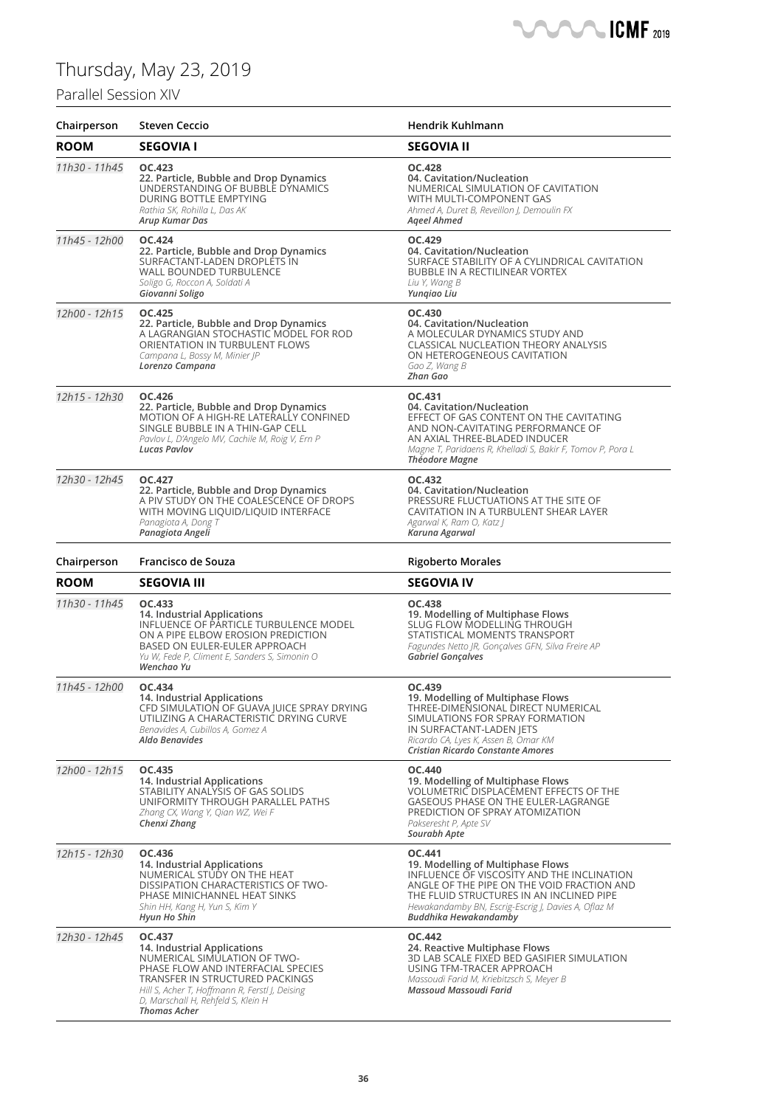### Parallel Sessio

| Chairperson   | Steven Ceccio                                                                                                                                                                                                         | Hendrik Kuhlmann                                                                                                                                                                                                                                          |
|---------------|-----------------------------------------------------------------------------------------------------------------------------------------------------------------------------------------------------------------------|-----------------------------------------------------------------------------------------------------------------------------------------------------------------------------------------------------------------------------------------------------------|
| <b>ROOM</b>   | <b>SEGOVIA I</b>                                                                                                                                                                                                      | <b>SEGOVIA II</b>                                                                                                                                                                                                                                         |
| 11h30 - 11h45 | OC.423<br>22. Particle, Bubble and Drop Dynamics<br>UNDERSTANDING OF BUBBLE DYNAMICS<br>DURING BOTTLE EMPTYING<br>Rathia SK, Rohilla L, Das AK<br>Arup Kumar Das                                                      | <b>OC.428</b><br>04. Cavitation/Nucleation<br>NUMERICAL SIMULATION OF CAVITATION<br>WITH MULTI-COMPONENT GAS<br>Ahmed A, Duret B, Reveillon J, Demoulin FX<br><b>Ageel Ahmed</b>                                                                          |
| 11h45 - 12h00 | OC.424<br>22. Particle, Bubble and Drop Dynamics<br>SURFACTANT-LADEN DROPLETS IN<br>WALL BOUNDED TURBULENCE<br>Soligo G, Roccon A, Soldati A<br>Giovanni Soligo                                                       | OC.429<br>04. Cavitation/Nucleation<br>SURFACE STABILITY OF A CYLINDRICAL CAVITATION<br>BUBBLE IN A RECTILINEAR VORTEX<br>Liu Y, Wang B<br>Yungiao Liu                                                                                                    |
| 12h00 - 12h15 | <b>OC.425</b><br>22. Particle, Bubble and Drop Dynamics<br>A LAGRANGIAN STOCHASTIC MODEL FOR ROD<br>ORIENTATION IN TURBULENT FLOWS<br>Campana L, Bossy M, Minier JP<br>Lorenzo Campana                                | OC.430<br>04. Cavitation/Nucleation<br>A MOLECULAR DYNAMICS STUDY AND<br><b>CLASSICAL NUCLEATION THEORY ANALYSIS</b><br>ON HETEROGENEOUS CAVITATION<br>Gao Z, Wang B<br>Zhan Gao                                                                          |
| 12h15 - 12h30 | OC.426<br>22. Particle, Bubble and Drop Dynamics<br>MOTION OF A HIGH-RE LATERALLY CONFINED<br>SINGLE BUBBLE IN A THIN-GAP CELL<br>Pavlov L, D'Angelo MV, Cachile M, Roig V, Ern P<br>Lucas Pavlov                     | OC.431<br>04. Cavitation/Nucleation<br>EFFECT OF GAS CONTENT ON THE CAVITATING<br>AND NON-CAVITATING PERFORMANCE OF<br>AN AXIAL THREE-BLADED INDUCER<br>Magne T, Paridaens R, Khelladi S, Bakir F, Tomov P, Pora L<br><b>Théodore Magne</b>               |
| 12h30 - 12h45 | OC.427<br>22. Particle, Bubble and Drop Dynamics<br>A PIV STUDY ON THE COALESCENCE OF DROPS<br>WITH MOVING LIQUID/LIQUID INTERFACE<br>Panagiota A, Dong T<br>Panagiota Angeli                                         | OC.432<br>04. Cavitation/Nucleation<br>PRESSURE FLUCTUATIONS AT THE SITE OF<br>CAVITATION IN A TURBULENT SHEAR LAYER<br>Agarwal K, Ram O, Katz J<br>Karuna Agarwal                                                                                        |
| Chairperson   | Francisco de Souza                                                                                                                                                                                                    | <b>Rigoberto Morales</b>                                                                                                                                                                                                                                  |
| <b>ROOM</b>   | <b>SEGOVIA III</b>                                                                                                                                                                                                    | <b>SEGOVIA IV</b>                                                                                                                                                                                                                                         |
| 11h30 - 11h45 | OC.433<br>14. Industrial Applications<br>INFLUENCE OF PARTICLE TURBULENCE MODEL<br>ON A PIPE ELBOW EROSION PREDICTION<br>BASED ON EULER-EULER APPROACH<br>Yu W, Fede P, Climent E, Sanders S, Simonin O<br>Wenchao Yu | OC.438<br>19. Modelling of Multiphase Flows<br>SLUG FLOW MODELLING THROUGH<br>STATISTICAL MOMENTS TRANSPORT<br>Fagundes Netto JR, Gonçalves GFN, Silva Freire AP<br>Gabriel Gonçalves                                                                     |
| 11h45 - 12h00 | OC.434<br>14. Industrial Applications<br>CFD SIMULATION OF GUAVA JUICE SPRAY DRYING<br>UTILIZING A CHARACTERISTIC DRYING CURVE<br>Benavides A, Cubillos A, Gomez A<br>Aldo Benavides                                  | OC.439<br>19. Modelling of Multiphase Flows<br>THREE-DIMENSIONAL DIRECT NUMERICAL<br>SIMULATIONS FOR SPRAY FORMATION<br>IN SURFACTANT-LADEN JETS<br>Ricardo CA, Lyes K, Assen B, Omar KM<br>Cristian Ricardo Constante Amores                             |
| 12h00 - 12h15 | OC.435<br>14. Industrial Applications<br>STABILITY ANALYSIS OF GAS SOLIDS<br>UNIFORMITY THROUGH PARALLEL PATHS<br>Zhang CX, Wang Y, Qian WZ, Wei F<br>Chenxi Zhang                                                    | OC.440<br>19. Modelling of Multiphase Flows<br>VOLUMETRIC DISPLACEMENT EFFECTS OF THE<br><b>GASEOUS PHASE ON THE EULER-LAGRANGE</b><br>PREDICTION OF SPRAY ATOMIZATION<br>Pakseresht P, Apte SV<br>Sourabh Apte                                           |
|               |                                                                                                                                                                                                                       | OC.441                                                                                                                                                                                                                                                    |
| 12h15 - 12h30 | OC.436<br>14. Industrial Applications<br>NUMERICAL STUDY ON THE HEAT<br>DISSIPATION CHARACTERISTICS OF TWO-<br>PHASE MINICHANNEL HEAT SINKS<br>Shin HH, Kang H, Yun S, Kim Y<br>Hyun Ho Shin                          | 19. Modelling of Multiphase Flows<br>INFLUENCE OF VISCOSITY AND THE INCLINATION<br>ANGLE OF THE PIPE ON THE VOID FRACTION AND<br>THE FLUID STRUCTURES IN AN INCLINED PIPE<br>Hewakandamby BN, Escrig-Escrig J, Davies A, Oflaz M<br>Buddhika Hewakandamby |

**CONTROLL ICMF** 2019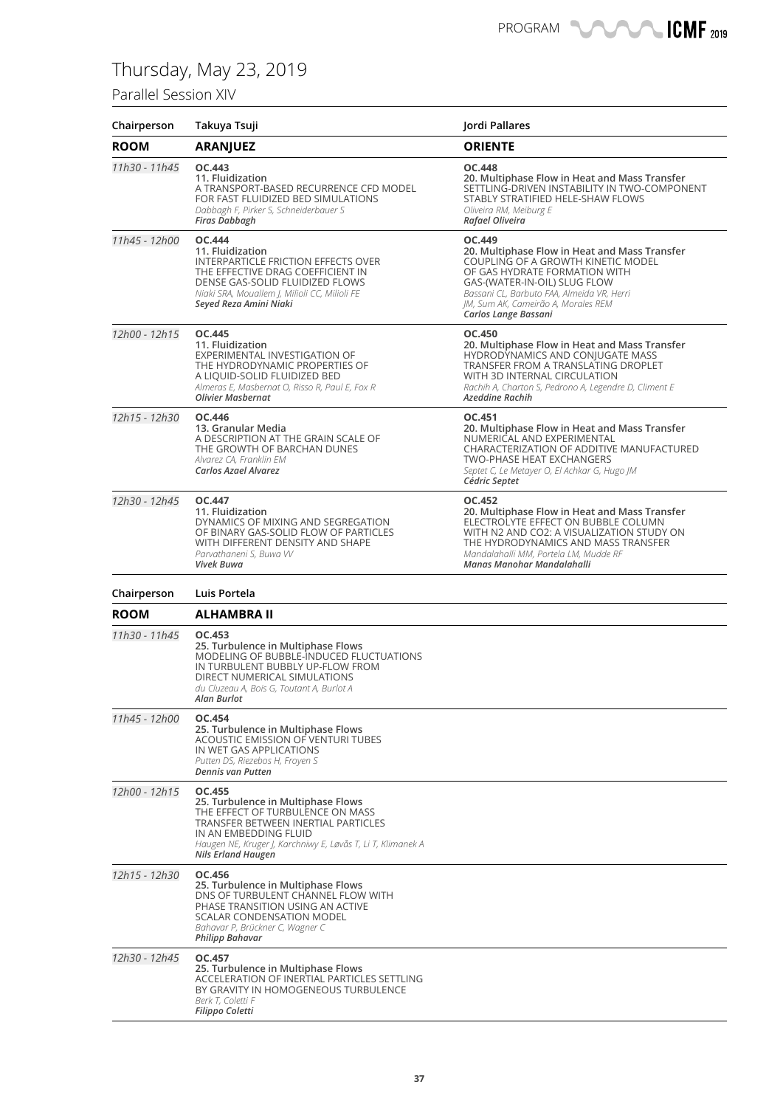### Parallel Session XIV

| Chairperson   | Takuya Tsuji                                                                                                                                                                                                                          | Jordi Pallares                                                                                                                                                                                                                                                              |
|---------------|---------------------------------------------------------------------------------------------------------------------------------------------------------------------------------------------------------------------------------------|-----------------------------------------------------------------------------------------------------------------------------------------------------------------------------------------------------------------------------------------------------------------------------|
| <b>ROOM</b>   | <b>ARANJUEZ</b>                                                                                                                                                                                                                       | <b>ORIENTE</b>                                                                                                                                                                                                                                                              |
| 11h30 - 11h45 | OC.443<br>11. Fluidization<br>A TRANSPORT-BASED RECURRENCE CFD MODEL<br>FOR FAST FLUIDIZED BED SIMULATIONS<br>Dabbagh F, Pirker S, Schneiderbauer S<br><b>Firas Dabbagh</b>                                                           | <b>OC.448</b><br>20. Multiphase Flow in Heat and Mass Transfer<br>SETTLING-DRIVEN INSTABILITY IN TWO-COMPONENT<br>STABLY STRATIFIED HELE-SHAW FLOWS<br>Oliveira RM, Meiburg E<br>Rafael Oliveira                                                                            |
| 11h45 - 12h00 | <b>OC.444</b><br>11. Fluidization<br>INTERPARTICLE FRICTION EFFECTS OVER<br>THE EFFECTIVE DRAG COEFFICIENT IN<br>DENSE GAS-SOLID FLUIDIZED FLOWS<br>Niaki SRA, Mouallem J, Milioli CC, Milioli FE<br>Seyed Reza Amini Niaki           | OC.449<br>20. Multiphase Flow in Heat and Mass Transfer<br>COUPLING OF A GROWTH KINETIC MODEL<br>OF GAS HYDRATE FORMATION WITH<br>GAS-(WATER-IN-OIL) SLUG FLOW<br>Bassani CL, Barbuto FAA, Almeida VR, Herri<br>IM, Sum AK, Cameirão A, Morales REM<br>Carlos Lange Bassani |
| 12h00 - 12h15 | OC.445<br>11. Fluidization<br>EXPERIMENTAL INVESTIGATION OF<br>THE HYDRODYNAMIC PROPERTIES OF<br>A LIQUID-SOLID FLUIDIZED BED<br>Almeras E, Masbernat O, Risso R, Paul E, Fox R<br><b>Olivier Masbernat</b>                           | OC.450<br>20. Multiphase Flow in Heat and Mass Transfer<br>HYDRODYNAMICS AND CONJUGATE MASS<br>TRANSFER FROM A TRANSLATING DROPLET<br>WITH 3D INTERNAL CIRCULATION<br>Rachih A, Charton S, Pedrono A, Legendre D, Climent E<br><b>Azeddine Rachih</b>                       |
| 12h15 - 12h30 | OC.446<br>13. Granular Media<br>A DESCRIPTION AT THE GRAIN SCALE OF<br>THE GROWTH OF BARCHAN DUNES<br>Alvarez CA, Franklin EM<br>Carlos Azael Alvarez                                                                                 | OC.451<br>20. Multiphase Flow in Heat and Mass Transfer<br>NUMERICAL AND EXPERIMENTAL<br>CHARACTERIZATION OF ADDITIVE MANUFACTURED<br><b>TWO-PHASE HEAT EXCHANGERS</b><br>Septet C, Le Metayer O, El Achkar G, Hugo JM<br>Cédric Septet                                     |
| 12h30 - 12h45 | OC.447<br>11. Fluidization<br>DYNAMICS OF MIXING AND SEGREGATION<br>OF BINARY GAS-SOLID FLOW OF PARTICLES<br>WITH DIFFERENT DENSITY AND SHAPE<br>Parvathaneni S, Buwa W<br>Vivek Buwa                                                 | OC.452<br>20. Multiphase Flow in Heat and Mass Transfer<br>ELECTROLYTE EFFECT ON BUBBLE COLUMN<br>WITH N2 AND CO2: A VISUALIZATION STUDY ON<br>THE HYDRODYNAMICS AND MASS TRANSFER<br>Mandalahalli MM, Portela LM, Mudde RF<br>Manas Manohar Mandalahalli                   |
| Chairperson   | Luis Portela                                                                                                                                                                                                                          |                                                                                                                                                                                                                                                                             |
| <b>ROOM</b>   | ALHAMBRA II                                                                                                                                                                                                                           |                                                                                                                                                                                                                                                                             |
| 11h30 - 11h45 | OC.453<br>25. Turbulence in Multiphase Flows<br>MODELING OF BUBBLE-INDUCED FLUCTUATIONS<br>IN TURBULENT BUBBLY UP-FLOW FROM<br>DIRECT NUMERICAL SIMULATIONS<br>du Cluzeau A, Bois G, Toutant A, Burlot A<br>Alan Burlot               |                                                                                                                                                                                                                                                                             |
| 11h45 - 12h00 | OC.454<br>25. Turbulence in Multiphase Flows<br>ACOUSTIC EMISSION OF VENTURI TUBES<br>IN WET GAS APPLICATIONS<br>Putten DS, Riezebos H, Froyen S<br>Dennis van Putten                                                                 |                                                                                                                                                                                                                                                                             |
| 12h00 - 12h15 | OC.455<br>25. Turbulence in Multiphase Flows<br>THE EFFECT OF TURBULENCE ON MASS<br>TRANSFER BETWEEN INERTIAL PARTICLES<br>IN AN EMBEDDING FLUID<br>Haugen NE, Kruger J, Karchniwy E, Løvås T, Li T, Klimanek A<br>Nils Erland Haugen |                                                                                                                                                                                                                                                                             |
| 12h15 - 12h30 | OC.456<br>25. Turbulence in Multiphase Flows<br>DNS OF TURBULENT CHANNEL FLOW WITH<br>PHASE TRANSITION USING AN ACTIVE<br><b>SCALAR CONDENSATION MODEL</b><br>Bahavar P, Brückner C, Wagner C<br><b>Philipp Bahavar</b>               |                                                                                                                                                                                                                                                                             |
| 12h30 - 12h45 | OC.457<br>25. Turbulence in Multiphase Flows<br>ACCELERATION OF INERTIAL PARTICLES SETTLING<br>BY GRAVITY IN HOMOGENEOUS TURBULENCE<br>Berk T, Coletti F<br>Filippo Coletti                                                           |                                                                                                                                                                                                                                                                             |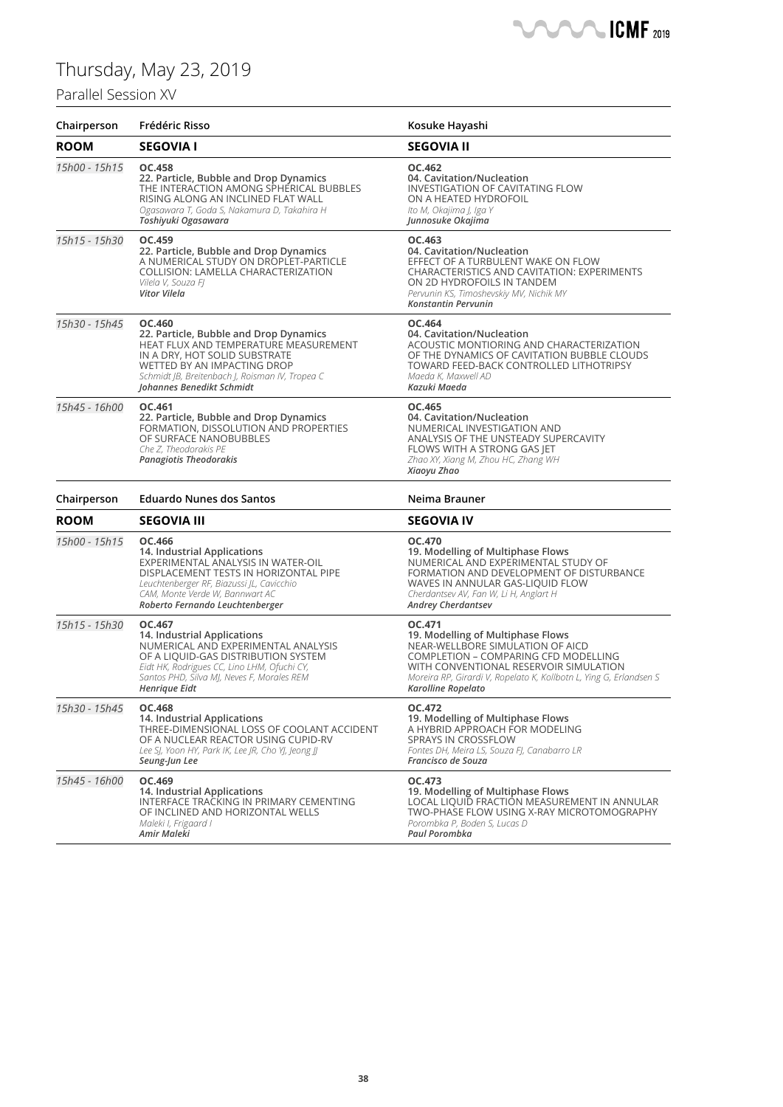### Parallel Session XV

| Chairperson   | Frédéric Risso                                                                                                                                                                                                                            | Kosuke Hayashi                                                                                                                                                                                                                                                |
|---------------|-------------------------------------------------------------------------------------------------------------------------------------------------------------------------------------------------------------------------------------------|---------------------------------------------------------------------------------------------------------------------------------------------------------------------------------------------------------------------------------------------------------------|
| <b>ROOM</b>   | <b>SEGOVIA I</b>                                                                                                                                                                                                                          | <b>SEGOVIA II</b>                                                                                                                                                                                                                                             |
| 15h00 - 15h15 | OC.458<br>22. Particle, Bubble and Drop Dynamics<br>THE INTERACTION AMONG SPHERICAL BUBBLES<br>RISING ALONG AN INCLINED FLAT WALL<br>Ogasawara T, Goda S, Nakamura D, Takahira H<br>Toshiyuki Ogasawara                                   | OC.462<br>04. Cavitation/Nucleation<br><b>INVESTIGATION OF CAVITATING FLOW</b><br>ON A HEATED HYDROFOIL<br>Ito M, Okajima J, Iga Y<br>Junnosuke Okajima                                                                                                       |
| 15h15 - 15h30 | OC.459<br>22. Particle, Bubble and Drop Dynamics<br>A NUMERICAL STUDY ON DROPLET-PARTICLE<br>COLLISION: LAMELLA CHARACTERIZATION<br>Vilela V, Souza Fl<br>Vitor Vilela                                                                    | OC.463<br>04. Cavitation/Nucleation<br>EFFECT OF A TURBULENT WAKE ON FLOW<br><b>CHARACTERISTICS AND CAVITATION: EXPERIMENTS</b><br>ON 2D HYDROFOILS IN TANDEM<br>Pervunin KS, Timoshevskiy MV, Nichik MY<br><b>Konstantin Pervunin</b>                        |
| 15h30 - 15h45 | OC.460<br>22. Particle, Bubble and Drop Dynamics<br>HEAT FLUX AND TEMPERATURE MEASUREMENT<br>IN A DRY, HOT SOLID SUBSTRATE<br>WETTED BY AN IMPACTING DROP<br>Schmidt JB, Breitenbach J, Roisman IV, Tropea C<br>Johannes Benedikt Schmidt | OC.464<br>04. Cavitation/Nucleation<br>ACOUSTIC MONTIORING AND CHARACTERIZATION<br>OF THE DYNAMICS OF CAVITATION BUBBLE CLOUDS<br>TOWARD FEED-BACK CONTROLLED LITHOTRIPSY<br>Maeda K, Maxwell AD<br>Kazuki Maeda                                              |
| 15h45 - 16h00 | OC.461<br>22. Particle, Bubble and Drop Dynamics<br>FORMATION, DISSOLUTION AND PROPERTIES<br>OF SURFACE NANOBUBBLES<br>Che Z, Theodorakis PE<br>Panagiotis Theodorakis                                                                    | OC.465<br>04. Cavitation/Nucleation<br>NUMERICAL INVESTIGATION AND<br>ANALYSIS OF THE UNSTEADY SUPERCAVITY<br>FLOWS WITH A STRONG GAS JET<br>Zhao XY, Xiang M, Zhou HC, Zhang WH<br>Xiaoyu Zhao                                                               |
| Chairperson   | <b>Eduardo Nunes dos Santos</b>                                                                                                                                                                                                           | Neima Brauner                                                                                                                                                                                                                                                 |
| <b>ROOM</b>   | <b>SEGOVIA III</b>                                                                                                                                                                                                                        | <b>SEGOVIA IV</b>                                                                                                                                                                                                                                             |
| 15h00 - 15h15 | OC.466<br>14. Industrial Applications<br>EXPERIMENTAL ANALYSIS IN WATER-OIL<br>DISPLACEMENT TESTS IN HORIZONTAL PIPE<br>Leuchtenberger RF, Biazussi JL, Cavicchio<br>CAM, Monte Verde W, Bannwart AC<br>Roberto Fernando Leuchtenberger   | OC.470<br>19. Modelling of Multiphase Flows<br>NUMERICAL AND EXPERIMENTAL STUDY OF<br>FORMATION AND DEVELOPMENT OF DISTURBANCE<br>WAVES IN ANNULAR GAS-LIQUID FLOW<br>Cherdantsev AV, Fan W, Li H, Anglart H<br><b>Andrey Cherdantsev</b>                     |
| 15h15 - 15h30 | OC.467<br>14. Industrial Applications<br>NUMERICAL AND EXPERIMENTAL ANALYSIS<br>OF A LIQUID-GAS DISTRIBUTION SYSTEM<br>Eidt HK, Rodrigues CC, Lino LHM, Ofuchi CY,<br>Santos PHD, Silva MJ, Neves F, Morales REM<br>Henrique Eidt         | OC.471<br>19. Modelling of Multiphase Flows<br>NEAR-WELLBORE SIMULATION OF AICD<br>COMPLETION - COMPARING CFD MODELLING<br>WITH CONVENTIONAL RESERVOIR SIMULATION<br>Moreira RP, Girardi V, Ropelato K, Kollbotn L, Ying G, Erlandsen S<br>Karolline Ropelato |
| 15h30 - 15h45 | OC.468<br>14. Industrial Applications<br>THREE-DIMENSIONAL LOSS OF COOLANT ACCIDENT<br>OF A NUCLEAR REACTOR USING CUPID-RV<br>Lee SJ, Yoon HY, Park IK, Lee JR, Cho YJ, Jeong JJ<br>Seung-Jun Lee                                         | OC.472<br>19. Modelling of Multiphase Flows<br>A HYBRID APPROACH FOR MODELING<br><b>SPRAYS IN CROSSFLOW</b><br>Fontes DH, Meira LS, Souza FJ, Canabarro LR<br>Francisco de Souza                                                                              |
| 15h45 - 16h00 | OC.469<br>14. Industrial Applications<br>INTERFACE TRACKING IN PRIMARY CEMENTING<br>OF INCLINED AND HORIZONTAL WELLS<br>Maleki I, Frigaard I<br>Amir Maleki                                                                               | OC.473<br>19. Modelling of Multiphase Flows<br>LOCAL LIQUID FRACTION MEASUREMENT IN ANNULAR<br>TWO-PHASE FLOW USING X-RAY MICROTOMOGRAPHY<br>Porombka P, Boden S, Lucas D<br>Paul Porombka                                                                    |

**SANCA ICMF** 2019

 $\blacksquare$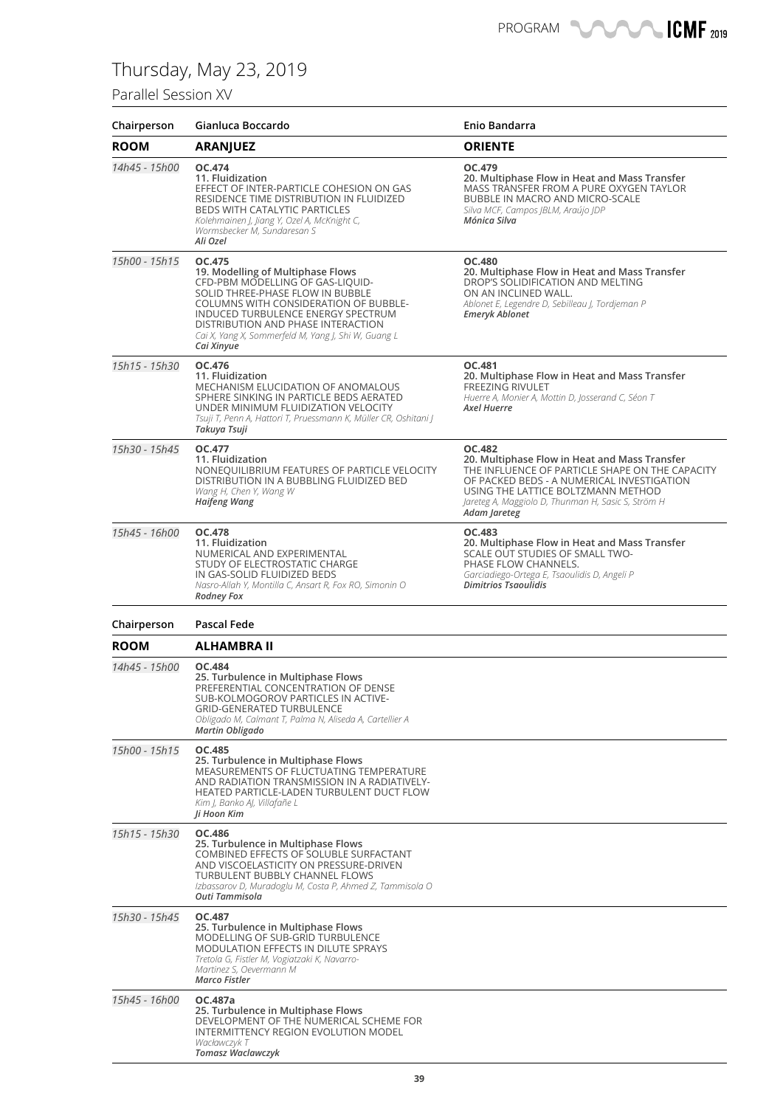### Parallel Session XV

| Chairperson   | Gianluca Boccardo                                                                                                                                                                                                                                                                                             | Enio Bandarra                                                                                                                                                                                                                                                               |
|---------------|---------------------------------------------------------------------------------------------------------------------------------------------------------------------------------------------------------------------------------------------------------------------------------------------------------------|-----------------------------------------------------------------------------------------------------------------------------------------------------------------------------------------------------------------------------------------------------------------------------|
| <b>ROOM</b>   | <b>ARANJUEZ</b>                                                                                                                                                                                                                                                                                               | <b>ORIENTE</b>                                                                                                                                                                                                                                                              |
| 14h45 - 15h00 | OC.474<br>11. Fluidization<br>EFFECT OF INTER-PARTICLE COHESION ON GAS<br>RESIDENCE TIME DISTRIBUTION IN FLUIDIZED<br>BEDS WITH CATALYTIC PARTICLES<br>Kolehmainen J, Jiang Y, Ozel A, McKnight C,<br>Wormsbecker M, Sundaresan S<br>Ali Ozel                                                                 | OC.479<br>20. Multiphase Flow in Heat and Mass Transfer<br>MASS TRANSFER FROM A PURE OXYGEN TAYLOR<br>BUBBLE IN MACRO AND MICRO-SCALE<br>Silva MCF, Campos JBLM, Araújo JDP<br>Mónica Silva                                                                                 |
| 15h00 - 15h15 | OC.475<br>19. Modelling of Multiphase Flows<br>CFD-PBM MODELLING OF GAS-LIQUID-<br>SOLID THREE-PHASE FLOW IN BUBBLE<br>COLUMNS WITH CONSIDERATION OF BUBBLE-<br>INDUCED TURBULENCE ENERGY SPECTRUM<br>DISTRIBUTION AND PHASE INTERACTION<br>Cai X, Yang X, Sommerfeld M, Yang J, Shi W, Guang L<br>Cai Xinyue | <b>OC.480</b><br>20. Multiphase Flow in Heat and Mass Transfer<br>DROP'S SOLIDIFICATION AND MELTING<br>ON AN INCLINED WALL.<br>Ablonet E, Legendre D, Sebilleau J, Tordjeman P<br><b>Emeryk Ablonet</b>                                                                     |
| 15h15 - 15h30 | OC.476<br>11. Fluidization<br><b>MECHANISM ELUCIDATION OF ANOMALOUS</b><br>SPHERE SINKING IN PARTICLE BEDS AERATED<br>UNDER MINIMUM FLUIDIZATION VELOCITY<br>Tsuji T, Penn A, Hattori T, Pruessmann K, Müller CR, Oshitani J<br>Takuya Tsuji                                                                  | OC.481<br>20. Multiphase Flow in Heat and Mass Transfer<br><b>FREEZING RIVULET</b><br>Huerre A, Monier A, Mottin D, Josserand C, Séon T<br><b>Axel Huerre</b>                                                                                                               |
| 15h30 - 15h45 | OC.477<br>11. Fluidization<br>NONEQUILIBRIUM FEATURES OF PARTICLE VELOCITY<br>DISTRIBUTION IN A BUBBLING FLUIDIZED BED<br>Wang H, Chen Y, Wang W<br><b>Haifeng Wang</b>                                                                                                                                       | <b>OC.482</b><br>20. Multiphase Flow in Heat and Mass Transfer<br>THE INFLUENCE OF PARTICLE SHAPE ON THE CAPACITY<br>OF PACKED BEDS - A NUMERICAL INVESTIGATION<br>USING THE LATTICE BOLTZMANN METHOD<br>Jareteg A, Maggiolo D, Thunman H, Sasic S, Ström H<br>Adam Jareteg |
| 15h45 - 16h00 | OC.478<br>11. Fluidization<br>NUMERICAL AND EXPERIMENTAL<br>STUDY OF ELECTROSTATIC CHARGE<br>IN GAS-SOLID FLUIDIZED BEDS<br>Nasro-Allah Y, Montilla C, Ansart R, Fox RO, Simonin O<br><b>Rodney Fox</b>                                                                                                       | OC.483<br>20. Multiphase Flow in Heat and Mass Transfer<br>SCALE OUT STUDIES OF SMALL TWO-<br>PHASE FLOW CHANNELS.<br>Garciadiego-Ortega E, Tsaoulidis D, Angeli P<br><b>Dimitrios Tsaoulidis</b>                                                                           |
| Chairperson   | Pascal Fede                                                                                                                                                                                                                                                                                                   |                                                                                                                                                                                                                                                                             |
| <b>ROOM</b>   | <b>ALHAMBRA II</b>                                                                                                                                                                                                                                                                                            |                                                                                                                                                                                                                                                                             |
| 14h45 - 15h00 | OC.484<br>25. Turbulence in Multiphase Flows<br>PREFERENTIAL CONCENTRATION OF DENSE<br>SUB-KOLMOGOROV PARTICLES IN ACTIVE-<br><b>GRID-GENERATED TURBULENCE</b><br>Obligado M, Calmant T, Palma N, Aliseda A, Cartellier A<br>Martin Obligado                                                                  |                                                                                                                                                                                                                                                                             |
| 15h00 - 15h15 | OC.485<br>25. Turbulence in Multiphase Flows<br>MEASUREMENTS OF FLUCTUATING TEMPERATURE<br>AND RADIATION TRANSMISSION IN A RADIATIVELY-<br>HEATED PARTICLE-LADEN TURBULENT DUCT FLOW<br>Kim J, Banko AJ, Villafañe L<br>Ji Hoon Kim                                                                           |                                                                                                                                                                                                                                                                             |
| 15h15 - 15h30 | OC.486<br>25. Turbulence in Multiphase Flows<br>COMBINED EFFECTS OF SOLUBLE SURFACTANT<br>AND VISCOELASTICITY ON PRESSURE-DRIVEN<br>TURBULENT BUBBLY CHANNEL FLOWS<br>Izbassarov D, Muradoglu M, Costa P, Ahmed Z, Tammisola O<br>Outi Tammisola                                                              |                                                                                                                                                                                                                                                                             |
| 15h30 - 15h45 | OC.487<br>25. Turbulence in Multiphase Flows<br>MODELLING OF SUB-GRID TURBULENCE<br><b>MODULATION EFFECTS IN DILUTE SPRAYS</b><br>Tretola G, Fistler M, Vogiatzaki K, Navarro-<br>Martinez S, Oevermann M<br><b>Marco Fistler</b>                                                                             |                                                                                                                                                                                                                                                                             |
| 15h45 - 16h00 | OC.487a<br>25. Turbulence in Multiphase Flows<br>DEVELOPMENT OF THE NUMERICAL SCHEME FOR<br>INTERMITTENCY REGION EVOLUTION MODEL<br>Wacławczyk T<br><b>Tomasz Waclawczyk</b>                                                                                                                                  |                                                                                                                                                                                                                                                                             |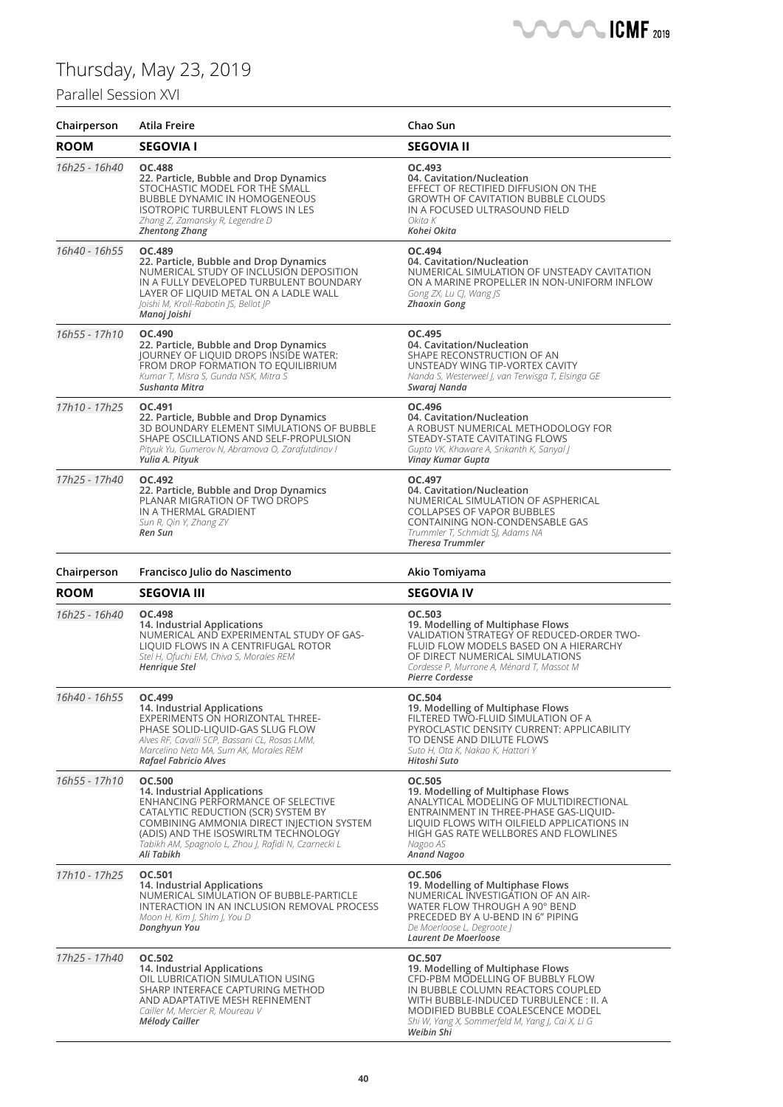### Parallel Session XVI

| Chairperson   | <b>Atila Freire</b>                                                                                                                                                                                                                                                                  | Chao Sun                                                                                                                                                                                                                                                         |
|---------------|--------------------------------------------------------------------------------------------------------------------------------------------------------------------------------------------------------------------------------------------------------------------------------------|------------------------------------------------------------------------------------------------------------------------------------------------------------------------------------------------------------------------------------------------------------------|
| <b>ROOM</b>   | <b>SEGOVIA I</b>                                                                                                                                                                                                                                                                     | <b>SEGOVIA II</b>                                                                                                                                                                                                                                                |
| 16h25 - 16h40 | <b>OC.488</b><br>22. Particle, Bubble and Drop Dynamics<br>STOCHASTIC MODEL FOR THE SMALL<br><b>BUBBLE DYNAMIC IN HOMOGENEOUS</b><br><b>ISOTROPIC TURBULENT FLOWS IN LES</b><br>Zhang Z, Zamansky R, Legendre D<br><b>Zhentong Zhang</b>                                             | OC.493<br>04. Cavitation/Nucleation<br>EFFECT OF RECTIFIED DIFFUSION ON THE<br><b>GROWTH OF CAVITATION BUBBLE CLOUDS</b><br>IN A FOCUSED ULTRASOUND FIELD<br>Okita K<br>Kohei Okita                                                                              |
| 16h40 - 16h55 | OC.489<br>22. Particle, Bubble and Drop Dynamics<br>NUMERICAL STUDY OF INCLUSION DEPOSITION<br>IN A FULLY DEVELOPED TURBULENT BOUNDARY<br>LAYER OF LIQUID METAL ON A LADLE WALL<br>Joishi M, Kroll-Rabotin JS, Bellot JP<br>Manoj Joishi                                             | OC.494<br>04. Cavitation/Nucleation<br>NUMERICAL SIMULATION OF UNSTEADY CAVITATION<br>ON A MARINE PROPELLER IN NON-UNIFORM INFLOW<br>Gong ZX, Lu CJ, Wang JS<br><b>Zhaoxin Gong</b>                                                                              |
| 16h55 - 17h10 | OC.490<br>22. Particle, Bubble and Drop Dynamics<br>JOURNEY OF LIQUID DROPS INSIDE WATER:<br>FROM DROP FORMATION TO EQUILIBRIUM<br>Kumar T, Misra S, Gunda NSK, Mitra S<br>Sushanta Mitra                                                                                            | OC.495<br>04. Cavitation/Nucleation<br>SHAPE RECONSTRUCTION OF AN<br>UNSTEADY WING TIP-VORTEX CAVITY<br>Nanda S, Westerweel J, van Terwisga T, Elsinga GE<br>Swaraj Nanda                                                                                        |
| 17h10 - 17h25 | OC.491<br>22. Particle, Bubble and Drop Dynamics<br>3D BOUNDARY ELEMENT SIMULATIONS OF BUBBLE<br>SHAPE OSCILLATIONS AND SELF-PROPULSION<br>Pityuk Yu, Gumerov N, Abramova O, Zarafutdinov I<br>Yulia A. Pityuk                                                                       | OC.496<br>04. Cavitation/Nucleation<br>A ROBUST NUMERICAL METHODOLOGY FOR<br>STEADY-STATE CAVITATING FLOWS<br>Gupta VK, Khaware A, Srikanth K, Sanyal J<br>Vinay Kumar Gupta                                                                                     |
| 17h25 - 17h40 | OC.492<br>22. Particle, Bubble and Drop Dynamics<br>PLANAR MIGRATION OF TWO DROPS<br>IN A THERMAL GRADIENT<br>Sun R, Qin Y, Zhang ZY<br>Ren Sun                                                                                                                                      | OC.497<br>04. Cavitation/Nucleation<br>NUMERICAL SIMULATION OF ASPHERICAL<br><b>COLLAPSES OF VAPOR BUBBLES</b><br>CONTAINING NON-CONDENSABLE GAS<br>Trummler T, Schmidt SJ, Adams NA<br><b>Theresa Trummler</b>                                                  |
| Chairperson   | Francisco Julio do Nascimento                                                                                                                                                                                                                                                        | Akio Tomiyama                                                                                                                                                                                                                                                    |
| <b>ROOM</b>   | <b>SEGOVIA III</b>                                                                                                                                                                                                                                                                   | <b>SEGOVIA IV</b>                                                                                                                                                                                                                                                |
| 16h25 - 16h40 | OC.498<br>14. Industrial Applications<br>NUMERICAL AND EXPERIMENTAL STUDY OF GAS-<br>LIQUID FLOWS IN A CENTRIFUGAL ROTOR<br>Stel H, Ofuchi EM, Chiva S, Morales REM<br>Henrique Stel                                                                                                 | OC.503<br>19. Modelling of Multiphase Flows<br>VALIDATION STRATEGY OF REDUCED-ORDER TWO-<br>FLUID FLOW MODELS BASED ON A HIERARCHY<br>OF DIRECT NUMERICAL SIMULATIONS<br>Cordesse P, Murrone A, Ménard T, Massot M<br><b>Pierre Cordesse</b>                     |
| 16h40 - 16h55 | OC.499<br>14. Industrial Applications<br>EXPERIMENTS ON HORIZONTAL THREE-<br>PHASE SOLID-LIQUID-GAS SLUG FLOW<br>Alves RF, Cavalli SCP, Bassani CL, Rosas LMM,<br>Marcelino Neto MA, Sum AK, Morales REM<br>Rafael Fabricio Alves                                                    | OC.504<br>19. Modelling of Multiphase Flows<br>FILTERED TWO-FLUID SIMULATION OF A<br>PYROCLASTIC DENSITY CURRENT: APPLICABILITY<br>TO DENSE AND DILUTE FLOWS<br>Suto H, Ota K, Nakao K, Hattori Y<br>Hitoshi Suto                                                |
| 16h55 - 17h10 | <b>OC.500</b><br>14. Industrial Applications<br>ENHANCING PERFORMANCE OF SELECTIVE<br>CATALYTIC REDUCTION (SCR) SYSTEM BY<br>COMBINING AMMONIA DIRECT INJECTION SYSTEM<br>(ADIS) AND THE ISOSWIRLTM TECHNOLOGY<br>Tabikh AM, Spagnolo L, Zhou J, Rafidi N, Czarnecki L<br>Ali Tabikh | <b>OC.505</b><br>19. Modelling of Multiphase Flows<br>ANALYTICAL MODELING OF MULTIDIRECTIONAL<br>ENTRAINMENT IN THREE-PHASE GAS-LIQUID-<br>LIQUID FLOWS WITH OILFIELD APPLICATIONS IN<br>HIGH GAS RATE WELLBORES AND FLOWLINES<br>Nagoo AS<br><b>Anand Nagoo</b> |
| 17h10 - 17h25 | OC.501<br>14. Industrial Applications<br>NUMERICAL SIMULATION OF BUBBLE-PARTICLE<br>INTERACTION IN AN INCLUSION REMOVAL PROCESS<br>Moon H, Kim J, Shim J, You D<br>Donghyun You                                                                                                      | OC.506<br>19. Modelling of Multiphase Flows<br>NUMERICAL INVESTIGATION OF AN AIR-<br>WATER FLOW THROUGH A 90° BEND<br>PRECEDED BY A U-BEND IN 6" PIPING<br>De Moerloose L, Degroote J<br>Laurent De Moerloose                                                    |
| 17h25 - 17h40 | OC.502<br>14. Industrial Applications<br>OIL LUBRICATION SIMULATION USING<br>SHARP INTERFACE CAPTURING METHOD<br>AND ADAPTATIVE MESH REFINEMENT<br>Cailler M, Mercier R, Moureau V<br>Mélody Cailler                                                                                 | OC.507<br>19. Modelling of Multiphase Flows<br>CFD-PBM MODELLING OF BUBBLY FLOW<br>IN BUBBLE COLUMN REACTORS COUPLED<br>WITH BUBBLE-INDUCED TURBULENCE: II. A<br>MODIFIED BUBBLE COALESCENCE MODEL<br>Shi W, Yang X, Sommerfeld M, Yang J, Cai X, Li G           |

**CMF** 2019

Æ

*Weibin Shi*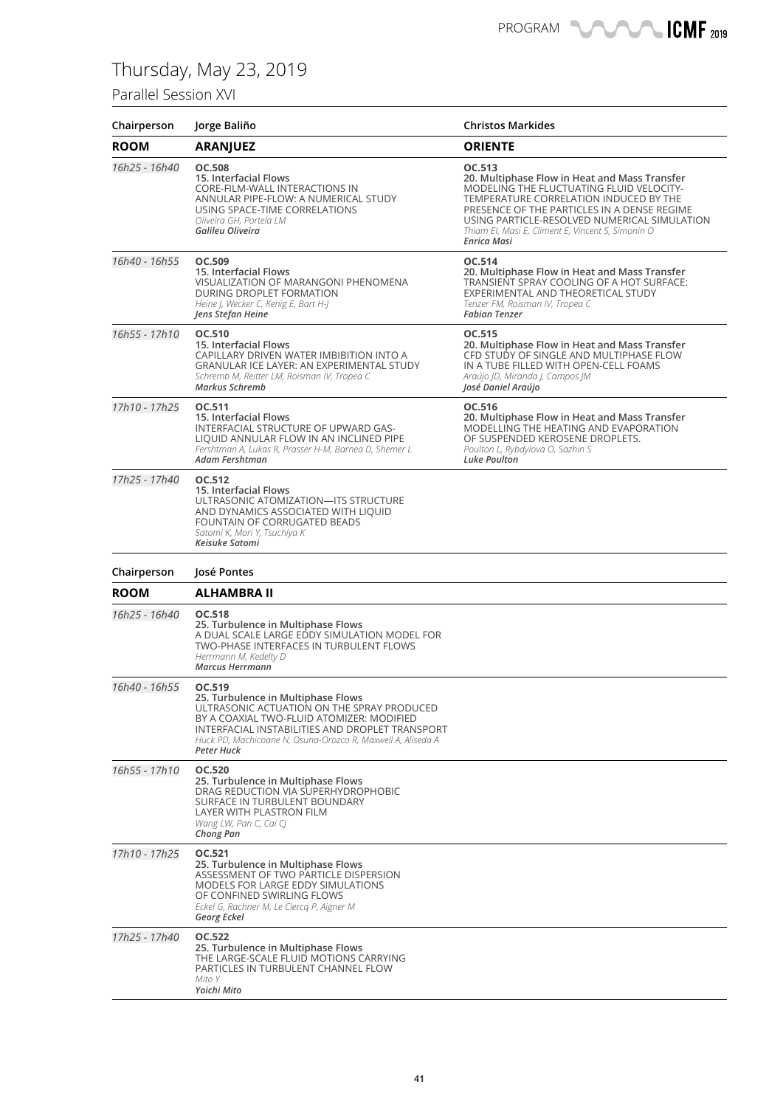### Parallel Session XVI

| Chairperson   | Jorge Baliño                                                                                                                                                                                                                                                            | <b>Christos Markides</b>                                                                                                                                                                                                                                                                                         |
|---------------|-------------------------------------------------------------------------------------------------------------------------------------------------------------------------------------------------------------------------------------------------------------------------|------------------------------------------------------------------------------------------------------------------------------------------------------------------------------------------------------------------------------------------------------------------------------------------------------------------|
| <b>ROOM</b>   | <b>ARANJUEZ</b>                                                                                                                                                                                                                                                         | <b>ORIENTE</b>                                                                                                                                                                                                                                                                                                   |
| 16h25 - 16h40 | <b>OC.508</b><br>15. Interfacial Flows<br>CORE-FILM-WALL INTERACTIONS IN<br>ANNULAR PIPE-FLOW: A NUMERICAL STUDY<br>USING SPACE-TIME CORRELATIONS<br>Oliveira GH, Portela LM<br>Galileu Oliveira                                                                        | OC.513<br>20. Multiphase Flow in Heat and Mass Transfer<br>MODELING THE FLUCTUATING FLUID VELOCITY-<br>TEMPERATURE CORRELATION INDUCED BY THE<br>PRESENCE OF THE PARTICLES IN A DENSE REGIME<br>USING PARTICLE-RESOLVED NUMERICAL SIMULATION<br>Thiam EI, Masi E, Climent E, Vincent S, Simonin O<br>Enrica Masi |
| 16h40 - 16h55 | OC.509<br>15. Interfacial Flows<br><b>VISUALIZATION OF MARANGONI PHENOMENA</b><br>DURING DROPLET FORMATION<br>Heine J, Wecker C, Kenig E, Bart H-J<br>Jens Stefan Heine                                                                                                 | OC.514<br>20. Multiphase Flow in Heat and Mass Transfer<br>TRANSIENT SPRAY COOLING OF A HOT SURFACE:<br>EXPERIMENTAL AND THEORETICAL STUDY<br>Tenzer FM, Roisman IV, Tropea C<br><b>Fabian Tenzer</b>                                                                                                            |
| 16h55 - 17h10 | OC.510<br>15. Interfacial Flows<br>CAPILLARY DRIVEN WATER IMBIBITION INTO A<br><b>GRANULAR ICE LAYER: AN EXPERIMENTAL STUDY</b><br>Schremb M, Reitter LM, Roisman IV, Tropea C<br><b>Markus Schremb</b>                                                                 | OC.515<br>20. Multiphase Flow in Heat and Mass Transfer<br>CFD STUDY OF SINGLE AND MULTIPHASE FLOW<br>IN A TUBE FILLED WITH OPEN-CELL FOAMS<br>Araújo ID, Miranda I, Campos IM<br>José Daniel Araújo                                                                                                             |
| 17h10 - 17h25 | OC.511<br>15. Interfacial Flows<br>INTERFACIAL STRUCTURE OF UPWARD GAS-<br>LIQUID ANNULAR FLOW IN AN INCLINED PIPE<br>Fershtman A, Lukas R, Prasser H-M, Barnea D, Shemer L<br>Adam Fershtman                                                                           | OC.516<br>20. Multiphase Flow in Heat and Mass Transfer<br>MODELLING THE HEATING AND EVAPORATION<br>OF SUSPENDED KEROSENE DROPLETS.<br>Poulton L, Rybdylova O, Sazhin S<br>Luke Poulton                                                                                                                          |
| 17h25 - 17h40 | OC.512<br>15. Interfacial Flows<br>ULTRASONIC ATOMIZATION-ITS STRUCTURE<br>AND DYNAMICS ASSOCIATED WITH LIQUID<br>FOUNTAIN OF CORRUGATED BEADS<br>Satomi K, Mori Y, Tsuchiya K<br>Keisuke Satomi                                                                        |                                                                                                                                                                                                                                                                                                                  |
| Chairperson   | José Pontes                                                                                                                                                                                                                                                             |                                                                                                                                                                                                                                                                                                                  |
| <b>ROOM</b>   | <b>ALHAMBRA II</b>                                                                                                                                                                                                                                                      |                                                                                                                                                                                                                                                                                                                  |
| 16h25 - 16h40 | OC.518<br>25. Turbulence in Multiphase Flows<br>A DUAL SCALE LARGE EDDY SIMULATION MODEL FOR<br>TWO-PHASE INTERFACES IN TURBULENT FLOWS<br>Herrmann M, Kedelty D<br><b>Marcus Herrmann</b>                                                                              |                                                                                                                                                                                                                                                                                                                  |
| 16h40 - 16h55 | OC.519<br>25. Turbulence in Multiphase Flows<br>ULTRASONIC ACTUATION ON THE SPRAY PRODUCED<br>BY A COAXIAL TWO-FLUID ATOMIZER: MODIFIED<br>INTERFACIAL INSTABILITIES AND DROPLET TRANSPORT<br>Huck PD, Machicoane N, Osuna-Orozco R, Maxwell A, Aliseda A<br>Peter Huck |                                                                                                                                                                                                                                                                                                                  |
| 16h55 - 17h10 | OC.520<br>25. Turbulence in Multiphase Flows<br>DRAG REDUCTION VIA SUPERHYDROPHOBIC<br>SURFACE IN TURBULENT BOUNDARY<br>LAYER WITH PLASTRON FILM<br>Wang LW, Pan C, Cai CJ<br>Chong Pan                                                                                 |                                                                                                                                                                                                                                                                                                                  |
| 17h10 - 17h25 | OC.521<br>25. Turbulence in Multiphase Flows<br>ASSESSMENT OF TWO PARTICLE DISPERSION<br><b>MODELS FOR LARGE EDDY SIMULATIONS</b><br>OF CONFINED SWIRLING FLOWS<br>Eckel G, Rachner M, Le Clercq P, Aigner M<br>Georg Eckel                                             |                                                                                                                                                                                                                                                                                                                  |
| 17h25 - 17h40 | OC.522<br>25. Turbulence in Multiphase Flows<br>THE LARGE-SCALE FLUID MOTIONS CARRYING<br>PARTICLES IN TURBULENT CHANNEL FLOW<br>Mito Y<br>Yoichi Mito                                                                                                                  |                                                                                                                                                                                                                                                                                                                  |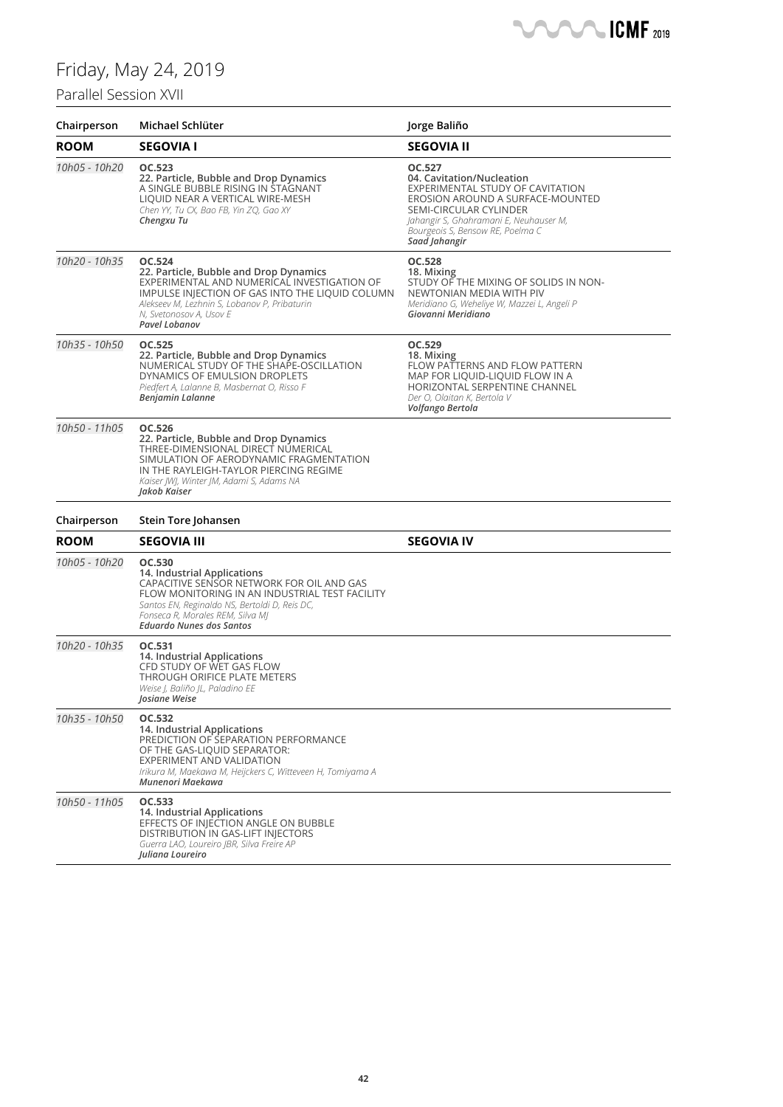## Parallel Session XVII

| Chairperson   | Michael Schlüter                                                                                                                                                                                                                                             | Jorge Baliño                                                                                                                                                                                                                         |
|---------------|--------------------------------------------------------------------------------------------------------------------------------------------------------------------------------------------------------------------------------------------------------------|--------------------------------------------------------------------------------------------------------------------------------------------------------------------------------------------------------------------------------------|
| ROOM          | <b>SEGOVIA I</b>                                                                                                                                                                                                                                             | <b>SEGOVIA II</b>                                                                                                                                                                                                                    |
| 10h05 - 10h20 | OC.523<br>22. Particle, Bubble and Drop Dynamics<br>A SINGLE BUBBLE RISING IN STAGNANT<br>LIQUID NEAR A VERTICAL WIRE-MESH<br>Chen YY, Tu CX, Bao FB, Yin ZQ, Gao XY<br>Chengxu Tu                                                                           | OC.527<br>04. Cavitation/Nucleation<br>EXPERIMENTAL STUDY OF CAVITATION<br>EROSION AROUND A SURFACE-MOUNTED<br>SEMI-CIRCULAR CYLINDER<br>Jahangir S, Ghahramani E, Neuhauser M,<br>Bourgeois S, Bensow RE, Poelma C<br>Saad Jahangir |
| 10h20 - 10h35 | OC.524<br>22. Particle, Bubble and Drop Dynamics<br>EXPERIMENTAL AND NUMERICAL INVESTIGATION OF<br>IMPULSE INJECTION OF GAS INTO THE LIQUID COLUMN<br>Alekseev M, Lezhnin S, Lobanov P, Pribaturin<br>N, Svetonosov A, Usov E<br>Pavel Lobanov               | OC.528<br>18. Mixing<br>STUDY OF THE MIXING OF SOLIDS IN NON-<br>NEWTONIAN MEDIA WITH PIV<br>Meridiano G, Weheliye W, Mazzei L, Angeli P<br>Giovanni Meridiano                                                                       |
| 10h35 - 10h50 | OC.525<br>22. Particle, Bubble and Drop Dynamics<br>NUMERICAL STUDY OF THE SHAPE-OSCILLATION<br>DYNAMICS OF EMULSION DROPLETS<br>Piedfert A, Lalanne B, Masbernat O, Risso F<br>Benjamin Lalanne                                                             | OC.529<br>18. Mixing<br>FLOW PATTERNS AND FLOW PATTERN<br>MAP FOR LIQUID-LIQUID FLOW IN A<br>HORIZONTAL SERPENTINE CHANNEL<br>Der O, Olaitan K, Bertola V<br>Volfango Bertola                                                        |
| 10h50 - 11h05 | OC.526<br>22. Particle, Bubble and Drop Dynamics<br>THREE-DIMENSIONAL DIRECT NUMERICAL<br>SIMULATION OF AERODYNAMIC FRAGMENTATION<br>IN THE RAYLEIGH-TAYLOR PIERCING REGIME<br>Kaiser JWJ, Winter JM, Adami S, Adams NA<br>Jakob Kaiser                      |                                                                                                                                                                                                                                      |
| Chairperson   | Stein Tore Johansen                                                                                                                                                                                                                                          |                                                                                                                                                                                                                                      |
| ROOM          | <b>SEGOVIA III</b>                                                                                                                                                                                                                                           | <b>SEGOVIA IV</b>                                                                                                                                                                                                                    |
| 10h05 - 10h20 | OC.530<br>14. Industrial Applications<br>CAPACITIVE SENSOR NETWORK FOR OIL AND GAS<br>FLOW MONITORING IN AN INDUSTRIAL TEST FACILITY<br>Santos EN, Reginaldo NS, Bertoldi D, Reis DC,<br>Fonseca R, Morales REM, Silva MI<br><b>Eduardo Nunes dos Santos</b> |                                                                                                                                                                                                                                      |
| 10h20 - 10h35 | OC.531<br>14. Industrial Applications<br>CFD STUDY OF WET GAS FLOW<br>THROUGH ORIFICE PLATE METERS<br>Weise J, Baliño JL, Paladino EE<br>Josiane Weise                                                                                                       |                                                                                                                                                                                                                                      |
| 10h35 - 10h50 | OC.532<br>14. Industrial Applications<br>PREDICTION OF SEPARATION PERFORMANCE<br>OF THE GAS-LIQUID SEPARATOR:<br>EXPERIMENT AND VALIDATION<br>Irikura M, Maekawa M, Heijckers C, Witteveen H, Tomiyama A<br>Munenori Maekawa                                 |                                                                                                                                                                                                                                      |
| 10h50 - 11h05 | OC.533<br>14. Industrial Applications<br>EFFECTS OF INJECTION ANGLE ON BUBBLE<br>DISTRIBUTION IN GAS-LIFT INJECTORS<br>Guerra LAO, Loureiro JBR, Silva Freire AP<br><b>Iuliana Loureiro</b>                                                                  |                                                                                                                                                                                                                                      |

**CMF** 2019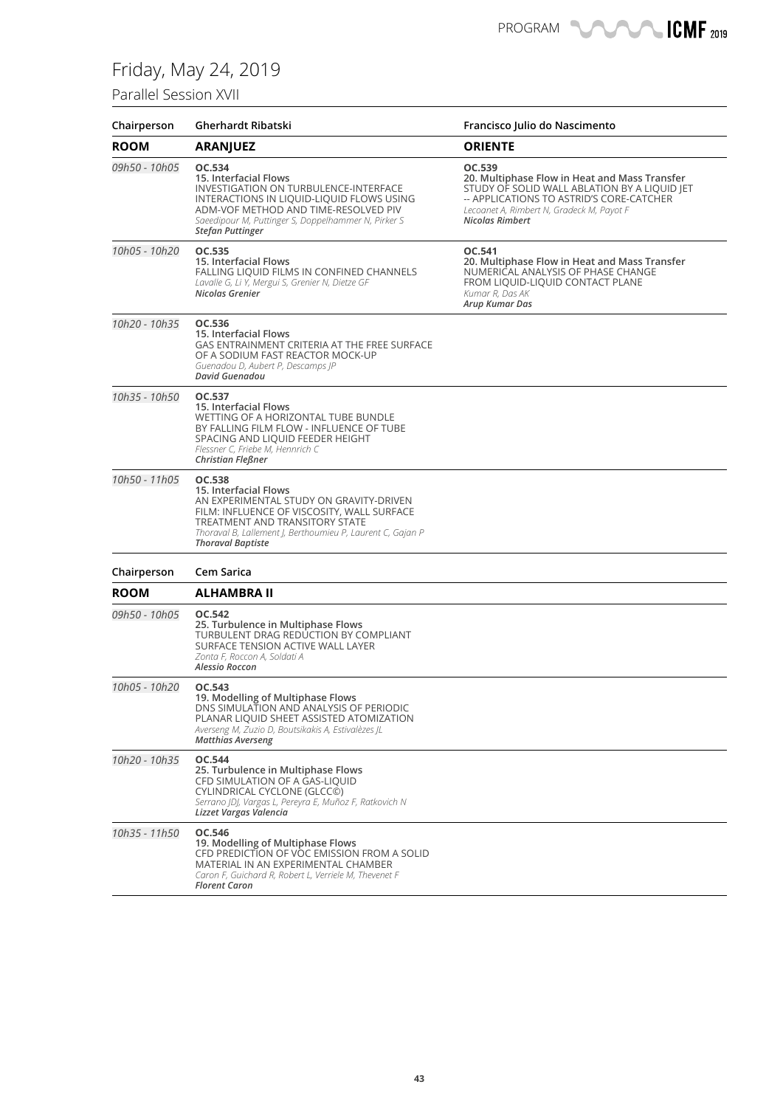### Parallel Session XVII

| Chairperson   | Gherhardt Ribatski                                                                                                                                                                                                                                          | Francisco Julio do Nascimento                                                                                                                                                                                              |
|---------------|-------------------------------------------------------------------------------------------------------------------------------------------------------------------------------------------------------------------------------------------------------------|----------------------------------------------------------------------------------------------------------------------------------------------------------------------------------------------------------------------------|
| <b>ROOM</b>   | <b>ARANJUEZ</b>                                                                                                                                                                                                                                             | <b>ORIENTE</b>                                                                                                                                                                                                             |
| 09h50 - 10h05 | OC.534<br>15. Interfacial Flows<br>INVESTIGATION ON TURBULENCE-INTERFACE<br>INTERACTIONS IN LIQUID-LIQUID FLOWS USING<br>ADM-VOF METHOD AND TIME-RESOLVED PIV<br>Saeedipour M, Puttinger S, Doppelhammer N, Pirker S<br><b>Stefan Puttinger</b>             | OC.539<br>20. Multiphase Flow in Heat and Mass Transfer<br>STUDY OF SOLID WALL ABLATION BY A LIQUID JET<br>-- APPLICATIONS TO ASTRID'S CORE-CATCHER<br>Lecoanet A, Rimbert N, Gradeck M, Payot F<br><b>Nicolas Rimbert</b> |
| 10h05 - 10h20 | OC.535<br>15. Interfacial Flows<br>FALLING LIQUID FILMS IN CONFINED CHANNELS<br>Lavalle G, Li Y, Mergui S, Grenier N, Dietze GF<br>Nicolas Grenier                                                                                                          | OC.541<br>20. Multiphase Flow in Heat and Mass Transfer<br>NUMERICAL ANALYSIS OF PHASE CHANGE<br>FROM LIQUID-LIQUID CONTACT PLANE<br>Kumar R, Das AK<br>Arup Kumar Das                                                     |
| 10h20 - 10h35 | OC.536<br>15. Interfacial Flows<br>GAS ENTRAINMENT CRITERIA AT THE FREE SURFACE<br>OF A SODIUM FAST REACTOR MOCK-UP<br>Guenadou D, Aubert P, Descamps JP<br>David Guenadou                                                                                  |                                                                                                                                                                                                                            |
| 10h35 - 10h50 | OC.537<br>15. Interfacial Flows<br>WETTING OF A HORIZONTAL TUBE BUNDLE<br>BY FALLING FILM FLOW - INFLUENCE OF TUBE<br>SPACING AND LIQUID FEEDER HEIGHT<br>Flessner C, Friebe M, Hennrich C<br>Christian Fleßner                                             |                                                                                                                                                                                                                            |
| 10h50 - 11h05 | OC.538<br><b>15. Interfacial Flows</b><br>AN EXPERIMENTAL STUDY ON GRAVITY-DRIVEN<br>FILM: INFLUENCE OF VISCOSITY, WALL SURFACE<br>TREATMENT AND TRANSITORY STATE<br>Thoraval B, Lallement J, Berthoumieu P, Laurent C, Gajan P<br><b>Thoraval Baptiste</b> |                                                                                                                                                                                                                            |
| Chairperson   | Cem Sarica                                                                                                                                                                                                                                                  |                                                                                                                                                                                                                            |
| <b>ROOM</b>   | <b>ALHAMBRA II</b>                                                                                                                                                                                                                                          |                                                                                                                                                                                                                            |
| 09h50 - 10h05 | OC.542<br>25. Turbulence in Multiphase Flows<br>TURBULENT DRAG REDUCTION BY COMPLIANT<br>SURFACE TENSION ACTIVE WALL LAYER<br>Zonta F, Roccon A, Soldati A<br>Alessio Roccon                                                                                |                                                                                                                                                                                                                            |
| 10h05 - 10h20 | OC.543<br>19. Modelling of Multiphase Flows<br>DNS SIMULATION AND ANALYSIS OF PERIODIC<br>PLANAR LIQUID SHEET ASSISTED ATOMIZATION<br>Averseng M, Zuzio D, Boutsikakis A, Estivalèzes JL<br><b>Matthias Averseng</b>                                        |                                                                                                                                                                                                                            |
| 10h20 - 10h35 | OC.544<br>25. Turbulence in Multiphase Flows<br>CFD SIMULATION OF A GAS-LIQUID<br>CYLINDRICAL CYCLONE (GLCC©)<br>Serrano (D), Vargas L, Pereyra E, Muñoz F, Ratkovich N<br>Lizzet Vargas Valencia                                                           |                                                                                                                                                                                                                            |
| 10h35 - 11h50 | OC.546<br>19. Modelling of Multiphase Flows<br>CFD PREDICTION OF VOC EMISSION FROM A SOLID<br>MATERIAL IN AN EXPERIMENTAL CHAMBER<br>Caron F, Guichard R, Robert L, Verriele M, Thevenet F<br><b>Florent Caron</b>                                          |                                                                                                                                                                                                                            |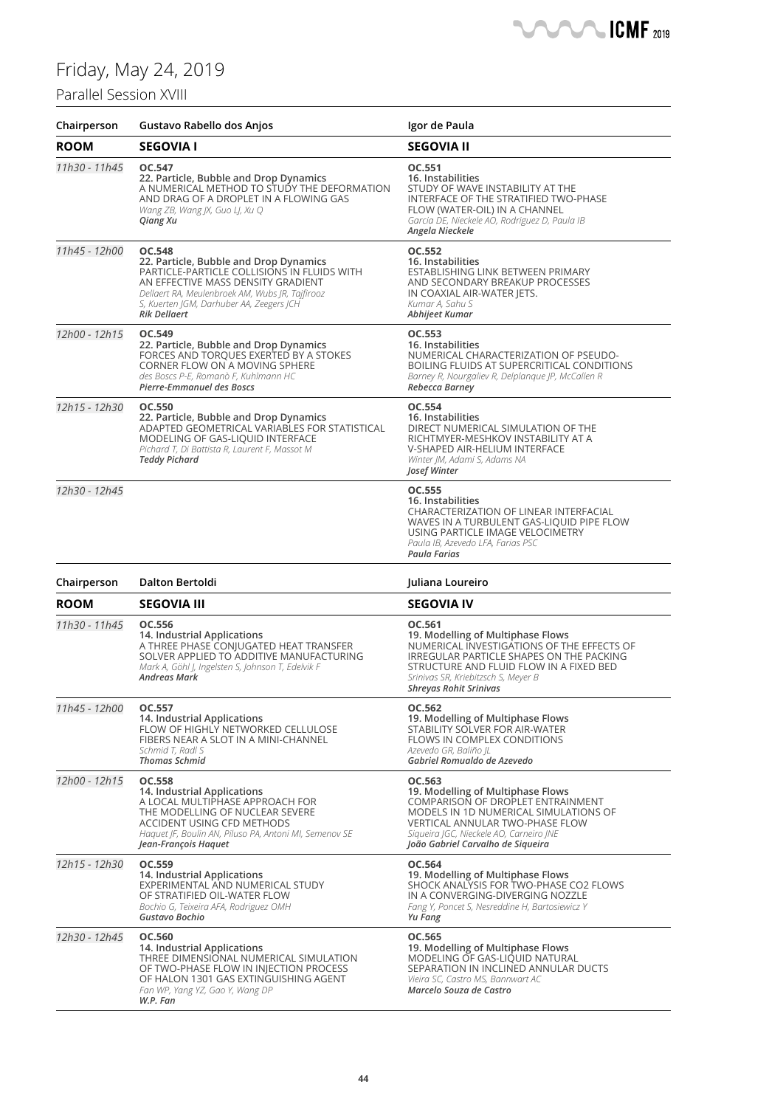### Parallel Session XVIII



| Chairperson   | Gustavo Rabello dos Anjos                                                                                                                                                                                                                                          | Igor de Paula                                                                                                                                                                                                                                     |
|---------------|--------------------------------------------------------------------------------------------------------------------------------------------------------------------------------------------------------------------------------------------------------------------|---------------------------------------------------------------------------------------------------------------------------------------------------------------------------------------------------------------------------------------------------|
| <b>ROOM</b>   | <b>SEGOVIA I</b>                                                                                                                                                                                                                                                   | <b>SEGOVIA II</b>                                                                                                                                                                                                                                 |
| 11h30 - 11h45 | OC.547<br>22. Particle, Bubble and Drop Dynamics<br>A NUMERICAL METHOD TO STUDY THE DEFORMATION<br>AND DRAG OF A DROPLET IN A FLOWING GAS<br>Wang ZB, Wang JX, Guo LJ, Xu Q<br>Qiang Xu                                                                            | OC.551<br>16. Instabilities<br>STUDY OF WAVE INSTABILITY AT THE<br>INTERFACE OF THE STRATIFIED TWO-PHASE<br>FLOW (WATER-OIL) IN A CHANNEL<br>Garcia DE, Nieckele AO, Rodriguez D, Paula IB<br>Angela Nieckele                                     |
| 11h45 - 12h00 | <b>OC.548</b><br>22. Particle, Bubble and Drop Dynamics<br>PARTICLE-PARTICLE COLLISIONS IN FLUIDS WITH<br>AN EFFECTIVE MASS DENSITY GRADIENT<br>Dellaert RA, Meulenbroek AM, Wubs JR, Tajfirooz<br>S, Kuerten JGM, Darhuber AA, Zeegers JCH<br><b>Rik Dellaert</b> | OC.552<br>16. Instabilities<br>ESTABLISHING LINK BETWEEN PRIMARY<br>AND SECONDARY BREAKUP PROCESSES<br>IN COAXIAL AIR-WATER JETS.<br>Kumar A, Sahu S<br>Abhijeet Kumar                                                                            |
| 12h00 - 12h15 | OC.549<br>22. Particle, Bubble and Drop Dynamics<br>FORCES AND TORQUES EXERTED BY A STOKES<br>CORNER FLOW ON A MOVING SPHERE<br>des Boscs P-E, Romanò F, Kuhlmann HC<br>Pierre-Emmanuel des Boscs                                                                  | OC.553<br>16. Instabilities<br>NUMERICAL CHARACTERIZATION OF PSEUDO-<br>BOILING FLUIDS AT SUPERCRITICAL CONDITIONS<br>Barney R, Nourgaliev R, Delplanque JP, McCallen R<br>Rebecca Barney                                                         |
| 12h15 - 12h30 | OC.550<br>22. Particle, Bubble and Drop Dynamics<br>ADAPTED GEOMETRICAL VARIABLES FOR STATISTICAL<br>MODELING OF GAS-LIQUID INTERFACE<br>Pichard T, Di Battista R, Laurent F, Massot M<br><b>Teddy Pichard</b>                                                     | OC.554<br>16. Instabilities<br>DIRECT NUMERICAL SIMULATION OF THE<br>RICHTMYER-MESHKOV INSTABILITY AT A<br>V-SHAPED AIR-HELIUM INTERFACE<br>Winter JM, Adami S, Adams NA<br>Josef Winter                                                          |
| 12h30 - 12h45 |                                                                                                                                                                                                                                                                    | OC.555<br>16. Instabilities<br>CHARACTERIZATION OF LINEAR INTERFACIAL<br>WAVES IN A TURBULENT GAS-LIQUID PIPE FLOW<br>USING PARTICLE IMAGE VELOCIMETRY<br>Paula IB, Azevedo LFA, Farias PSC<br>Paula Farias                                       |
| Chairperson   | Dalton Bertoldi                                                                                                                                                                                                                                                    | Juliana Loureiro                                                                                                                                                                                                                                  |
| <b>ROOM</b>   | <b>SEGOVIA III</b>                                                                                                                                                                                                                                                 | <b>SEGOVIA IV</b>                                                                                                                                                                                                                                 |
| 11h30 - 11h45 | OC.556<br>14. Industrial Applications<br>A THREE PHASE CONJUGATED HEAT TRANSFER<br>SOLVER APPLIED TO ADDITIVE MANUFACTURING<br>Mark A, Göhl J, Ingelsten S, Johnson T, Edelvik F<br>Andreas Mark                                                                   | OC.561<br>19. Modelling of Multiphase Flows<br>NUMERICAL INVESTIGATIONS OF THE EFFECTS OF<br>IRREGULAR PARTICLE SHAPES ON THE PACKING<br>STRUCTURE AND FLUID FLOW IN A FIXED BED<br>Srinivas SR, Kriebitzsch S, Meyer B<br>Shreyas Rohit Srinivas |
| 11h45 - 12h00 | OC.557<br>14. Industrial Applications<br>FLOW OF HIGHLY NETWORKED CELLULOSE<br>FIBERS NEAR A SLOT IN A MINI-CHANNEL<br>Schmid T, Radl S<br><b>Thomas Schmid</b>                                                                                                    | OC.562<br>19. Modelling of Multiphase Flows<br>STABILITY SOLVER FOR AIR-WATER<br>FLOWS IN COMPLEX CONDITIONS<br>Azevedo GR, Baliño JL<br>Gabriel Romualdo de Azevedo                                                                              |
| 12h00 - 12h15 | OC.558<br>14. Industrial Applications<br>A LOCAL MULTIPHASE APPROACH FOR<br>THE MODELLING OF NUCLEAR SEVERE<br>ACCIDENT USING CFD METHODS<br>Haquet JF, Boulin AN, Piluso PA, Antoni MI, Semenov SE<br>Jean-François Haquet                                        | OC.563<br>19. Modelling of Multiphase Flows<br>COMPARISON OF DROPLET ENTRAINMENT<br>MODELS IN 1D NUMERICAL SIMULATIONS OF<br>VERTICAL ANNULAR TWO-PHASE FLOW<br>Sigueira JGC, Nieckele AO, Carneiro JNE<br>João Gabriel Carvalho de Sigueira      |
| 12h15 - 12h30 | OC.559<br>14. Industrial Applications<br>EXPERIMENTAL AND NUMERICAL STUDY<br>OF STRATIFIED OIL-WATER FLOW<br>Bochio G, Teixeira AFA, Rodriguez OMH<br>Gustavo Bochio                                                                                               | OC.564<br>19. Modelling of Multiphase Flows<br>SHOCK ANALYSIS FOR TWO-PHASE CO2 FLOWS<br>IN A CONVERGING-DIVERGING NOZZLE<br>Fang Y, Poncet S, Nesreddine H, Bartosiewicz Y<br>Yu Fang                                                            |
| 12h30 - 12h45 | OC.560<br>14. Industrial Applications<br>THREE DIMENSIONAL NUMERICAL SIMULATION<br>OF TWO-PHASE FLOW IN INJECTION PROCESS<br>OF HALON 1301 GAS EXTINGUISHING AGENT<br>Fan WP, Yang YZ, Gao Y, Wang DP                                                              | OC.565<br>19. Modelling of Multiphase Flows<br>MODELING OF GAS-LIQUID NATURAL<br>SEPARATION IN INCLINED ANNULAR DUCTS<br>Vieira SC, Castro MS, Bannwart AC<br>Marcelo Souza de Castro                                                             |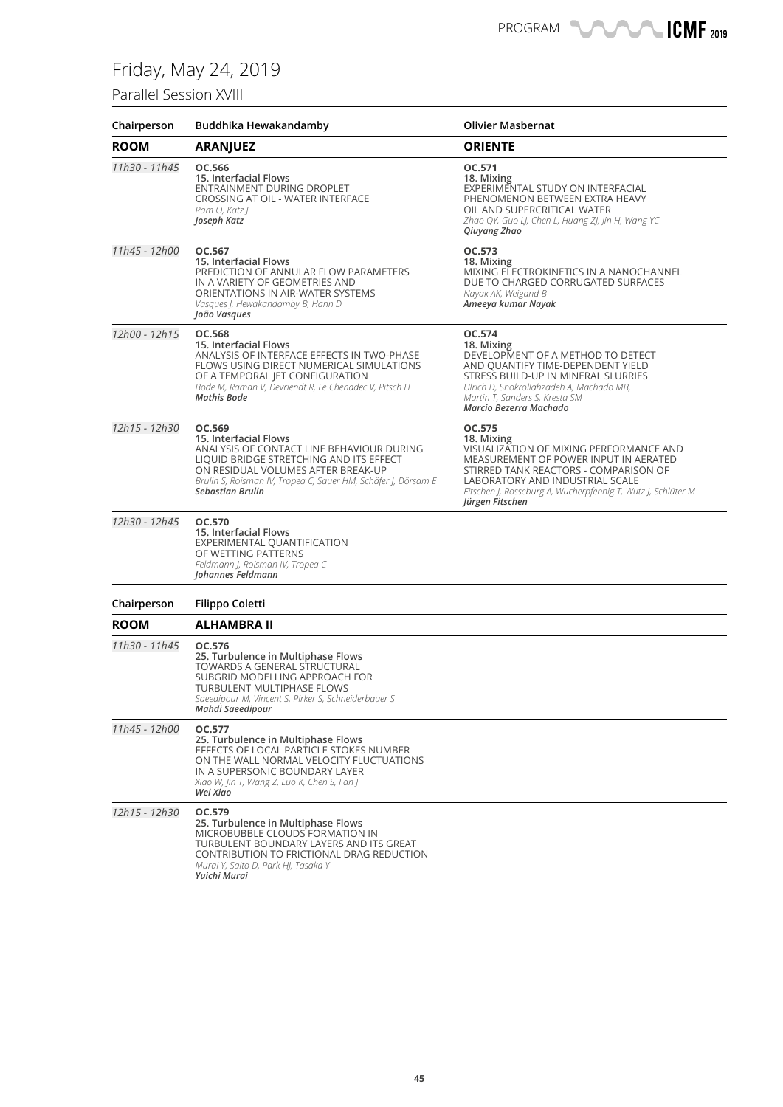### Parallel Session XVIII

| Chairperson   | Buddhika Hewakandamby                                                                                                                                                                                                                                     | <b>Olivier Masbernat</b>                                                                                                                                                                                                                                                |
|---------------|-----------------------------------------------------------------------------------------------------------------------------------------------------------------------------------------------------------------------------------------------------------|-------------------------------------------------------------------------------------------------------------------------------------------------------------------------------------------------------------------------------------------------------------------------|
| <b>ROOM</b>   | <b>ARANJUEZ</b>                                                                                                                                                                                                                                           | <b>ORIENTE</b>                                                                                                                                                                                                                                                          |
| 11h30 - 11h45 | OC.566<br>15. Interfacial Flows<br>ENTRAINMENT DURING DROPLET<br>CROSSING AT OIL - WATER INTERFACE<br>Ram O, Katz J<br>Joseph Katz                                                                                                                        | OC.571<br>18. Mixing<br>EXPERIMENTAL STUDY ON INTERFACIAL<br>PHENOMENON BETWEEN EXTRA HEAVY<br>OIL AND SUPERCRITICAL WATER<br>Zhao QY, Guo LJ, Chen L, Huang ZJ, Jin H, Wang YC<br>Qiuyang Zhao                                                                         |
| 11h45 - 12h00 | OC.567<br>15. Interfacial Flows<br>PREDICTION OF ANNULAR FLOW PARAMETERS<br>IN A VARIETY OF GEOMETRIES AND<br>ORIENTATIONS IN AIR-WATER SYSTEMS<br>Vasques J, Hewakandamby B, Hann D<br>João Vasques                                                      | OC.573<br>18. Mixing<br>MIXING ELECTROKINETICS IN A NANOCHANNEL<br>DUE TO CHARGED CORRUGATED SURFACES<br>Nayak AK, Weigand B<br>Ameeya kumar Nayak                                                                                                                      |
| 12h00 - 12h15 | OC.568<br>15. Interfacial Flows<br>ANALYSIS OF INTERFACE EFFECTS IN TWO-PHASE<br>FLOWS USING DIRECT NUMERICAL SIMULATIONS<br>OF A TEMPORAL JET CONFIGURATION<br>Bode M, Raman V, Devriendt R, Le Chenadec V, Pitsch H<br><b>Mathis Bode</b>               | OC.574<br>18. Mixing<br>DEVELOPMENT OF A METHOD TO DETECT<br>AND QUANTIFY TIME-DEPENDENT YIELD<br>STRESS BUILD-UP IN MINERAL SLURRIES<br>Ulrich D, Shokrollahzadeh A, Machado MB,<br>Martin T, Sanders S, Kresta SM<br>Marcio Bezerra Machado                           |
| 12h15 - 12h30 | OC.569<br>15. Interfacial Flows<br>ANALYSIS OF CONTACT LINE BEHAVIOUR DURING<br>LIQUID BRIDGE STRETCHING AND ITS EFFECT<br>ON RESIDUAL VOLUMES AFTER BREAK-UP<br>Brulin S, Roisman IV, Tropea C, Sauer HM, Schäfer J, Dörsam E<br><b>Sebastian Brulin</b> | OC.575<br>18. Mixing<br>VISUALIZATION OF MIXING PERFORMANCE AND<br>MEASUREMENT OF POWER INPUT IN AERATED<br>STIRRED TANK REACTORS - COMPARISON OF<br>LABORATORY AND INDUSTRIAL SCALE<br>Fitschen J, Rosseburg A, Wucherpfennig T, Wutz J, Schlüter M<br>Jürgen Fitschen |
| 12h30 - 12h45 | OC.570<br>15. Interfacial Flows<br>EXPERIMENTAL QUANTIFICATION<br>OF WETTING PATTERNS<br>Feldmann J, Roisman IV, Tropea C<br>Johannes Feldmann                                                                                                            |                                                                                                                                                                                                                                                                         |
| Chairperson   | Filippo Coletti                                                                                                                                                                                                                                           |                                                                                                                                                                                                                                                                         |
| <b>ROOM</b>   | ALHAMBRA II                                                                                                                                                                                                                                               |                                                                                                                                                                                                                                                                         |
| 11h30 - 11h45 | OC.576<br>25. Turbulence in Multiphase Flows<br><b>TOWARDS A GENERAL STRUCTURAL</b><br>SUBGRID MODELLING APPROACH FOR<br><b>TURBULENT MULTIPHASE FLOWS</b><br>Saeedipour M, Vincent S, Pirker S, Schneiderbauer S<br>Mahdi Saeedipour                     |                                                                                                                                                                                                                                                                         |
| 11h45 - 12h00 | OC.577<br>25. Turbulence in Multiphase Flows<br>EFFECTS OF LOCAL PARTICLE STOKES NUMBER<br>ON THE WALL NORMAL VELOCITY FLUCTUATIONS<br>IN A SUPERSONIC BOUNDARY LAYER<br>Xiao W, Jin T, Wang Z, Luo K, Chen S, Fan J<br>Wei Xiao                          |                                                                                                                                                                                                                                                                         |
| 12h15 - 12h30 | OC.579<br>25. Turbulence in Multiphase Flows<br>MICROBUBBLE CLOUDS FORMATION IN<br>TURBULENT BOUNDARY LAYERS AND ITS GREAT<br>CONTRIBUTION TO FRICTIONAL DRAG REDUCTION<br>Murai Y, Saito D, Park HJ, Tasaka Y<br>Yuichi Murai                            |                                                                                                                                                                                                                                                                         |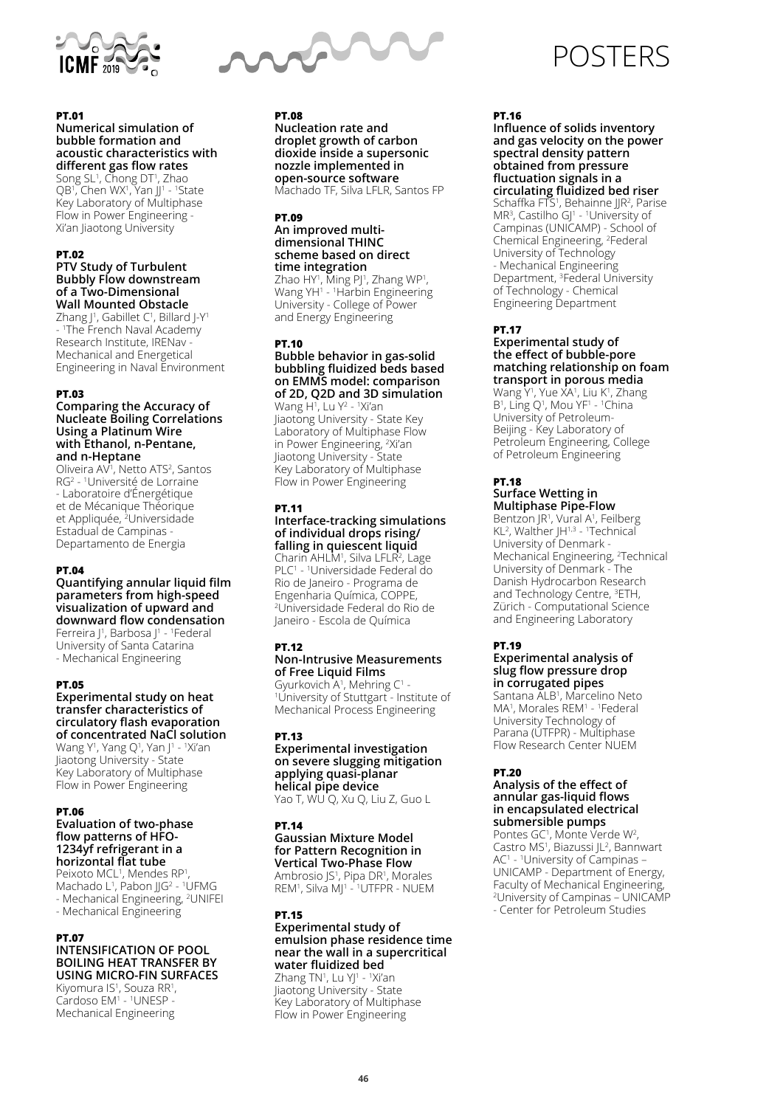

### **PT.01**

### **Numerical simulation of bubble formation and acoustic characteristics with different gas flow rates**

Song SL1 , Chong DT1 , Zhao QB1, Chen WX1, Yan JJ1 - 1State Key Laboratory of Multiphase Flow in Power Engineering - Xi'an Jiaotong University

### **PT.02**

#### **PTV Study of Turbulent Bubbly Flow downstream of a Two-Dimensional Wall Mounted Obstacle**

Zhang J1, Gabillet C1, Billard J-Y1 - 1 The French Naval Academy Research Institute, IRENav - Mechanical and Energetical Engineering in Naval Environment

#### **PT.03**

#### **Comparing the Accuracy of Nucleate Boiling Correlations Using a Platinum Wire with Ethanol, n-Pentane, and n-Heptane**

Oliveira AV<sup>1</sup>, Netto ATS<sup>2</sup>, Santos RG2 - 1 Université de Lorraine - Laboratoire d'Énergétique et de Mécanique Théorique et Appliquée, 2 Universidade Estadual de Campinas - Departamento de Energia

#### **PT.04**

**Quantifying annular liquid film parameters from high-speed visualization of upward and downward flow condensation** Ferreira J<sup>1</sup>, Barbosa J<sup>1</sup> - <sup>1</sup>Federal University of Santa Catarina

- Mechanical Engineering

#### **PT.05**

#### **Experimental study on heat transfer characteristics of circulatory flash evaporation of concentrated NaCl solution** Wang Y<sup>1</sup>, Yang Q<sup>1</sup>, Yan J<sup>1</sup> - <sup>1</sup>Xi'an

Jiaotong University - State Key Laboratory of Multiphase Flow in Power Engineering

#### **PT.06**

#### **Evaluation of two-phase flow patterns of HFO-1234yf refrigerant in a horizontal flat tube**

Peixoto MCL<sup>1</sup>, Mendes RP<sup>1</sup> , Machado L<sup>1</sup>, Pabon JJG<sup>2</sup> - <sup>1</sup>UFMG - Mechanical Engineering, 2 UNIFEI - Mechanical Engineering

#### **PT.07 INTENSIFICATION OF POOL BOILING HEAT TRANSFER BY USING MICRO-FIN SURFACES**

Kiyomura IS<sup>1</sup>, Souza RR1, Cardoso EM<sup>1</sup> - <sup>1</sup>UNESP -Mechanical Engineering



### **PT.08**

**Nucleation rate and droplet growth of carbon dioxide inside a supersonic nozzle implemented in open-source software** Machado TF, Silva LFLR, Santos FP

#### **PT.09**

#### **An improved multidimensional THINC scheme based on direct time integration**

Zhao HY<sup>1</sup>, Ming PJ<sup>1</sup>, Zhang WP<sup>1</sup>, Wang YH<sup>1</sup> - <sup>1</sup>Harbin Engineering University - College of Power and Energy Engineering

#### **PT.10**

### **Bubble behavior in gas-solid bubbling fluidized beds based on EMMS model: comparison of 2D, Q2D and 3D simulation**

Wang H1 , Lu Y2 - 1 Xi'an Jiaotong University - State Key Laboratory of Multiphase Flow in Power Engineering, 2 Xi'an Jiaotong University - State Key Laboratory of Multiphase Flow in Power Engineering

### **PT.11**

#### **Interface-tracking simulations of individual drops rising/ falling in quiescent liquid** Charin AHLM<sup>1</sup>, Silva LFLR<sup>2</sup>, Lage

PLC<sup>1</sup> - <sup>1</sup>Universidade Federal do Rio de Janeiro - Programa de Engenharia Química, COPPE, 2 Universidade Federal do Rio de Janeiro - Escola de Química

### **PT.12**

#### **Non-Intrusive Measurements of Free Liquid Films**

Gyurkovich A1, Mehring C1 -<br>11 Iniversity of Stuttgart - Inst University of Stuttgart - Institute of Mechanical Process Engineering

#### **PT.13**

#### **Experimental investigation on severe slugging mitigation applying quasi-planar helical pipe device**

Yao T, WU Q, Xu Q, Liu Z, Guo L

### **PT.14**

#### **Gaussian Mixture Model for Pattern Recognition in Vertical Two-Phase Flow** Ambrosio JS<sup>1</sup>, Pipa DR<sup>1</sup>, Morales

REM<sup>1</sup>, Silva MJ<sup>1</sup> - <sup>1</sup>UTFPR - NUEM

### **PT.15**

#### **Experimental study of emulsion phase residence time near the wall in a supercritical water fluidized bed**

Zhang TN<sup>1</sup>, Lu YJ<sup>1</sup> - <sup>1</sup>Xi'an Jiaotong University - State Key Laboratory of Multiphase Flow in Power Engineering

# POSTERS

### **PT.16**

**Influence of solids inventory and gas velocity on the power spectral density pattern obtained from pressure fluctuation signals in a circulating fluidized bed riser** Schaffka FTS<sup>1</sup>, Behainne JJR<sup>2</sup>, Parise MR<sup>3</sup>, Castilho GJ<sup>1</sup> - <sup>1</sup>University of Campinas (UNICAMP) - School of Chemical Engineering, 2 Federal University of Technology - Mechanical Engineering Department, 3 Federal University of Technology - Chemical Engineering Department

### **PT.17**

#### **Experimental study of the effect of bubble-pore matching relationship on foam transport in porous media** Wang Y<sup>1</sup>, Yue XA<sup>1</sup>, Liu K<sup>1</sup>, Zhang

 $B^1$ , Ling Q<sup>1</sup>, Mou YF<sup>1</sup> - <sup>1</sup>China University of Petroleum-Beijing - Key Laboratory of Petroleum Engineering, College of Petroleum Engineering

### **PT.18**

### **Surface Wetting in Multiphase Pipe-Flow**

Bentzon JR<sup>1</sup>, Vural A<sup>1</sup>, Feilberg  $KL<sup>2</sup>$ , Walther JH $<sup>1,3</sup>$  - <sup>1</sup>Technical</sup> University of Denmark - Mechanical Engineering, 2 Technical University of Denmark - The Danish Hydrocarbon Research and Technology Centre, 3 ETH, Zürich - Computational Science and Engineering Laboratory

#### **PT.19**

### **Experimental analysis of slug flow pressure drop in corrugated pipes**

Santana ALB<sup>1</sup>, Marcelino Neto MA<sup>1</sup>, Morales REM<sup>1</sup> - <sup>1</sup>Federal University Technology of Parana (UTFPR) - Multiphase Flow Research Center NUEM

### **PT.20**

#### **Analysis of the effect of annular gas-liquid flows in encapsulated electrical submersible pumps**

Pontes GC<sup>1</sup>, Monte Verde W<sup>2</sup>, Castro MS<sup>1</sup>, Biazussi JL<sup>2</sup>, Bannwart AC<sup>1</sup> - <sup>1</sup>University of Campinas – UNICAMP - Department of Energy, Faculty of Mechanical Engineering, 2 University of Campinas – UNICAMP - Center for Petroleum Studies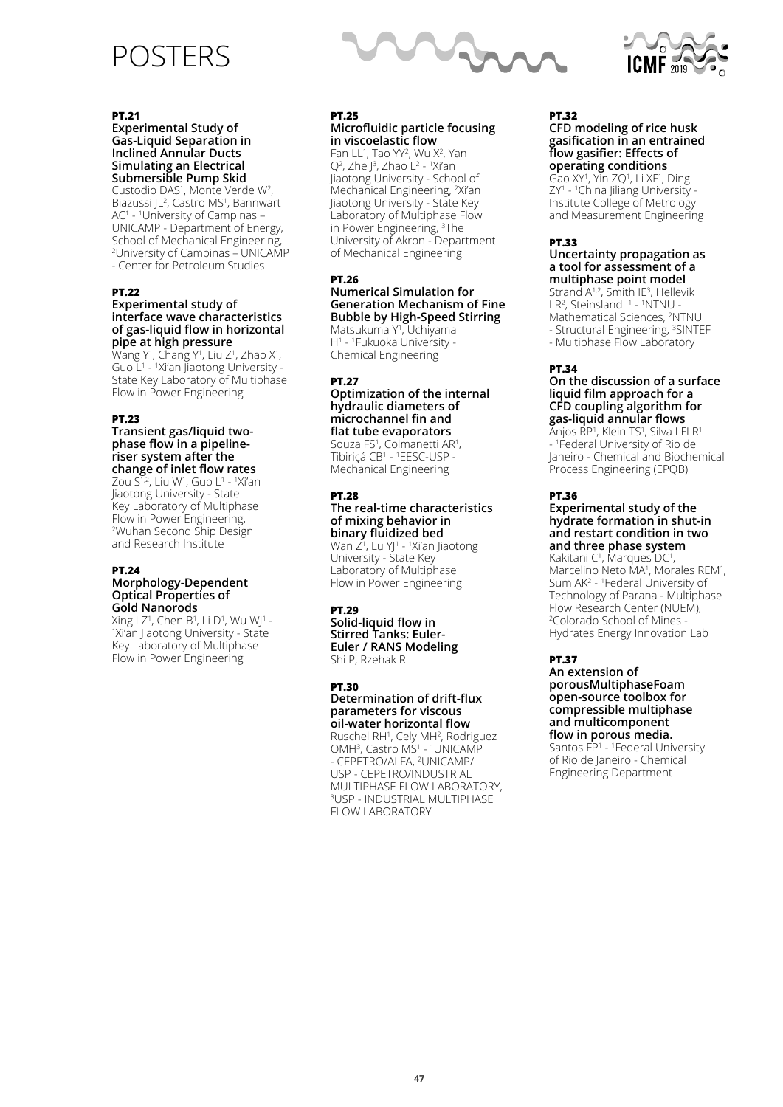## POSTERS



### **PT.21**

**Experimental Study of Gas-Liquid Separation in Inclined Annular Ducts Simulating an Electrical Submersible Pump Skid** Custodio DAS<sup>1</sup>, Monte Verde W<sup>2</sup>,

Biazussi JL<sup>2</sup>, Castro MS<sup>1</sup>, Bannwart AC1 - 1 University of Campinas – UNICAMP - Department of Energy, School of Mechanical Engineering, 2 University of Campinas – UNICAMP - Center for Petroleum Studies

### **PT.22**

#### **Experimental study of interface wave characteristics of gas-liquid flow in horizontal pipe at high pressure**

Wang Y<sup>1</sup>, Chang Y<sup>1</sup>, Liu Z<sup>1</sup>, Zhao X<sup>1</sup>, Guo L<sup>1</sup> - <sup>1</sup>Xi'an Jiaotong University -State Key Laboratory of Multiphase Flow in Power Engineering

### **PT.23**

#### **Transient gas/liquid twophase flow in a pipelineriser system after the change of inlet flow rates**

Zou S1,2, Liu W1, Guo L1 - 1Xi'an Jiaotong University - State Key Laboratory of Multiphase Flow in Power Engineering,<br><sup>2</sup>Wuhan Second Ship Design and Research Institute

### **PT.24**

#### **Morphology-Dependent Optical Properties of Gold Nanorods**

Xing LZ1, Chen B1, Li D1, Wu WJ1 -<br>1Xi'an liaotong Llniversity - State Xi'an Jiaotong University - State Key Laboratory of Multiphase Flow in Power Engineering

#### **PT.25 Microfluidic particle focusing in viscoelastic flow**

Fan LL<sup>1</sup>, Tao YY<sup>2</sup>, Wu X<sup>2</sup>, Yan  $Q<sup>2</sup>$ , Zhao L<sup>2</sup> - <sup>1</sup>Xi'an Jiaotong University - School of Mechanical Engineering, 2 Xi'an Jiaotong University - State Key Laboratory of Multiphase Flow in Power Engineering, 3 The University of Akron - Department of Mechanical Engineering

### **PT.26**

#### **Numerical Simulation for Generation Mechanism of Fine Bubble by High-Speed Stirring** Matsukuma Y<sup>1</sup>, Uchiyama

H1 - 1 Fukuoka University - Chemical Engineering

### **PT.27**

### **Optimization of the internal hydraulic diameters of microchannel fin and flat tube evaporators** Souza FS<sup>1</sup>, Colmanetti AR<sup>1</sup>,

Tibiriçá CB<sup>1</sup> - <sup>1</sup>EESC-USP -Mechanical Engineering

#### **PT.28**

### **The real-time characteristics of mixing behavior in binary fluidized bed**

Wan Z<sup>1</sup>, Lu YJ<sup>1</sup> - <sup>1</sup>Xi'an Jiaotong University - State Key Laboratory of Multiphase Flow in Power Engineering

### **PT.29**

**Solid-liquid flow in Stirred Tanks: Euler-Euler / RANS Modeling** Shi P, Rzehak R

#### **PT.30**

### **Determination of drift-flux parameters for viscous oil-water horizontal flow**

Ruschel RH<sup>1</sup>, Cely MH<sup>2</sup>, Rodriguez OMH<sup>3</sup>, Castro MS<sup>1</sup> - <sup>1</sup>UNICAMP - CEPETRO/ALFA, 2 UNICAMP/ USP - CEPETRO/INDUSTRIAL MULTIPHASE FLOW LABORATORY, 3 USP - INDUSTRIAL MULTIPHASE FLOW LABORATORY

#### **PT.32 CFD modeling of rice husk gasification in an entrained flow gasifier: Effects of operating conditions**

Gao XY<sup>1</sup>, Yin ZQ<sup>1</sup>, Li XF<sup>1</sup>, Ding ZY1 - 1 China Jiliang University - Institute College of Metrology and Measurement Engineering

### **PT.33**

#### **Uncertainty propagation as a tool for assessment of a multiphase point model**

Strand  $A^{1,2}$ , Smith IE<sup>3</sup>, Hellevik LR<sup>2</sup>, Steinsland  $I^1$  -  $^1$ NTNU -Mathematical Sciences, 2 NTNU - Structural Engineering, <sup>3</sup>SINTEF - Multiphase Flow Laboratory

### **PT.34**

#### **On the discussion of a surface liquid film approach for a CFD coupling algorithm for gas-liquid annular flows**

Anjos RP<sup>1</sup>, Klein TS<sup>1</sup>, Silva LFLR<sup>1</sup> - 1 Federal University of Rio de Janeiro - Chemical and Biochemical Process Engineering (EPQB)

### **PT.36**

### **Experimental study of the hydrate formation in shut-in and restart condition in two and three phase system**

Kakitani C<sup>1</sup>, Marques DC<sup>1</sup>, Marcelino Neto MA<sup>1</sup>, Morales REM<sup>1</sup>, Sum AK<sup>2</sup> - <sup>1</sup> Federal University of Technology of Parana - Multiphase Flow Research Center (NUEM), 2 Colorado School of Mines - Hydrates Energy Innovation Lab

### **PT.37**

**An extension of porousMultiphaseFoam open-source toolbox for compressible multiphase and multicomponent flow in porous media.** Santos FP<sup>1</sup> - <sup>1</sup> Federal University of Rio de Janeiro - Chemical Engineering Department